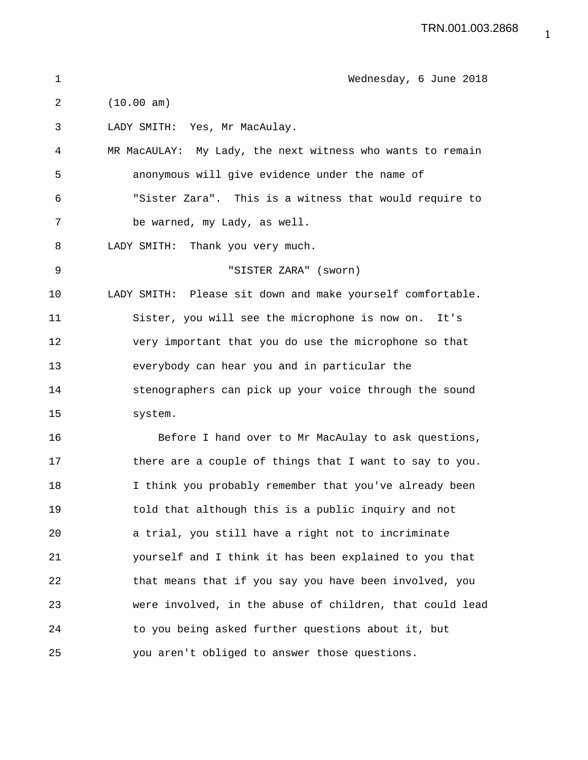| 1  | Wednesday, 6 June 2018                                     |
|----|------------------------------------------------------------|
| 2  | (10.00 am)                                                 |
| 3  | LADY SMITH: Yes, Mr MacAulay.                              |
| 4  | MR MacAULAY: My Lady, the next witness who wants to remain |
| 5  | anonymous will give evidence under the name of             |
| 6  | "Sister Zara". This is a witness that would require to     |
| 7  | be warned, my Lady, as well.                               |
| 8  | LADY SMITH:<br>Thank you very much.                        |
| 9  | "SISTER ZARA" (sworn)                                      |
| 10 | LADY SMITH: Please sit down and make yourself comfortable. |
| 11 | Sister, you will see the microphone is now on. It's        |
| 12 | very important that you do use the microphone so that      |
| 13 | everybody can hear you and in particular the               |
| 14 | stenographers can pick up your voice through the sound     |
| 15 | system.                                                    |
| 16 | Before I hand over to Mr MacAulay to ask questions,        |
| 17 | there are a couple of things that I want to say to you.    |
| 18 | I think you probably remember that you've already been     |
| 19 | told that although this is a public inquiry and not        |
| 20 | a trial, you still have a right not to incriminate         |
| 21 | yourself and I think it has been explained to you that     |
| 22 | that means that if you say you have been involved, you     |
| 23 | were involved, in the abuse of children, that could lead   |
| 24 | to you being asked further questions about it, but         |
| 25 | you aren't obliged to answer those questions.              |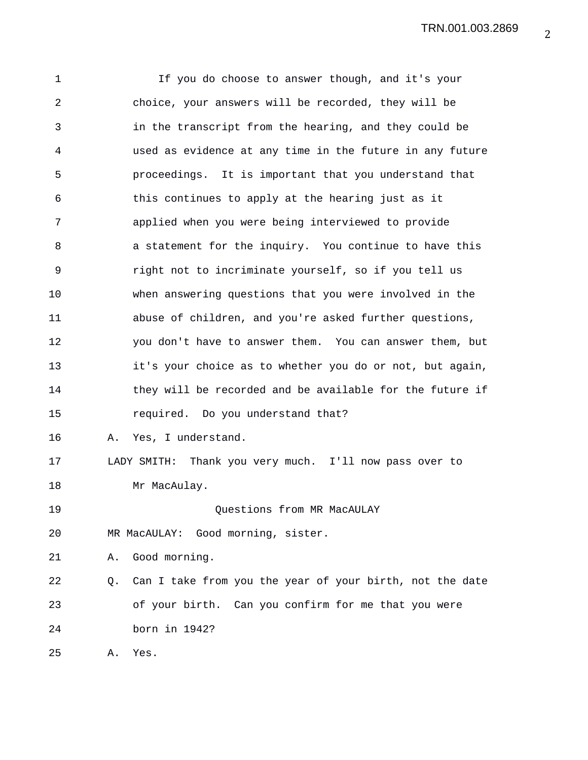TRN.001.003.2869

1 If you do choose to answer though, and it's your 2 choice, your answers will be recorded, they will be 3 in the transcript from the hearing, and they could be 4 used as evidence at any time in the future in any future 5 proceedings. It is important that you understand that 6 this continues to apply at the hearing just as it 7 applied when you were being interviewed to provide 8 a statement for the inquiry. You continue to have this 9 right not to incriminate yourself, so if you tell us 10 when answering questions that you were involved in the 11 abuse of children, and you're asked further questions, 12 you don't have to answer them. You can answer them, but 13 it's your choice as to whether you do or not, but again, 14 they will be recorded and be available for the future if 15 required. Do you understand that? 16 A. Yes, I understand. 17 LADY SMITH: Thank you very much. I'll now pass over to 18 Mr MacAulay. 19 Questions from MR MacAULAY 20 MR MacAULAY: Good morning, sister. 21 A. Good morning. 22 Q. Can I take from you the year of your birth, not the date 23 of your birth. Can you confirm for me that you were 24 born in 1942? 25 A. Yes.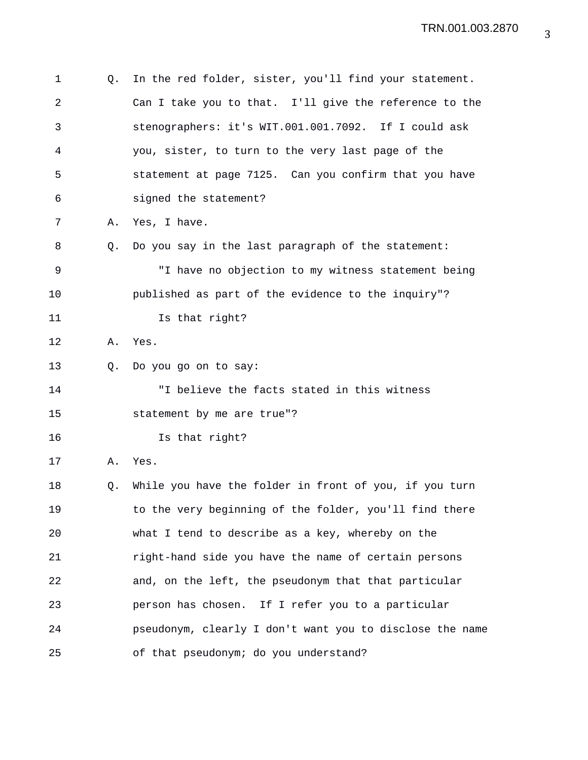1 Q. In the red folder, sister, you'll find your statement. 2 Can I take you to that. I'll give the reference to the 3 stenographers: it's WIT.001.001.7092. If I could ask 4 you, sister, to turn to the very last page of the 5 statement at page 7125. Can you confirm that you have 6 signed the statement? 7 A. Yes, I have. 8 Q. Do you say in the last paragraph of the statement: 9 "I have no objection to my witness statement being 10 published as part of the evidence to the inquiry"? 11 Is that right? 12 A. Yes. 13 Q. Do you go on to say: 14 "I believe the facts stated in this witness 15 statement by me are true"? 16 Is that right? 17 A. Yes. 18 Q. While you have the folder in front of you, if you turn 19 to the very beginning of the folder, you'll find there 20 what I tend to describe as a key, whereby on the 21 right-hand side you have the name of certain persons 22 and, on the left, the pseudonym that that particular 23 person has chosen. If I refer you to a particular 24 pseudonym, clearly I don't want you to disclose the name 25 of that pseudonym; do you understand?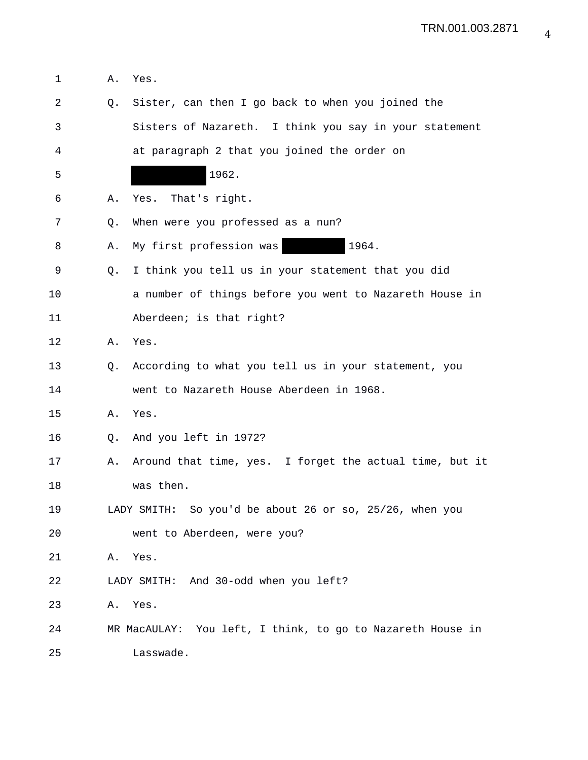1 A. Yes. 2 Q. Sister, can then I go back to when you joined the 3 Sisters of Nazareth. I think you say in your statement 4 at paragraph 2 that you joined the order on 5 1962. 6 A. Yes. That's right. 7 Q. When were you professed as a nun? 8 A. My first profession was 1964. 9 Q. I think you tell us in your statement that you did 10 a number of things before you went to Nazareth House in 11 Aberdeen; is that right? 12 A. Yes. 13 Q. According to what you tell us in your statement, you 14 went to Nazareth House Aberdeen in 1968. 15 A. Yes. 16 Q. And you left in 1972? 17 A. Around that time, yes. I forget the actual time, but it 18 was then. 19 LADY SMITH: So you'd be about 26 or so, 25/26, when you 20 went to Aberdeen, were you? 21 A. Yes. 22 LADY SMITH: And 30-odd when you left? 23 A. Yes. 24 MR MacAULAY: You left, I think, to go to Nazareth House in 25 Lasswade.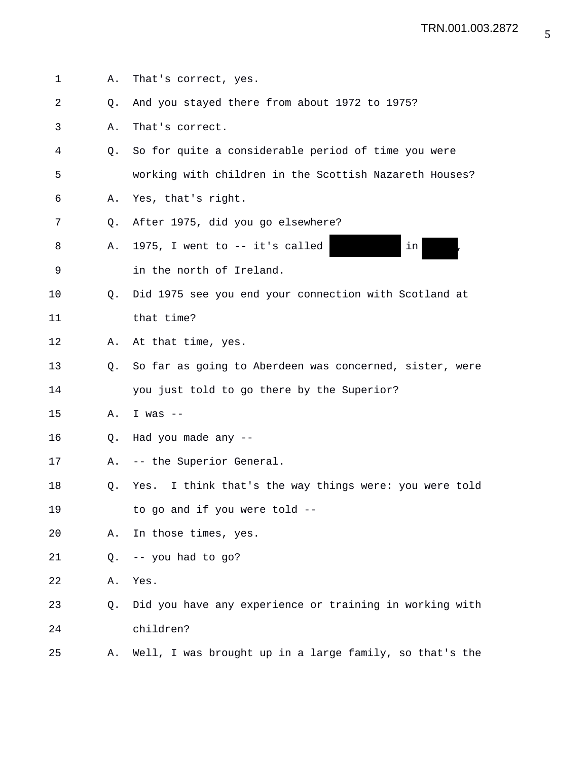1 A. That's correct, yes. 2 Q. And you stayed there from about 1972 to 1975? 3 A. That's correct. 4 Q. So for quite a considerable period of time you were 5 working with children in the Scottish Nazareth Houses? 6 A. Yes, that's right. 7 Q. After 1975, did you go elsewhere? 8 A. 1975, I went to -- it's called in in 9 in the north of Ireland. 10 Q. Did 1975 see you end your connection with Scotland at 11 that time? 12 A. At that time, yes. 13 Q. So far as going to Aberdeen was concerned, sister, were 14 you just told to go there by the Superior? 15 A. I was -- 16 Q. Had you made any -- 17 A. -- the Superior General. 18 Q. Yes. I think that's the way things were: you were told 19 to go and if you were told -- 20 A. In those times, yes. 21 Q. -- you had to go? 22 A. Yes. 23 Q. Did you have any experience or training in working with 24 children? 25 A. Well, I was brought up in a large family, so that's the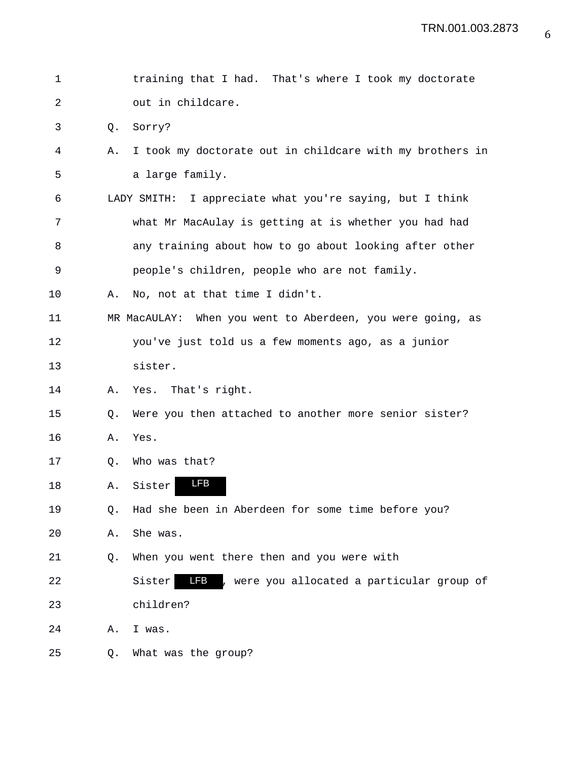| $\mathbf 1$ |    | training that I had. That's where I took my doctorate              |
|-------------|----|--------------------------------------------------------------------|
| 2           |    | out in childcare.                                                  |
| 3           | Q. | Sorry?                                                             |
| 4           | Α. | I took my doctorate out in childcare with my brothers in           |
| 5           |    | a large family.                                                    |
| 6           |    | LADY SMITH: I appreciate what you're saying, but I think           |
| 7           |    | what Mr MacAulay is getting at is whether you had had              |
| 8           |    | any training about how to go about looking after other             |
| 9           |    | people's children, people who are not family.                      |
| 10          | Α. | No, not at that time I didn't.                                     |
| 11          |    | MR MacAULAY: When you went to Aberdeen, you were going, as         |
| 12          |    | you've just told us a few moments ago, as a junior                 |
| 13          |    | sister.                                                            |
| 14          | Α. | Yes. That's right.                                                 |
| 15          | Q. | Were you then attached to another more senior sister?              |
| 16          | Α. | Yes.                                                               |
| 17          | Q. | Who was that?                                                      |
| 18          | Α. | <b>LFB</b><br>Sister                                               |
| 19          | Q. | Had she been in Aberdeen for some time before you?                 |
| 20          | Α. | She was.                                                           |
| 21          | Q. | When you went there then and you were with                         |
| 22          |    | <b>LFB</b><br>, were you allocated a particular group of<br>Sister |
| 23          |    | children?                                                          |
| 24          | Α. | I was.                                                             |
| 25          | Q. | What was the group?                                                |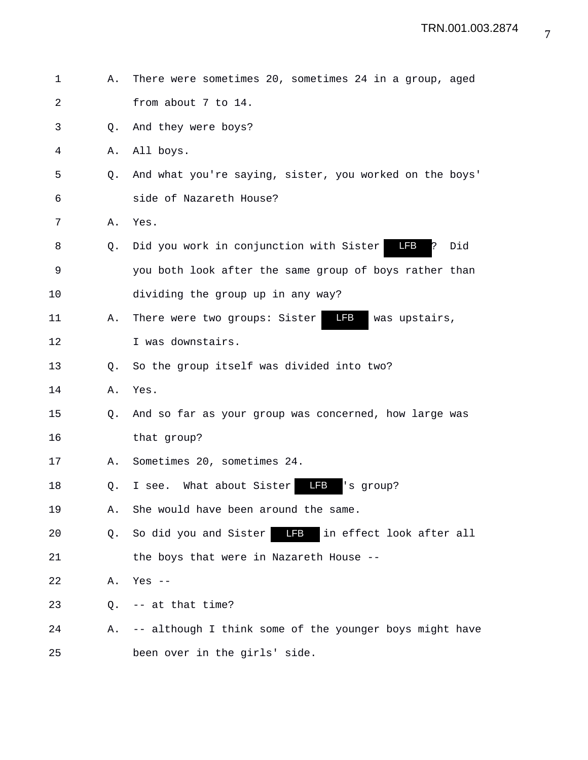| 1              | Α. | There were sometimes 20, sometimes 24 in a group, aged      |
|----------------|----|-------------------------------------------------------------|
| $\overline{2}$ |    | from about 7 to 14.                                         |
| 3              | Q. | And they were boys?                                         |
| 4              | Α. | All boys.                                                   |
| 5              | Q. | And what you're saying, sister, you worked on the boys'     |
| 6              |    | side of Nazareth House?                                     |
| 7              | Α. | Yes.                                                        |
| 8              | O. | LFB<br>Did you work in conjunction with Sister<br>Did<br>P. |
| 9              |    | you both look after the same group of boys rather than      |
| 10             |    | dividing the group up in any way?                           |
| 11             | Α. | LFB<br>There were two groups: Sister<br>was upstairs,       |
| 12             |    | I was downstairs.                                           |
| 13             | Q. | So the group itself was divided into two?                   |
| 14             | Α. | Yes.                                                        |
| 15             | Q. | And so far as your group was concerned, how large was       |
| 16             |    | that group?                                                 |
| 17             | Α. | Sometimes 20, sometimes 24.                                 |
| 18             | Q. | I see. What about Sister<br>LFB<br>'s group?                |
| 19             | Α. | She would have been around the same.                        |
| 20             | Q. | So did you and Sister <b>FB</b> in effect look after all    |
| 21             |    | the boys that were in Nazareth House --                     |
| 22             | Α. | Yes $--$                                                    |
| 23             | Q. | -- at that time?                                            |
| 24             | А. | -- although I think some of the younger boys might have     |
| 25             |    | been over in the girls' side.                               |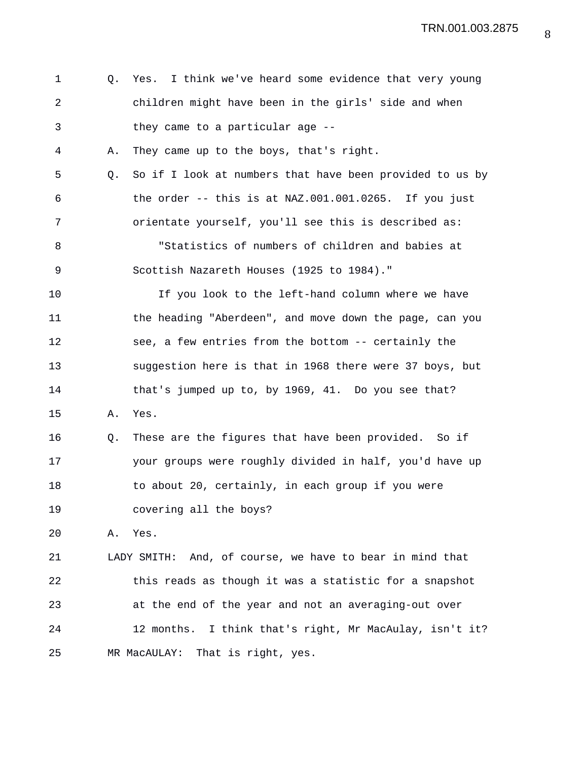| 1  | Q. | Yes. I think we've heard some evidence that very young   |
|----|----|----------------------------------------------------------|
| 2  |    | children might have been in the girls' side and when     |
| 3  |    | they came to a particular age --                         |
| 4  | Α. | They came up to the boys, that's right.                  |
| 5  | Q. | So if I look at numbers that have been provided to us by |
| 6  |    | the order $--$ this is at NAZ.001.001.0265. If you just  |
| 7  |    | orientate yourself, you'll see this is described as:     |
| 8  |    | "Statistics of numbers of children and babies at         |
| 9  |    | Scottish Nazareth Houses (1925 to 1984)."                |
| 10 |    | If you look to the left-hand column where we have        |
| 11 |    | the heading "Aberdeen", and move down the page, can you  |
| 12 |    | see, a few entries from the bottom -- certainly the      |
| 13 |    | suggestion here is that in 1968 there were 37 boys, but  |
| 14 |    | that's jumped up to, by 1969, 41. Do you see that?       |
| 15 | Α. | Yes.                                                     |
| 16 | Q. | These are the figures that have been provided. So if     |
| 17 |    | your groups were roughly divided in half, you'd have up  |
| 18 |    | to about 20, certainly, in each group if you were        |
| 19 |    | covering all the boys?                                   |
| 20 | Α. | Yes.                                                     |
| 21 |    | LADY SMITH: And, of course, we have to bear in mind that |
| 22 |    | this reads as though it was a statistic for a snapshot   |
| 23 |    | at the end of the year and not an averaging-out over     |
| 24 |    | 12 months. I think that's right, Mr MacAulay, isn't it?  |
| 25 |    | MR MacAULAY: That is right, yes.                         |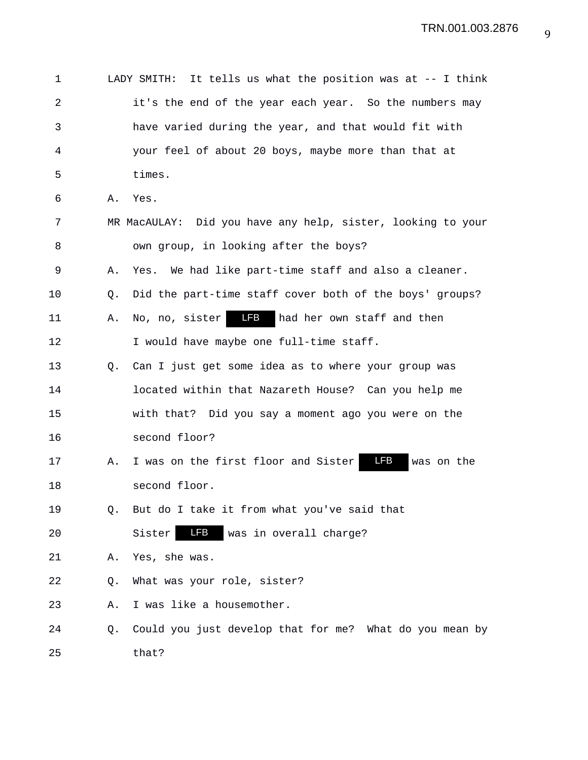| 1  |    | LADY SMITH: It tells us what the position was at -- I think |
|----|----|-------------------------------------------------------------|
| 2  |    | it's the end of the year each year. So the numbers may      |
| 3  |    | have varied during the year, and that would fit with        |
| 4  |    | your feel of about 20 boys, maybe more than that at         |
| 5  |    | times.                                                      |
| 6  | Α. | Yes.                                                        |
| 7  |    | MR MacAULAY: Did you have any help, sister, looking to your |
| 8  |    | own group, in looking after the boys?                       |
| 9  | Α. | Yes. We had like part-time staff and also a cleaner.        |
| 10 | O. | Did the part-time staff cover both of the boys' groups?     |
| 11 | Α. | <b>LFB</b><br>had her own staff and then<br>No, no, sister  |
| 12 |    | I would have maybe one full-time staff.                     |
| 13 | О. | Can I just get some idea as to where your group was         |
| 14 |    | located within that Nazareth House? Can you help me         |
| 15 |    | with that? Did you say a moment ago you were on the         |
| 16 |    | second floor?                                               |
| 17 | Α. | LFB<br>I was on the first floor and Sister<br>was on the    |
| 18 |    | second floor.                                               |
| 19 | Q. | But do I take it from what you've said that                 |
| 20 |    | LFB<br>Sister<br>was in overall charge?                     |
| 21 | Α. | Yes, she was.                                               |
| 22 | Q. | What was your role, sister?                                 |
| 23 | Α. | I was like a housemother.                                   |
| 24 | Q. | Could you just develop that for me? What do you mean by     |
| 25 |    | that?                                                       |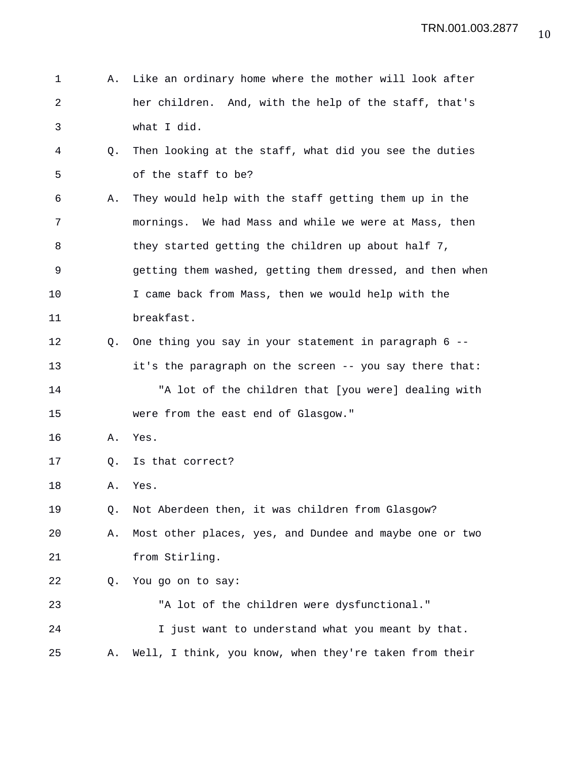| 1  | Α.             | Like an ordinary home where the mother will look after   |
|----|----------------|----------------------------------------------------------|
| 2  |                | her children. And, with the help of the staff, that's    |
| 3  |                | what I did.                                              |
| 4  | Q.             | Then looking at the staff, what did you see the duties   |
| 5  |                | of the staff to be?                                      |
| 6  | Α.             | They would help with the staff getting them up in the    |
| 7  |                | mornings. We had Mass and while we were at Mass, then    |
| 8  |                | they started getting the children up about half 7,       |
| 9  |                | getting them washed, getting them dressed, and then when |
| 10 |                | I came back from Mass, then we would help with the       |
| 11 |                | breakfast.                                               |
| 12 | $\circ$ .      | One thing you say in your statement in paragraph 6 --    |
| 13 |                | it's the paragraph on the screen -- you say there that:  |
| 14 |                | "A lot of the children that [you were] dealing with      |
| 15 |                | were from the east end of Glasgow."                      |
| 16 | Α.             | Yes.                                                     |
| 17 | Q <sub>z</sub> | Is that correct?                                         |
| 18 | Α.             | Yes.                                                     |
| 19 | Q.             | Not Aberdeen then, it was children from Glasgow?         |
| 20 | Α.             | Most other places, yes, and Dundee and maybe one or two  |
| 21 |                | from Stirling.                                           |
| 22 | Q.             | You go on to say:                                        |
| 23 |                | "A lot of the children were dysfunctional."              |

24 I just want to understand what you meant by that. 25 A. Well, I think, you know, when they're taken from their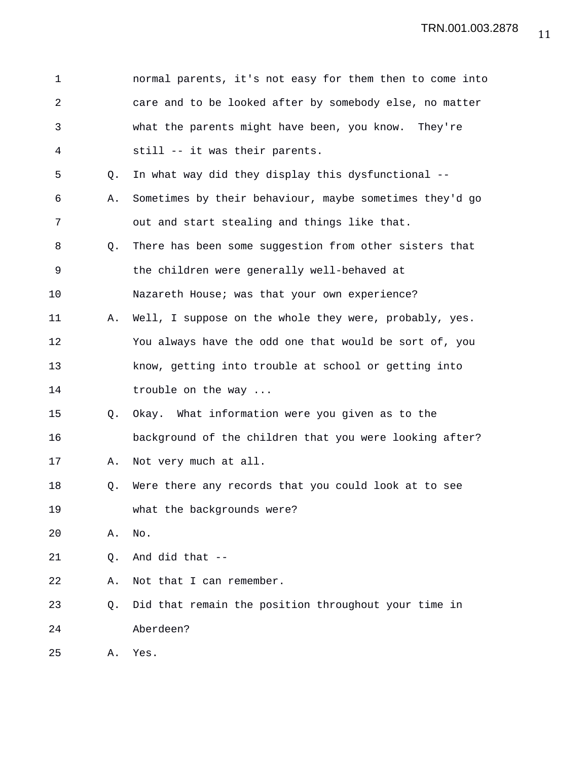| 1              |             | normal parents, it's not easy for them then to come into |
|----------------|-------------|----------------------------------------------------------|
| $\overline{a}$ |             | care and to be looked after by somebody else, no matter  |
| 3              |             | what the parents might have been, you know. They're      |
| 4              |             | still -- it was their parents.                           |
| 5              | $Q_{\star}$ | In what way did they display this dysfunctional --       |
| 6              | Α.          | Sometimes by their behaviour, maybe sometimes they'd go  |
| 7              |             | out and start stealing and things like that.             |
| 8              | Q.          | There has been some suggestion from other sisters that   |
| 9              |             | the children were generally well-behaved at              |
| 10             |             | Nazareth House; was that your own experience?            |
| 11             | Α.          | Well, I suppose on the whole they were, probably, yes.   |
| 12             |             | You always have the odd one that would be sort of, you   |
| 13             |             | know, getting into trouble at school or getting into     |
| 14             |             | trouble on the way                                       |
| 15             | Q.          | Okay. What information were you given as to the          |
| 16             |             | background of the children that you were looking after?  |
| 17             | Α.          | Not very much at all.                                    |
| 18             | Q.          | Were there any records that you could look at to see     |
| 19             |             | what the backgrounds were?                               |
| 20             | Α.          | No.                                                      |
| 21             | Q.          | And did that --                                          |
| 22             | Α.          | Not that I can remember.                                 |
| 23             | Q.          | Did that remain the position throughout your time in     |
| 24             |             | Aberdeen?                                                |
| 25             | Α.          | Yes.                                                     |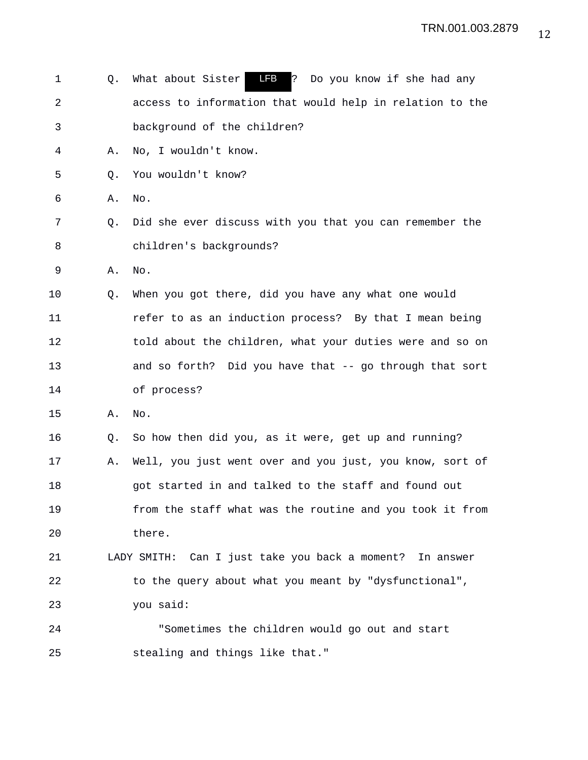1 Q. What about Sister LFB ? Do you know if she had any 2 access to information that would help in relation to the 3 background of the children? 4 A. No, I wouldn't know. 5 Q. You wouldn't know? 6 A. No. 7 Q. Did she ever discuss with you that you can remember the 8 children's backgrounds? 9 A. No. 10 Q. When you got there, did you have any what one would 11 refer to as an induction process? By that I mean being 12 told about the children, what your duties were and so on 13 and so forth? Did you have that -- go through that sort 14 of process? 15 A. No. 16 Q. So how then did you, as it were, get up and running? 17 A. Well, you just went over and you just, you know, sort of 18 got started in and talked to the staff and found out 19 from the staff what was the routine and you took it from 20 there. 21 LADY SMITH: Can I just take you back a moment? In answer 22 to the query about what you meant by "dysfunctional", 23 you said: 24 "Sometimes the children would go out and start 25 stealing and things like that."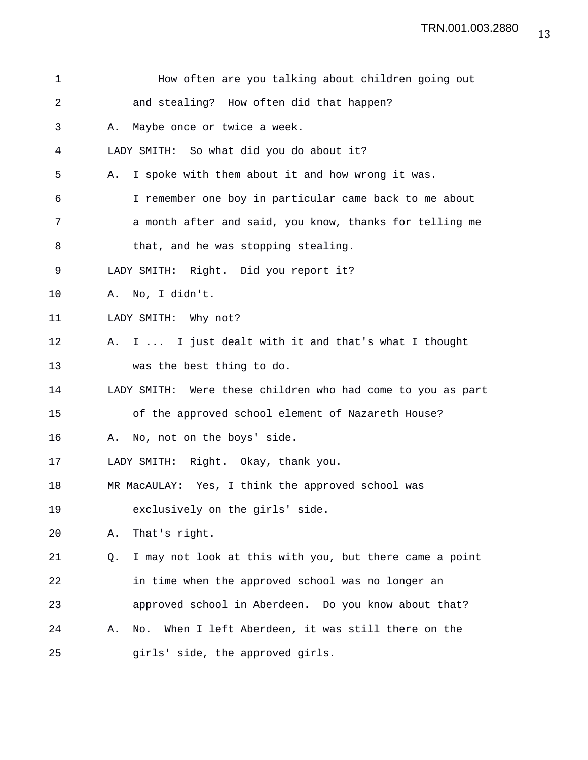| 1  |    | How often are you talking about children going out          |
|----|----|-------------------------------------------------------------|
| 2  |    | and stealing? How often did that happen?                    |
| 3  | Α. | Maybe once or twice a week.                                 |
| 4  |    | LADY SMITH: So what did you do about it?                    |
| 5  | Α. | I spoke with them about it and how wrong it was.            |
| 6  |    | I remember one boy in particular came back to me about      |
| 7  |    | a month after and said, you know, thanks for telling me     |
| 8  |    | that, and he was stopping stealing.                         |
| 9  |    | LADY SMITH: Right. Did you report it?                       |
| 10 |    | A. No, I didn't.                                            |
| 11 |    | LADY SMITH: Why not?                                        |
| 12 | Α. | I  I just dealt with it and that's what I thought           |
| 13 |    | was the best thing to do.                                   |
| 14 |    | LADY SMITH: Were these children who had come to you as part |
| 15 |    | of the approved school element of Nazareth House?           |
| 16 | Α. | No, not on the boys' side.                                  |
| 17 |    | LADY SMITH: Right. Okay, thank you.                         |
| 18 |    | MR MacAULAY: Yes, I think the approved school was           |
| 19 |    | exclusively on the girls' side.                             |
| 20 | Α. | That's right.                                               |
| 21 | Q. | I may not look at this with you, but there came a point     |
| 22 |    | in time when the approved school was no longer an           |
| 23 |    | approved school in Aberdeen. Do you know about that?        |
| 24 | Α. | When I left Aberdeen, it was still there on the<br>No.      |
| 25 |    | girls' side, the approved girls.                            |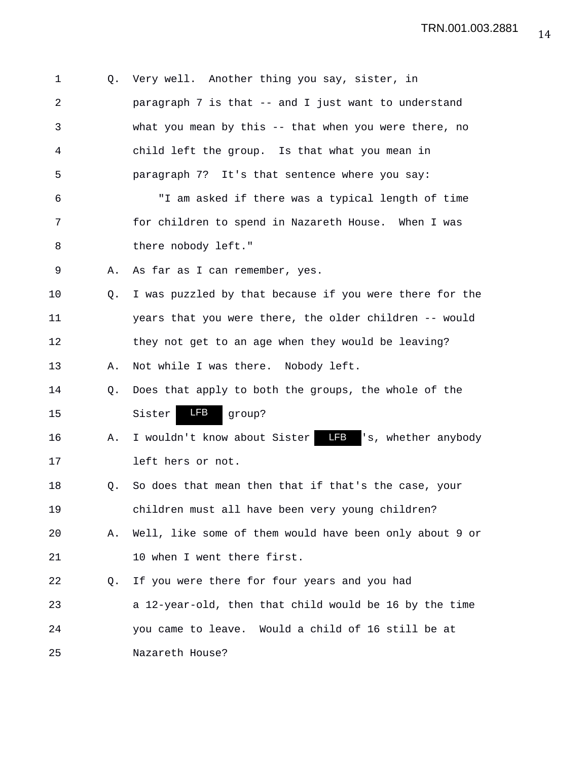| 1              | Q. | Very well. Another thing you say, sister, in                |
|----------------|----|-------------------------------------------------------------|
| $\overline{a}$ |    | paragraph 7 is that -- and I just want to understand        |
| 3              |    | what you mean by this -- that when you were there, no       |
| 4              |    | child left the group. Is that what you mean in              |
| 5              |    | paragraph 7? It's that sentence where you say:              |
| 6              |    | "I am asked if there was a typical length of time           |
| 7              |    | for children to spend in Nazareth House. When I was         |
| 8              |    | there nobody left."                                         |
| 9              | Α. | As far as I can remember, yes.                              |
| 10             | Q. | I was puzzled by that because if you were there for the     |
| 11             |    | years that you were there, the older children -- would      |
| 12             |    | they not get to an age when they would be leaving?          |
| 13             | Α. | Not while I was there. Nobody left.                         |
| 14             | Q. | Does that apply to both the groups, the whole of the        |
| 15             |    | LFB<br>Sister<br>group?                                     |
| 16             | Α. | I wouldn't know about Sister <b>LEB</b> 's, whether anybody |
| 17             |    | left hers or not.                                           |
| 18             | Q. | So does that mean then that if that's the case, your        |
| 19             |    | children must all have been very young children?            |
| 20             | Α. | Well, like some of them would have been only about 9 or     |
| 21             |    | 10 when I went there first.                                 |
| 22             | Q. | If you were there for four years and you had                |
| 23             |    | a 12-year-old, then that child would be 16 by the time      |
| 24             |    | you came to leave. Would a child of 16 still be at          |
| 25             |    | Nazareth House?                                             |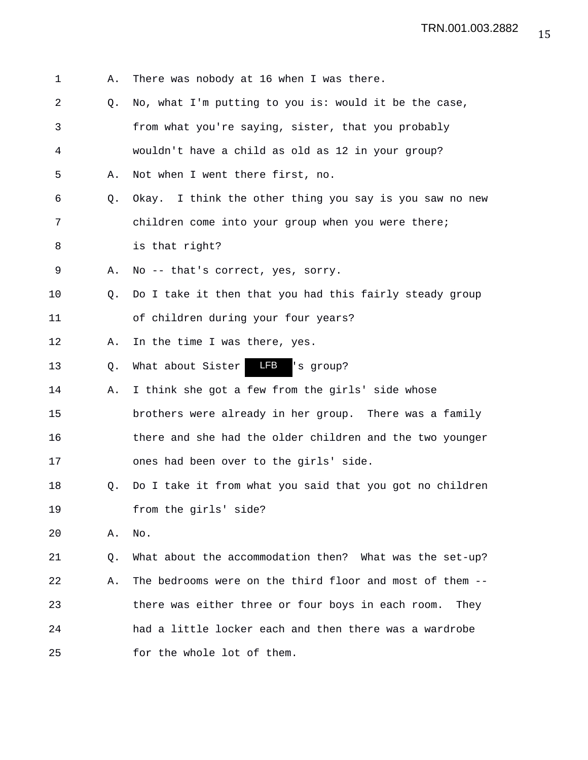1 A. There was nobody at 16 when I was there. 2 Q. No, what I'm putting to you is: would it be the case, 3 from what you're saying, sister, that you probably 4 wouldn't have a child as old as 12 in your group? 5 A. Not when I went there first, no. 6 Q. Okay. I think the other thing you say is you saw no new 7 children come into your group when you were there; 8 is that right? 9 A. No -- that's correct, yes, sorry. 10 Q. Do I take it then that you had this fairly steady group 11 of children during your four years? 12 A. In the time I was there, yes. 13 Q. What about Sister 14 A. I think she got a few from the girls' side whose 15 brothers were already in her group. There was a family 16 there and she had the older children and the two younger 17 ones had been over to the girls' side. 18 Q. Do I take it from what you said that you got no children 19 from the girls' side? 20 A. No. 21 Q. What about the accommodation then? What was the set-up? 22 A. The bedrooms were on the third floor and most of them -- 23 there was either three or four boys in each room. They 24 had a little locker each and then there was a wardrobe 25 for the whole lot of them. LFB 's group?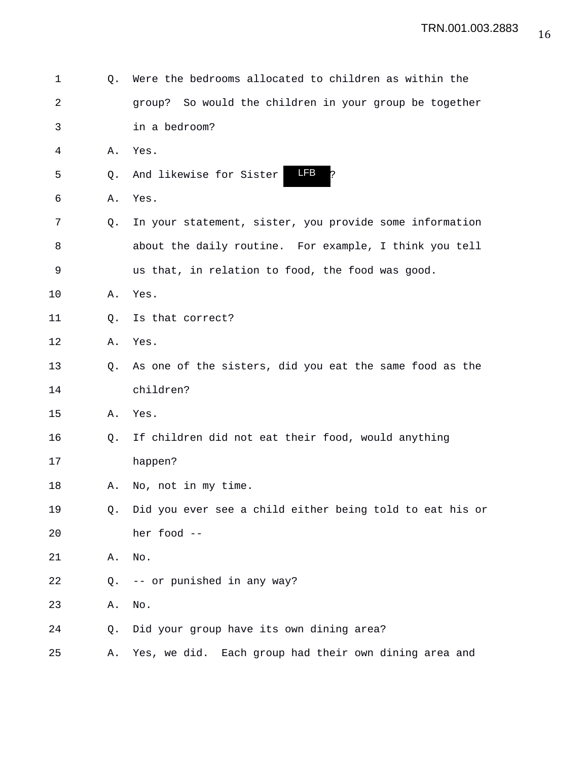1 Q. Were the bedrooms allocated to children as within the 2 group? So would the children in your group be together 3 in a bedroom? 4 A. Yes. 5 Q. And likewise for Sister 6 A. Yes. 7 Q. In your statement, sister, you provide some information 8 about the daily routine. For example, I think you tell 9 us that, in relation to food, the food was good. 10 A. Yes. 11 Q. Is that correct? 12 A. Yes. 13 Q. As one of the sisters, did you eat the same food as the 14 children? 15 A. Yes. 16 Q. If children did not eat their food, would anything 17 happen? 18 A. No, not in my time. 19 Q. Did you ever see a child either being told to eat his or 20 her food -- 21 A. No. 22 Q. -- or punished in any way? 23 A. No. 24 Q. Did your group have its own dining area? 25 A. Yes, we did. Each group had their own dining area and LFB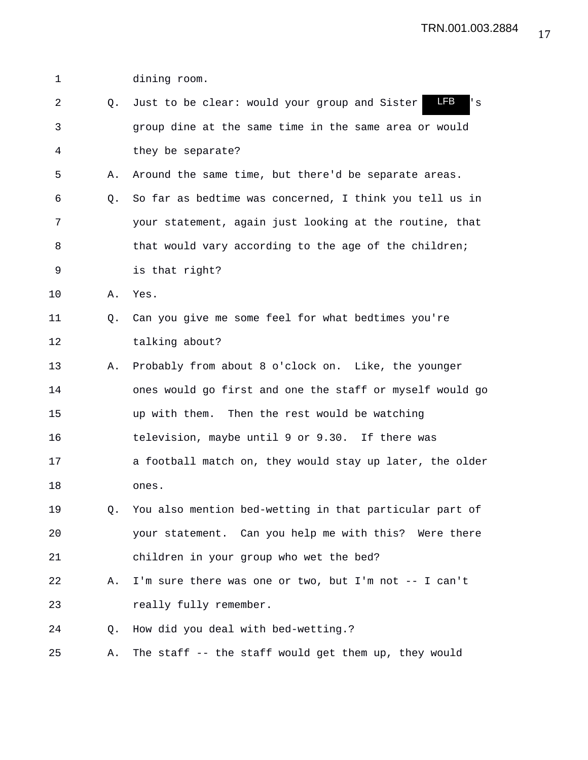1 dining room. 2 Q. Just to be clear: would your group and Sister 13 's 3 group dine at the same time in the same area or would 4 they be separate? 5 A. Around the same time, but there'd be separate areas. 6 Q. So far as bedtime was concerned, I think you tell us in 7 your statement, again just looking at the routine, that 8 that would vary according to the age of the children; 9 is that right? 10 A. Yes. 11 Q. Can you give me some feel for what bedtimes you're 12 talking about? 13 A. Probably from about 8 o'clock on. Like, the younger 14 ones would go first and one the staff or myself would go 15 up with them. Then the rest would be watching 16 television, maybe until 9 or 9.30. If there was 17 a football match on, they would stay up later, the older 18 ones. 19 Q. You also mention bed-wetting in that particular part of 20 your statement. Can you help me with this? Were there 21 children in your group who wet the bed? 22 A. I'm sure there was one or two, but I'm not -- I can't 23 really fully remember. 24 Q. How did you deal with bed-wetting.? 25 A. The staff -- the staff would get them up, they would LFB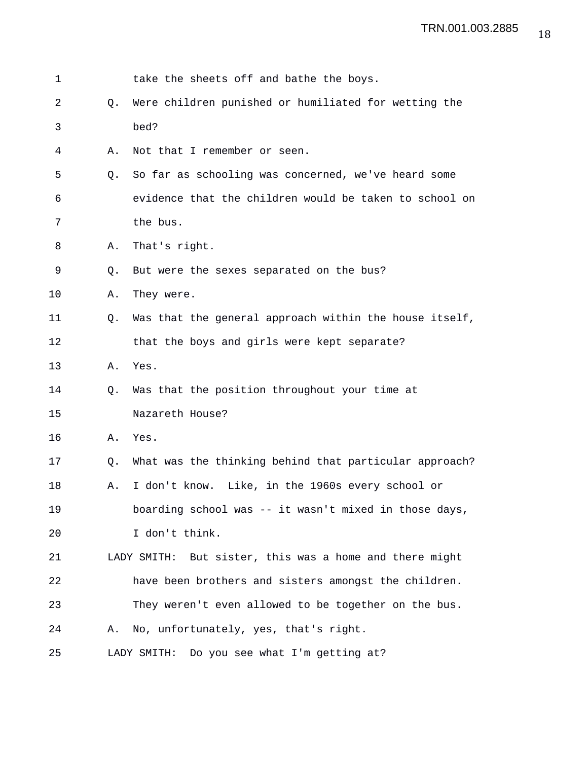| 1  |    | take the sheets off and bathe the boys.                 |
|----|----|---------------------------------------------------------|
| 2  | Q. | Were children punished or humiliated for wetting the    |
| 3  |    | bed?                                                    |
| 4  | Α. | Not that I remember or seen.                            |
| 5  | Q. | So far as schooling was concerned, we've heard some     |
| 6  |    | evidence that the children would be taken to school on  |
| 7  |    | the bus.                                                |
| 8  | Α. | That's right.                                           |
| 9  | Q. | But were the sexes separated on the bus?                |
| 10 | Α. | They were.                                              |
| 11 | Q. | Was that the general approach within the house itself,  |
| 12 |    | that the boys and girls were kept separate?             |
| 13 | Α. | Yes.                                                    |
| 14 | Q. | Was that the position throughout your time at           |
| 15 |    | Nazareth House?                                         |
| 16 | Α. | Yes.                                                    |
| 17 | Q. | What was the thinking behind that particular approach?  |
| 18 | Α. | I don't know. Like, in the 1960s every school or        |
| 19 |    | boarding school was -- it wasn't mixed in those days,   |
| 20 |    | I don't think.                                          |
| 21 |    | LADY SMITH: But sister, this was a home and there might |
| 22 |    | have been brothers and sisters amongst the children.    |
| 23 |    | They weren't even allowed to be together on the bus.    |
| 24 | Α. | No, unfortunately, yes, that's right.                   |
| 25 |    | LADY SMITH: Do you see what I'm getting at?             |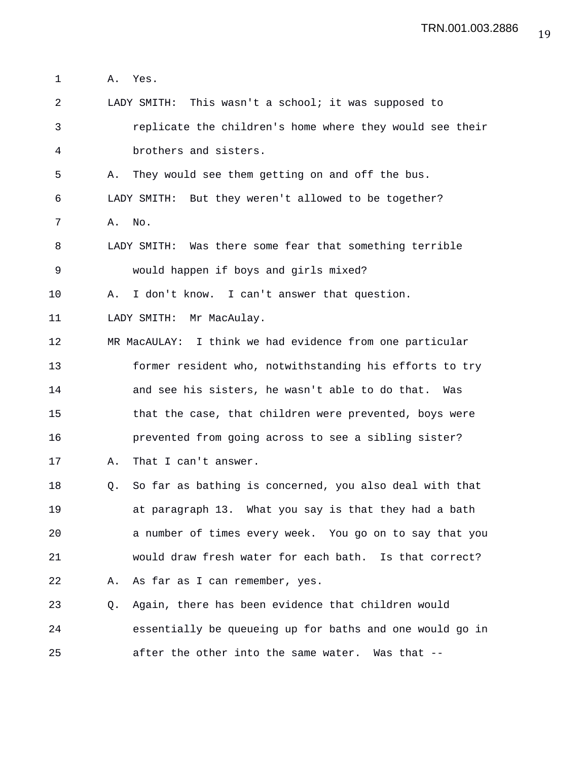1 A. Yes. 2 LADY SMITH: This wasn't a school; it was supposed to 3 replicate the children's home where they would see their 4 brothers and sisters. 5 A. They would see them getting on and off the bus. 6 LADY SMITH: But they weren't allowed to be together? 7 A. No. 8 LADY SMITH: Was there some fear that something terrible 9 would happen if boys and girls mixed? 10 A. I don't know. I can't answer that question. 11 LADY SMITH: Mr MacAulay. 12 MR MacAULAY: I think we had evidence from one particular 13 former resident who, notwithstanding his efforts to try 14 and see his sisters, he wasn't able to do that. Was 15 that the case, that children were prevented, boys were 16 prevented from going across to see a sibling sister? 17 A. That I can't answer. 18 Q. So far as bathing is concerned, you also deal with that 19 at paragraph 13. What you say is that they had a bath 20 a number of times every week. You go on to say that you 21 would draw fresh water for each bath. Is that correct? 22 A. As far as I can remember, yes. 23 Q. Again, there has been evidence that children would 24 essentially be queueing up for baths and one would go in 25 after the other into the same water. Was that --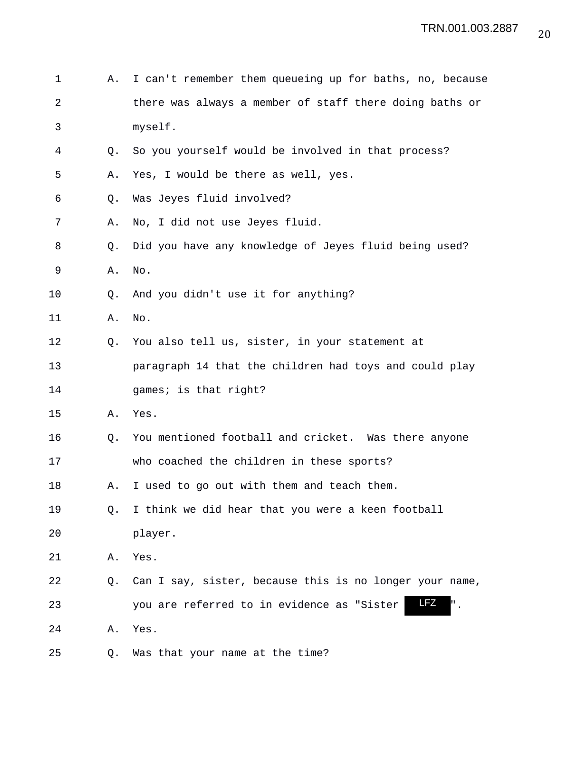| 1  | Α. | I can't remember them queueing up for baths, no, because |
|----|----|----------------------------------------------------------|
| 2  |    | there was always a member of staff there doing baths or  |
| 3  |    | myself.                                                  |
| 4  | Q. | So you yourself would be involved in that process?       |
| 5  | Α. | Yes, I would be there as well, yes.                      |
| 6  | Q. | Was Jeyes fluid involved?                                |
| 7  | Α. | No, I did not use Jeyes fluid.                           |
| 8  | Q. | Did you have any knowledge of Jeyes fluid being used?    |
| 9  | Α. | No.                                                      |
| 10 | Q. | And you didn't use it for anything?                      |
| 11 | Α. | No.                                                      |
| 12 | Q. | You also tell us, sister, in your statement at           |
| 13 |    | paragraph 14 that the children had toys and could play   |
| 14 |    | games; is that right?                                    |
| 15 | Α. | Yes.                                                     |
| 16 | Q. | You mentioned football and cricket. Was there anyone     |
| 17 |    | who coached the children in these sports?                |
| 18 | Α. | I used to go out with them and teach them.               |
| 19 | Q. | I think we did hear that you were a keen football        |
| 20 |    | player.                                                  |
| 21 | Α. | Yes.                                                     |
| 22 | Q. | Can I say, sister, because this is no longer your name,  |
| 23 |    | <b>LFZ</b><br>you are referred to in evidence as "Sister |
| 24 | Α. | Yes.                                                     |
| 25 | Q. | Was that your name at the time?                          |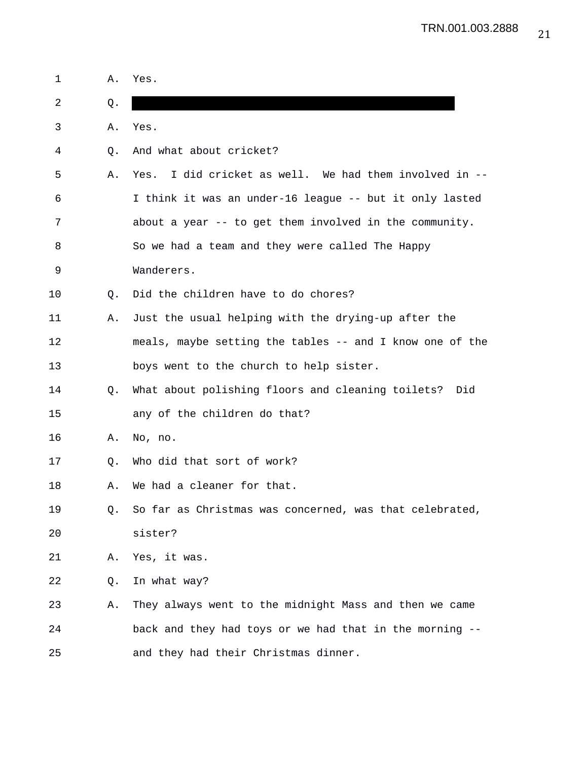| 1  | Α. | Yes.                                                      |
|----|----|-----------------------------------------------------------|
| 2  | Q. |                                                           |
| 3  | Α. | Yes.                                                      |
| 4  | Q. | And what about cricket?                                   |
| 5  | Α. | I did cricket as well. We had them involved in --<br>Yes. |
| 6  |    | I think it was an under-16 league -- but it only lasted   |
| 7  |    | about a year -- to get them involved in the community.    |
| 8  |    | So we had a team and they were called The Happy           |
| 9  |    | Wanderers.                                                |
| 10 | Q. | Did the children have to do chores?                       |
| 11 | А. | Just the usual helping with the drying-up after the       |
| 12 |    | meals, maybe setting the tables -- and I know one of the  |
| 13 |    | boys went to the church to help sister.                   |
| 14 | О. | What about polishing floors and cleaning toilets? Did     |
| 15 |    | any of the children do that?                              |
| 16 | Α. | No, no.                                                   |
| 17 | Q. | Who did that sort of work?                                |
| 18 | Α. | We had a cleaner for that.                                |
| 19 | 0. | So far as Christmas was concerned, was that celebrated,   |
| 20 |    | sister?                                                   |
| 21 | Α. | Yes, it was.                                              |
| 22 | Q. | In what way?                                              |
| 23 | Α. | They always went to the midnight Mass and then we came    |
| 24 |    | back and they had toys or we had that in the morning --   |
| 25 |    | and they had their Christmas dinner.                      |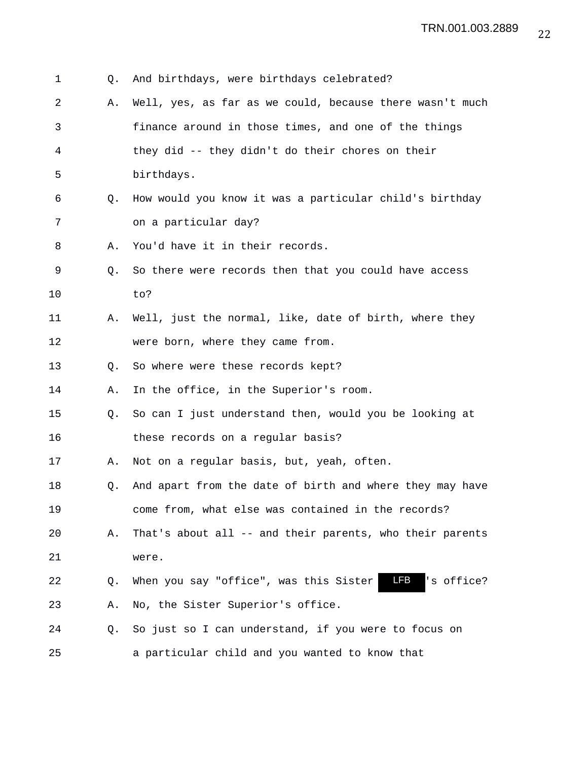| 1  | Q.             | And birthdays, were birthdays celebrated?                   |
|----|----------------|-------------------------------------------------------------|
| 2  | Α.             | Well, yes, as far as we could, because there wasn't much    |
| 3  |                | finance around in those times, and one of the things        |
| 4  |                | they did -- they didn't do their chores on their            |
| 5  |                | birthdays.                                                  |
| 6  | Q <sub>z</sub> | How would you know it was a particular child's birthday     |
| 7  |                | on a particular day?                                        |
| 8  | Α.             | You'd have it in their records.                             |
| 9  | Q.             | So there were records then that you could have access       |
| 10 |                | to?                                                         |
| 11 | Α.             | Well, just the normal, like, date of birth, where they      |
| 12 |                | were born, where they came from.                            |
| 13 | Q.             | So where were these records kept?                           |
| 14 | Α.             | In the office, in the Superior's room.                      |
| 15 | Q.             | So can I just understand then, would you be looking at      |
| 16 |                | these records on a regular basis?                           |
| 17 | Α.             | Not on a regular basis, but, yeah, often.                   |
| 18 | Q.             | And apart from the date of birth and where they may have    |
| 19 |                | come from, what else was contained in the records?          |
| 20 | Α.             | That's about all -- and their parents, who their parents    |
| 21 |                | were.                                                       |
| 22 | Q.             | LFB<br>'s office?<br>When you say "office", was this Sister |
| 23 | Α.             | No, the Sister Superior's office.                           |
| 24 | Q.             | So just so I can understand, if you were to focus on        |
| 25 |                | a particular child and you wanted to know that              |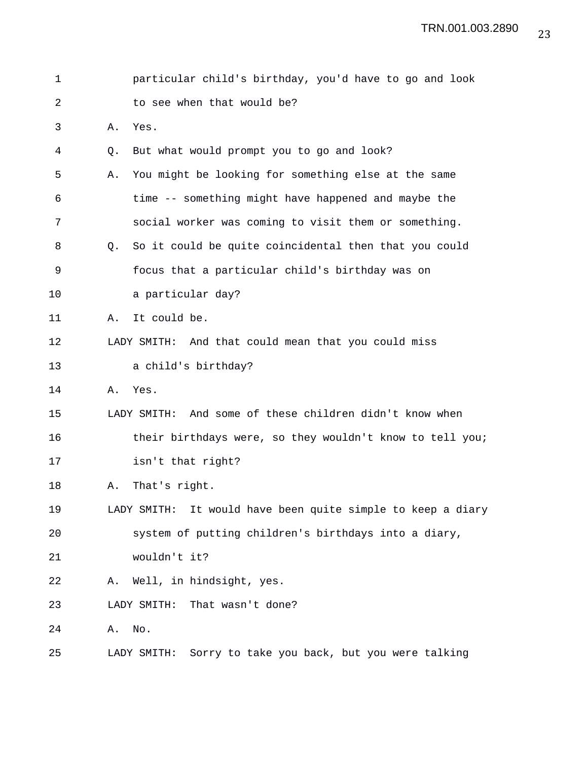| 1  |    | particular child's birthday, you'd have to go and look      |
|----|----|-------------------------------------------------------------|
| 2  |    | to see when that would be?                                  |
| 3  | Α. | Yes.                                                        |
| 4  | Q. | But what would prompt you to go and look?                   |
| 5  | Α. | You might be looking for something else at the same         |
| 6  |    | time -- something might have happened and maybe the         |
| 7  |    | social worker was coming to visit them or something.        |
| 8  | Q. | So it could be quite coincidental then that you could       |
| 9  |    | focus that a particular child's birthday was on             |
| 10 |    | a particular day?                                           |
| 11 | Α. | It could be.                                                |
| 12 |    | LADY SMITH: And that could mean that you could miss         |
| 13 |    | a child's birthday?                                         |
| 14 | Α. | Yes.                                                        |
| 15 |    | LADY SMITH: And some of these children didn't know when     |
| 16 |    | their birthdays were, so they wouldn't know to tell you;    |
| 17 |    | isn't that right?                                           |
| 18 | Α. | That's right.                                               |
| 19 |    | LADY SMITH: It would have been quite simple to keep a diary |
| 20 |    | system of putting children's birthdays into a diary,        |
| 21 |    | wouldn't it?                                                |
| 22 |    | A. Well, in hindsight, yes.                                 |
| 23 |    | LADY SMITH:<br>That wasn't done?                            |
| 24 | Α. | No.                                                         |
| 25 |    | Sorry to take you back, but you were talking<br>LADY SMITH: |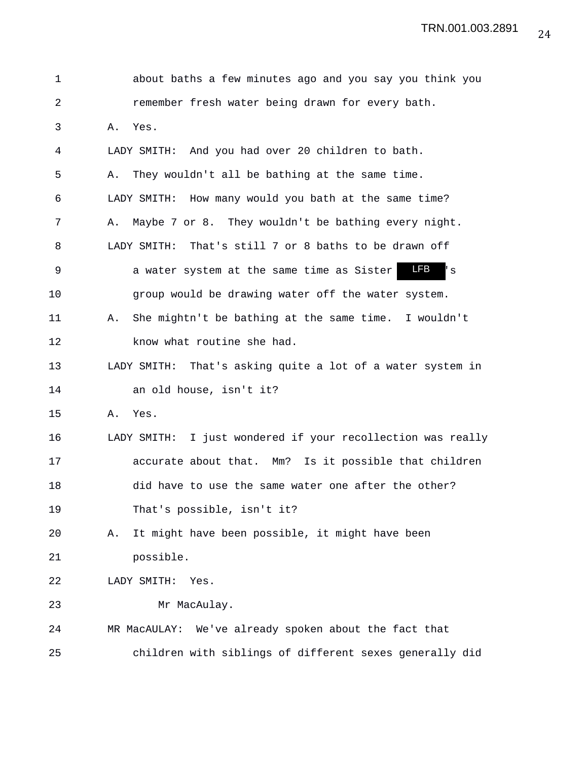TRN.001.003.2891

| $\mathbf 1$ |    | about baths a few minutes ago and you say you think you        |
|-------------|----|----------------------------------------------------------------|
| 2           |    | remember fresh water being drawn for every bath.               |
| 3           | Α. | Yes.                                                           |
| 4           |    | LADY SMITH: And you had over 20 children to bath.              |
| 5           | Α. | They wouldn't all be bathing at the same time.                 |
| 6           |    | LADY SMITH: How many would you bath at the same time?          |
| 7           | Α. | Maybe 7 or 8. They wouldn't be bathing every night.            |
| 8           |    | LADY SMITH: That's still 7 or 8 baths to be drawn off          |
| $\mathsf 9$ |    | <b>LFB</b><br>a water system at the same time as Sister<br>' s |
| 10          |    | group would be drawing water off the water system.             |
| 11          | Α. | She mightn't be bathing at the same time. I wouldn't           |
| 12          |    | know what routine she had.                                     |
| 13          |    | That's asking quite a lot of a water system in<br>LADY SMITH:  |
| 14          |    | an old house, isn't it?                                        |
| 15          | Α. | Yes.                                                           |
| 16          |    | LADY SMITH: I just wondered if your recollection was really    |
| 17          |    | accurate about that. Mm? Is it possible that children          |
| 18          |    | did have to use the same water one after the other?            |
| 19          |    | That's possible, isn't it?                                     |
| 20          | Α. | It might have been possible, it might have been                |
| 21          |    | possible.                                                      |
| 22          |    | LADY SMITH:<br>Yes.                                            |
| 23          |    | Mr MacAulay.                                                   |
| 24          |    | We've already spoken about the fact that<br>MR MacAULAY:       |
| 25          |    | children with siblings of different sexes generally did        |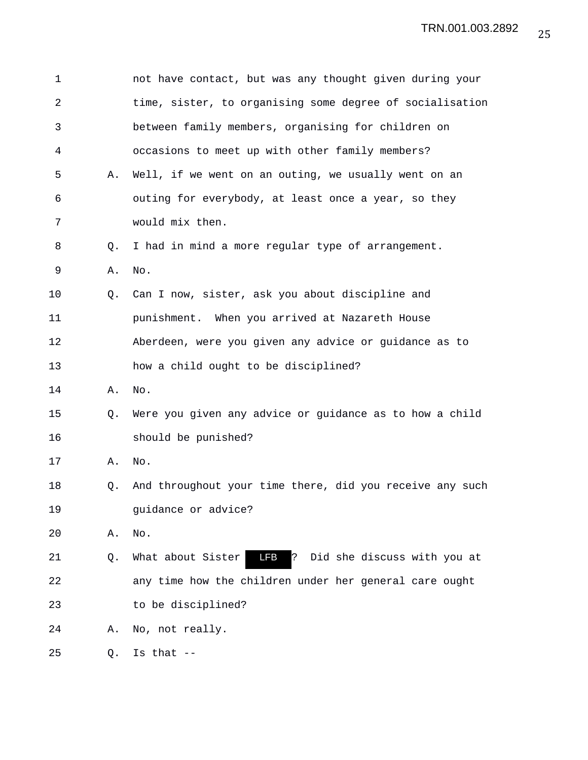| 1  |    | not have contact, but was any thought given during your       |
|----|----|---------------------------------------------------------------|
| 2  |    | time, sister, to organising some degree of socialisation      |
| 3  |    | between family members, organising for children on            |
| 4  |    | occasions to meet up with other family members?               |
| 5  | Α. | Well, if we went on an outing, we usually went on an          |
| 6  |    | outing for everybody, at least once a year, so they           |
| 7  |    | would mix then.                                               |
| 8  | Q. | I had in mind a more regular type of arrangement.             |
| 9  | Α. | No.                                                           |
| 10 | Q. | Can I now, sister, ask you about discipline and               |
| 11 |    | punishment. When you arrived at Nazareth House                |
| 12 |    | Aberdeen, were you given any advice or guidance as to         |
| 13 |    | how a child ought to be disciplined?                          |
| 14 | Α. | No.                                                           |
| 15 | Q. | Were you given any advice or guidance as to how a child       |
| 16 |    | should be punished?                                           |
| 17 | Α. | No.                                                           |
| 18 | Q. | And throughout your time there, did you receive any such      |
| 19 |    | guidance or advice?                                           |
| 20 | Α. | No.                                                           |
| 21 | Q. | LFB<br>ļ5<br>Did she discuss with you at<br>What about Sister |
| 22 |    | any time how the children under her general care ought        |
| 23 |    | to be disciplined?                                            |
| 24 | Α. | No, not really.                                               |
| 25 | Q. | Is that $--$                                                  |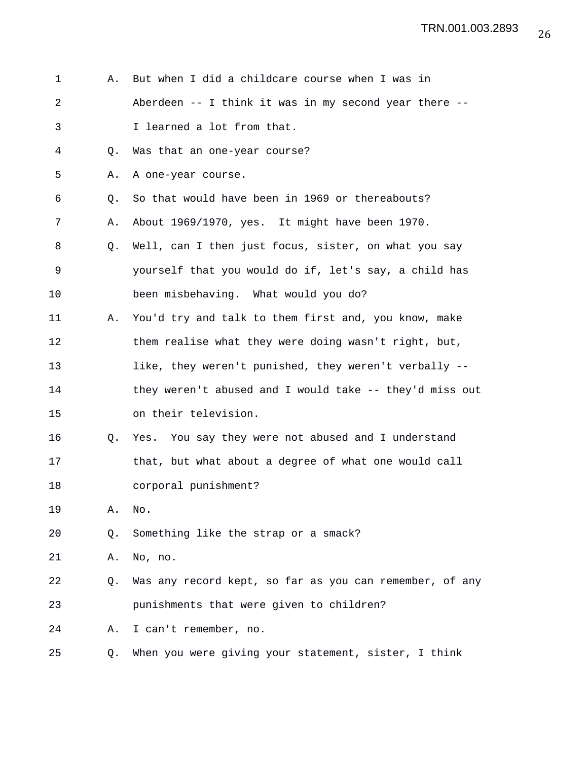| 1  | Α. | But when I did a childcare course when I was in           |
|----|----|-----------------------------------------------------------|
| 2  |    | Aberdeen $--$ I think it was in my second year there $--$ |
| 3  |    | I learned a lot from that.                                |
| 4  | Q. | Was that an one-year course?                              |
| 5  | Α. | A one-year course.                                        |
| 6  | Q. | So that would have been in 1969 or thereabouts?           |
| 7  | Α. | About 1969/1970, yes. It might have been 1970.            |
| 8  | Q. | Well, can I then just focus, sister, on what you say      |
| 9  |    | yourself that you would do if, let's say, a child has     |
| 10 |    | been misbehaving. What would you do?                      |
| 11 | Α. | You'd try and talk to them first and, you know, make      |
| 12 |    | them realise what they were doing wasn't right, but,      |
| 13 |    | like, they weren't punished, they weren't verbally --     |
| 14 |    | they weren't abused and I would take -- they'd miss out   |
| 15 |    | on their television.                                      |
| 16 | Q. | Yes. You say they were not abused and I understand        |
| 17 |    | that, but what about a degree of what one would call      |
| 18 |    | corporal punishment?                                      |
| 19 | Α. | No.                                                       |
| 20 | Q. | Something like the strap or a smack?                      |
| 21 | Α. | No, no.                                                   |
| 22 | Q. | Was any record kept, so far as you can remember, of any   |
| 23 |    | punishments that were given to children?                  |
| 24 | Α. | I can't remember, no.                                     |
| 25 | Q. | When you were giving your statement, sister, I think      |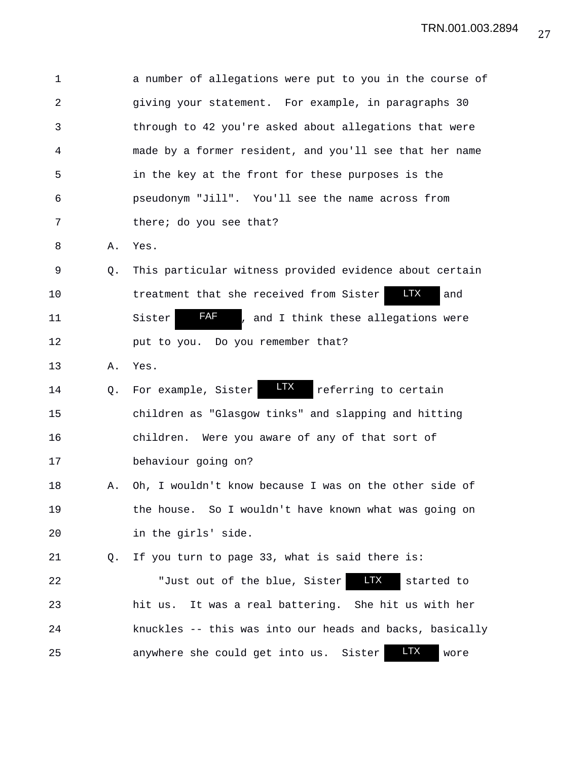| 1              |    | a number of allegations were put to you in the course of     |
|----------------|----|--------------------------------------------------------------|
| $\overline{a}$ |    | giving your statement. For example, in paragraphs 30         |
| 3              |    | through to 42 you're asked about allegations that were       |
| 4              |    | made by a former resident, and you'll see that her name      |
| 5              |    | in the key at the front for these purposes is the            |
| 6              |    | pseudonym "Jill". You'll see the name across from            |
| 7              |    | there; do you see that?                                      |
| 8              | Α. | Yes.                                                         |
| 9              | Q. | This particular witness provided evidence about certain      |
| 10             |    | <b>LTX</b><br>treatment that she received from Sister<br>and |
| 11             |    | FAF<br>Sister<br>, and I think these allegations were        |
| 12             |    | put to you. Do you remember that?                            |
| 13             | Α. | Yes.                                                         |
| 14             | Q. | <b>LTX</b><br>referring to certain<br>For example, Sister    |
| 15             |    | children as "Glasgow tinks" and slapping and hitting         |
| 16             |    | children. Were you aware of any of that sort of              |
| 17             |    | behaviour going on?                                          |
| 18             | Α. | Oh, I wouldn't know because I was on the other side of       |
| 19             |    | the house. So I wouldn't have known what was going on        |
| 20             |    | in the girls' side.                                          |
| 21             | Q. | If you turn to page 33, what is said there is:               |
| 22             |    | <b>LTX</b><br>"Just out of the blue, Sister<br>started to    |
| 23             |    | hit us. It was a real battering. She hit us with her         |
| 24             |    | knuckles -- this was into our heads and backs, basically     |
| 25             |    | <b>LTX</b><br>anywhere she could get into us. Sister<br>wore |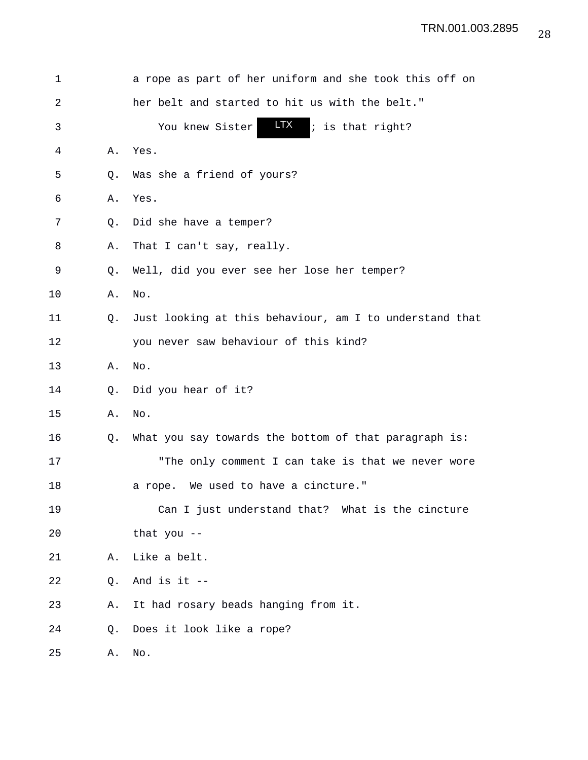| 1  |    | a rope as part of her uniform and she took this off on  |
|----|----|---------------------------------------------------------|
| 2  |    | her belt and started to hit us with the belt."          |
| 3  |    | <b>LTX</b><br>; is that right?<br>You knew Sister       |
| 4  | Α. | Yes.                                                    |
| 5  | Q. | Was she a friend of yours?                              |
| 6  | Α. | Yes.                                                    |
| 7  | Q. | Did she have a temper?                                  |
| 8  | Α. | That I can't say, really.                               |
| 9  | Q. | Well, did you ever see her lose her temper?             |
| 10 | Α. | No.                                                     |
| 11 | Q. | Just looking at this behaviour, am I to understand that |
| 12 |    | you never saw behaviour of this kind?                   |
| 13 | Α. | No.                                                     |
| 14 | Q. | Did you hear of it?                                     |
| 15 | Α. | No.                                                     |
| 16 | Q. | What you say towards the bottom of that paragraph is:   |
| 17 |    | "The only comment I can take is that we never wore      |
| 18 |    | a rope. We used to have a cincture."                    |
| 19 |    | Can I just understand that? What is the cincture        |
| 20 |    | that you $-$                                            |
| 21 | Α. | Like a belt.                                            |
| 22 | Q. | And is it $-$                                           |
| 23 | Α. | It had rosary beads hanging from it.                    |
| 24 | Q. | Does it look like a rope?                               |
| 25 | Α. | No.                                                     |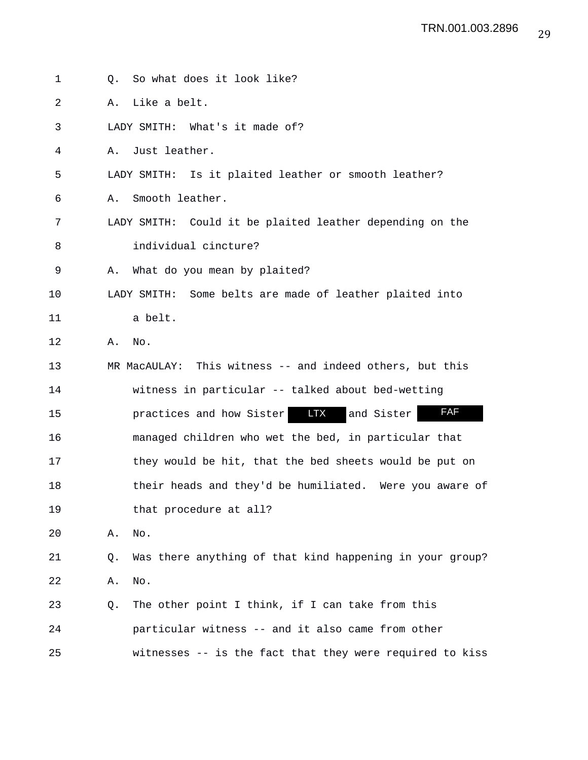| 1  | So what does it look like?<br>Q.                               |
|----|----------------------------------------------------------------|
| 2  | Like a belt.<br>Α.                                             |
| 3  | LADY SMITH: What's it made of?                                 |
| 4  | Just leather.<br>Α.                                            |
| 5  | LADY SMITH: Is it plaited leather or smooth leather?           |
| 6  | Smooth leather.<br>Α.                                          |
| 7  | LADY SMITH: Could it be plaited leather depending on the       |
| 8  | individual cincture?                                           |
| 9  | What do you mean by plaited?<br>Α.                             |
| 10 | LADY SMITH: Some belts are made of leather plaited into        |
| 11 | a belt.                                                        |
| 12 | Α.<br>No.                                                      |
| 13 | MR MacAULAY: This witness -- and indeed others, but this       |
| 14 | witness in particular -- talked about bed-wetting              |
| 15 | FAF<br><b>LTX</b><br>and Sister<br>practices and how Sister    |
| 16 | managed children who wet the bed, in particular that           |
| 17 | they would be hit, that the bed sheets would be put on         |
| 18 | their heads and they'd be humiliated. Were you aware of        |
| 19 | that procedure at all?                                         |
| 20 | Α.<br>No.                                                      |
| 21 | Was there anything of that kind happening in your group?<br>Q. |
| 22 | No.<br>Α.                                                      |
| 23 | The other point I think, if I can take from this<br>Q.         |
| 24 | particular witness -- and it also came from other              |
| 25 | witnesses -- is the fact that they were required to kiss       |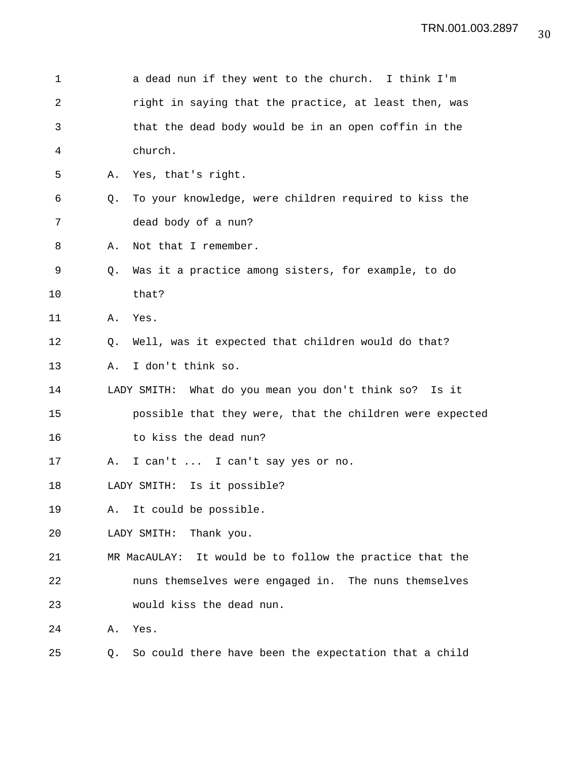| 1  |    | a dead nun if they went to the church. I think I'm          |
|----|----|-------------------------------------------------------------|
| 2  |    | right in saying that the practice, at least then, was       |
| 3  |    | that the dead body would be in an open coffin in the        |
| 4  |    | church.                                                     |
| 5  | Α. | Yes, that's right.                                          |
| 6  | Q. | To your knowledge, were children required to kiss the       |
| 7  |    | dead body of a nun?                                         |
| 8  | Α. | Not that I remember.                                        |
| 9  | Q. | Was it a practice among sisters, for example, to do         |
| 10 |    | that?                                                       |
| 11 | Α. | Yes.                                                        |
| 12 | O. | Well, was it expected that children would do that?          |
| 13 | Α. | I don't think so.                                           |
| 14 |    | LADY SMITH: What do you mean you don't think so?<br>Is it   |
| 15 |    | possible that they were, that the children were expected    |
| 16 |    | to kiss the dead nun?                                       |
| 17 | Α. | I can't  I can't say yes or no.                             |
| 18 |    | LADY SMITH: Is it possible?                                 |
| 19 | Α. | It could be possible.                                       |
| 20 |    | Thank you.<br>LADY SMITH:                                   |
| 21 |    | It would be to follow the practice that the<br>MR MacAULAY: |
| 22 |    | nuns themselves were engaged in. The nuns themselves        |
| 23 |    | would kiss the dead nun.                                    |
| 24 | Α. | Yes.                                                        |
| 25 | Q. | So could there have been the expectation that a child       |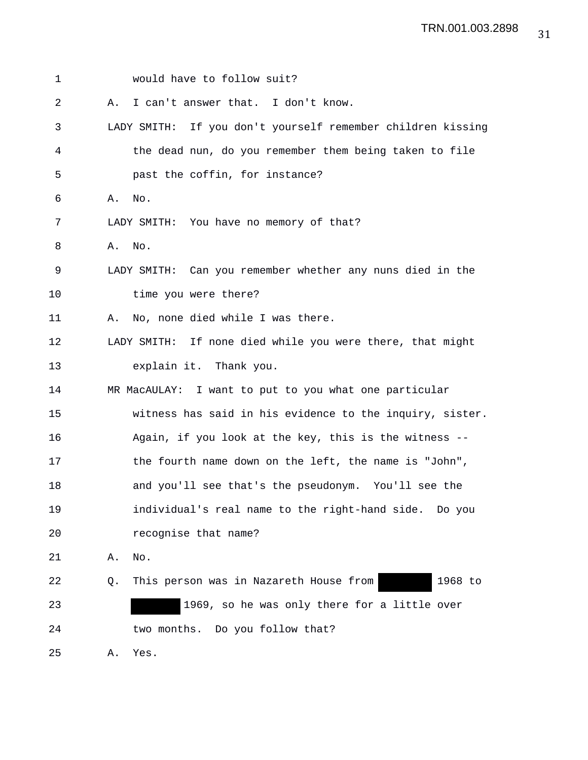| 1  |    | would have to follow suit?                                  |
|----|----|-------------------------------------------------------------|
| 2  | Α. | I can't answer that. I don't know.                          |
| 3  |    | LADY SMITH: If you don't yourself remember children kissing |
| 4  |    | the dead nun, do you remember them being taken to file      |
| 5  |    | past the coffin, for instance?                              |
| 6  |    | A. No.                                                      |
| 7  |    | LADY SMITH: You have no memory of that?                     |
| 8  | Α. | No.                                                         |
| 9  |    | LADY SMITH: Can you remember whether any nuns died in the   |
| 10 |    | time you were there?                                        |
| 11 | Α. | No, none died while I was there.                            |
| 12 |    | LADY SMITH: If none died while you were there, that might   |
| 13 |    | explain it. Thank you.                                      |
| 14 |    | MR MacAULAY: I want to put to you what one particular       |
| 15 |    | witness has said in his evidence to the inquiry, sister.    |
| 16 |    | Again, if you look at the key, this is the witness --       |
| 17 |    | the fourth name down on the left, the name is "John",       |
| 18 |    | and you'll see that's the pseudonym. You'll see the         |
| 19 |    | individual's real name to the right-hand side. Do you       |
| 20 |    | recognise that name?                                        |
| 21 | Α. | No.                                                         |
| 22 | Q. | 1968 to<br>This person was in Nazareth House from           |
| 23 |    | 1969, so he was only there for a little over                |
| 24 |    | two months. Do you follow that?                             |
| 25 | Α. | Yes.                                                        |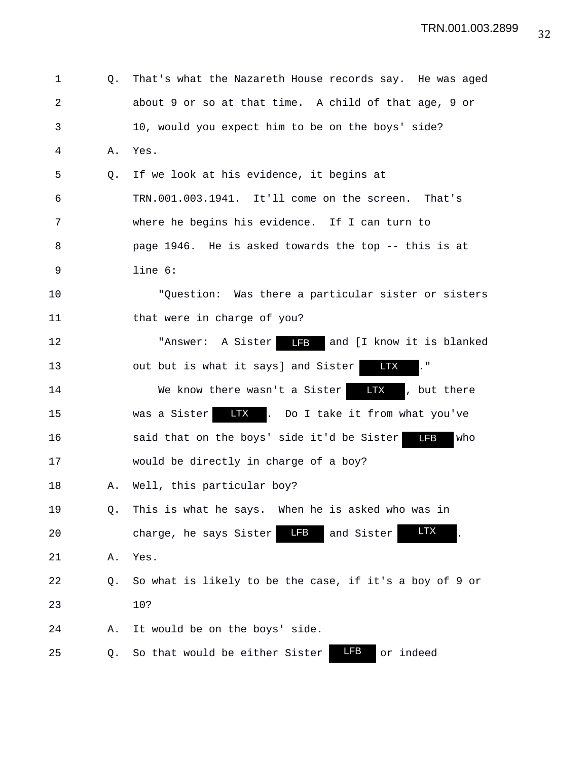| 1              | Q. | That's what the Nazareth House records say. He was aged                           |
|----------------|----|-----------------------------------------------------------------------------------|
| $\overline{a}$ |    | about 9 or so at that time. A child of that age, 9 or                             |
| 3              |    | 10, would you expect him to be on the boys' side?                                 |
| 4              | Α. | Yes.                                                                              |
| 5              | Q. | If we look at his evidence, it begins at                                          |
| 6              |    | TRN.001.003.1941. It'll come on the screen. That's                                |
| 7              |    | where he begins his evidence. If I can turn to                                    |
| 8              |    | page 1946. He is asked towards the top -- this is at                              |
| 9              |    | line 6:                                                                           |
| 10             |    | "Question: Was there a particular sister or sisters                               |
| 11             |    | that were in charge of you?                                                       |
| 12             |    | "Answer: A Sister <b>13</b> and [I know it is blanked                             |
| 13             |    | out but is what it says] and Sister<br><b>LTX</b>                                 |
| 14             |    | <b>LTX</b><br>, but there<br>We know there wasn't a Sister                        |
| 15             |    | was a Sister <b>LTX</b> . Do I take it from what you've                           |
| 16             |    | $\overline{\phantom{a}}$ LFB<br>said that on the boys' side it'd be Sister<br>who |
| 17             |    | would be directly in charge of a boy?                                             |
| 18             | Α. | Well, this particular boy?                                                        |
| 19             | Q. | This is what he says. When he is asked who was in                                 |
| 20             |    | <b>LTX</b><br>LFB<br>and Sister<br>charge, he says Sister                         |
| 21             | Α. | Yes.                                                                              |
| 22             | Q. | So what is likely to be the case, if it's a boy of 9 or                           |
| 23             |    | 10?                                                                               |
| 24             | Α. | It would be on the boys' side.                                                    |
| 25             | Q. | LFB<br>So that would be either Sister<br>or indeed                                |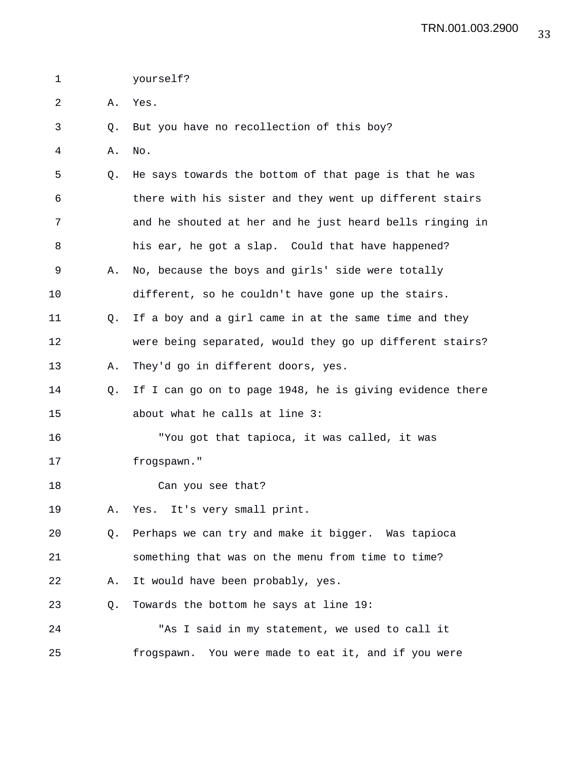1 yourself?

- 2 A. Yes.
- 3 Q. But you have no recollection of this boy?
- 4 A. No.

5 Q. He says towards the bottom of that page is that he was 6 there with his sister and they went up different stairs 7 and he shouted at her and he just heard bells ringing in 8 his ear, he got a slap. Could that have happened? 9 A. No, because the boys and girls' side were totally 10 different, so he couldn't have gone up the stairs. 11 Q. If a boy and a girl came in at the same time and they 12 were being separated, would they go up different stairs? 13 A. They'd go in different doors, yes.

14 Q. If I can go on to page 1948, he is giving evidence there 15 about what he calls at line 3:

16 "You got that tapioca, it was called, it was 17 frogspawn."

- 18 Can you see that?
- 19 A. Yes. It's very small print.

20 Q. Perhaps we can try and make it bigger. Was tapioca 21 something that was on the menu from time to time?

22 A. It would have been probably, yes.

23 Q. Towards the bottom he says at line 19:

24 "As I said in my statement, we used to call it 25 frogspawn. You were made to eat it, and if you were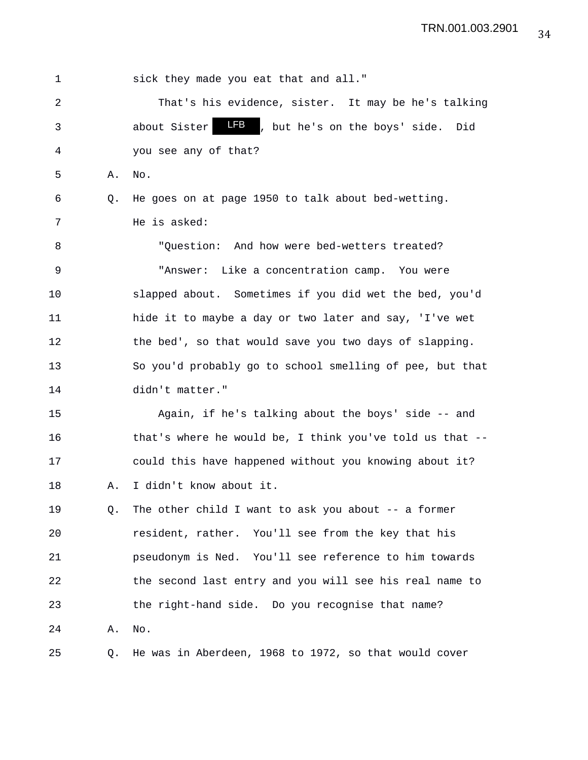1 sick they made you eat that and all." 2 That's his evidence, sister. It may be he's talking 3 about Sister **LFB**, but he's on the boys' side. Did 4 you see any of that? 5 A. No. 6 Q. He goes on at page 1950 to talk about bed-wetting. 7 He is asked: 8 "Question: And how were bed-wetters treated? 9 "Answer: Like a concentration camp. You were 10 slapped about. Sometimes if you did wet the bed, you'd 11 hide it to maybe a day or two later and say, 'I've wet 12 the bed', so that would save you two days of slapping. 13 So you'd probably go to school smelling of pee, but that 14 didn't matter." 15 Again, if he's talking about the boys' side -- and 16 that's where he would be, I think you've told us that -- 17 could this have happened without you knowing about it? 18 A. I didn't know about it. 19 Q. The other child I want to ask you about -- a former 20 resident, rather. You'll see from the key that his 21 pseudonym is Ned. You'll see reference to him towards 22 the second last entry and you will see his real name to 23 the right-hand side. Do you recognise that name? 24 A. No. 25 Q. He was in Aberdeen, 1968 to 1972, so that would cover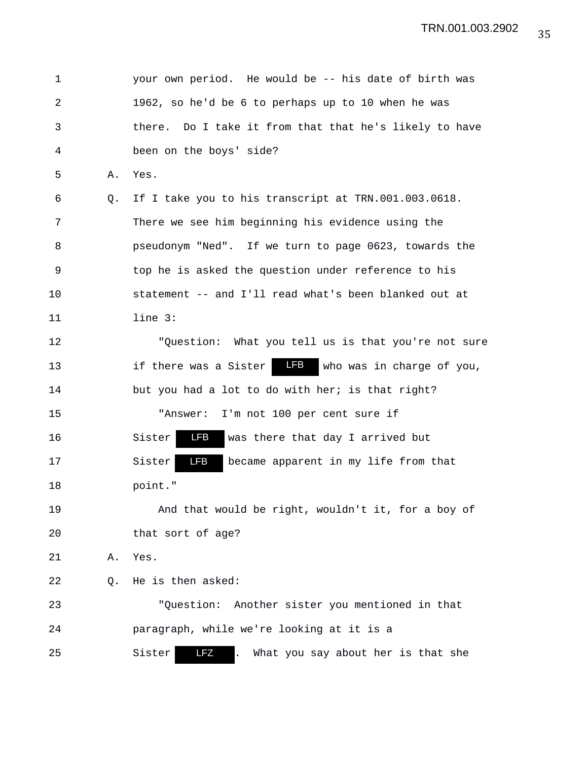1 your own period. He would be -- his date of birth was 2 1962, so he'd be 6 to perhaps up to 10 when he was 3 there. Do I take it from that that he's likely to have 4 been on the boys' side? 5 A. Yes. 6 Q. If I take you to his transcript at TRN.001.003.0618. 7 There we see him beginning his evidence using the 8 pseudonym "Ned". If we turn to page 0623, towards the 9 top he is asked the question under reference to his 10 statement -- and I'll read what's been blanked out at 11 line 3: 12 "Question: What you tell us is that you're not sure 13 if there was a Sister **LFB** who was in charge of you, 14 but you had a lot to do with her; is that right? 15 "Answer: I'm not 100 per cent sure if 16 Sister LFB was there that day I arrived but 17 Sister **IB** became apparent in my life from that 18 point." 19 And that would be right, wouldn't it, for a boy of 20 that sort of age? 21 A. Yes. 22 Q. He is then asked: 23 "Question: Another sister you mentioned in that 24 paragraph, while we're looking at it is a 25 Sister LFZ . What you say about her is that she LFZ LFB LFB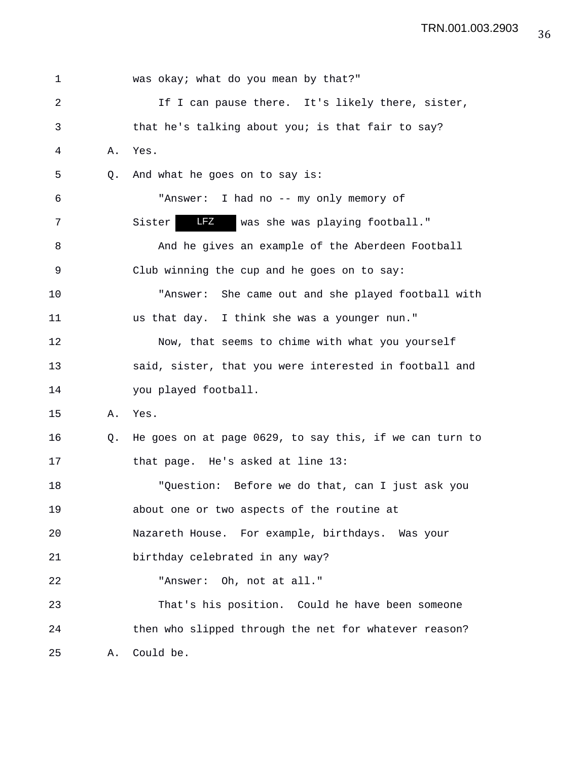| 1  |    | was okay; what do you mean by that?"                    |
|----|----|---------------------------------------------------------|
| 2  |    | If I can pause there. It's likely there, sister,        |
| 3  |    | that he's talking about you; is that fair to say?       |
| 4  | Α. | Yes.                                                    |
| 5  | Q. | And what he goes on to say is:                          |
| 6  |    | "Answer: I had no -- my only memory of                  |
| 7  |    | LFZ<br>was she was playing football."<br>Sister         |
| 8  |    | And he gives an example of the Aberdeen Football        |
| 9  |    | Club winning the cup and he goes on to say:             |
| 10 |    | "Answer: She came out and she played football with      |
| 11 |    | us that day. I think she was a younger nun."            |
| 12 |    | Now, that seems to chime with what you yourself         |
| 13 |    | said, sister, that you were interested in football and  |
| 14 |    | you played football.                                    |
| 15 | Α. | Yes.                                                    |
| 16 | Q. | He goes on at page 0629, to say this, if we can turn to |
| 17 |    | that page. He's asked at line 13:                       |
| 18 |    | "Question: Before we do that, can I just ask you        |
| 19 |    | about one or two aspects of the routine at              |
| 20 |    | Nazareth House. For example, birthdays. Was your        |
| 21 |    | birthday celebrated in any way?                         |
| 22 |    | "Answer: Oh, not at all."                               |
| 23 |    | That's his position. Could he have been someone         |
| 24 |    | then who slipped through the net for whatever reason?   |
| 25 | Α. | Could be.                                               |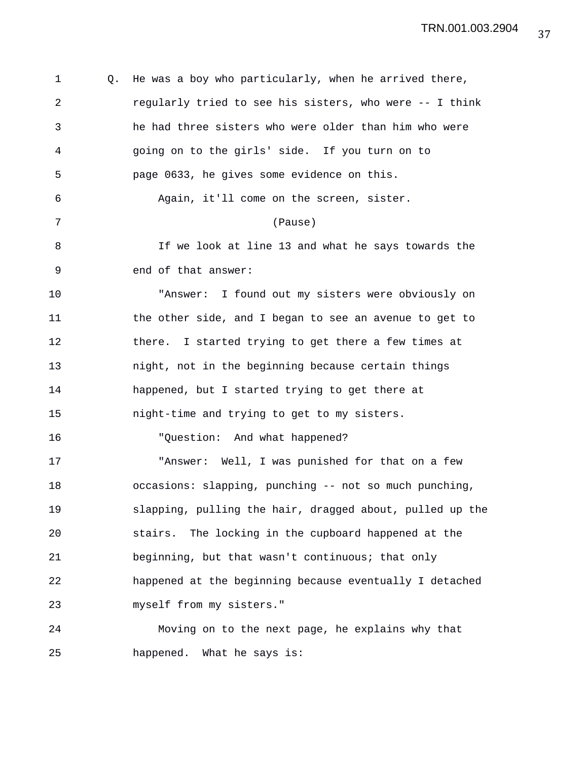| 1  | Q. | He was a boy who particularly, when he arrived there,    |
|----|----|----------------------------------------------------------|
| 2  |    | regularly tried to see his sisters, who were -- I think  |
| 3  |    | he had three sisters who were older than him who were    |
| 4  |    | going on to the girls' side. If you turn on to           |
| 5  |    | page 0633, he gives some evidence on this.               |
| 6  |    | Again, it'll come on the screen, sister.                 |
| 7  |    | (Pause)                                                  |
| 8  |    | If we look at line 13 and what he says towards the       |
| 9  |    | end of that answer:                                      |
| 10 |    | "Answer: I found out my sisters were obviously on        |
| 11 |    | the other side, and I began to see an avenue to get to   |
| 12 |    | there. I started trying to get there a few times at      |
| 13 |    | night, not in the beginning because certain things       |
| 14 |    | happened, but I started trying to get there at           |
| 15 |    | night-time and trying to get to my sisters.              |
| 16 |    | "Question: And what happened?                            |
| 17 |    | "Answer: Well, I was punished for that on a few          |
| 18 |    | occasions: slapping, punching -- not so much punching,   |
| 19 |    | slapping, pulling the hair, dragged about, pulled up the |
| 20 |    | The locking in the cupboard happened at the<br>stairs.   |
| 21 |    | beginning, but that wasn't continuous; that only         |
| 22 |    | happened at the beginning because eventually I detached  |
| 23 |    | myself from my sisters."                                 |
| 24 |    | Moving on to the next page, he explains why that         |
| 25 |    | happened. What he says is:                               |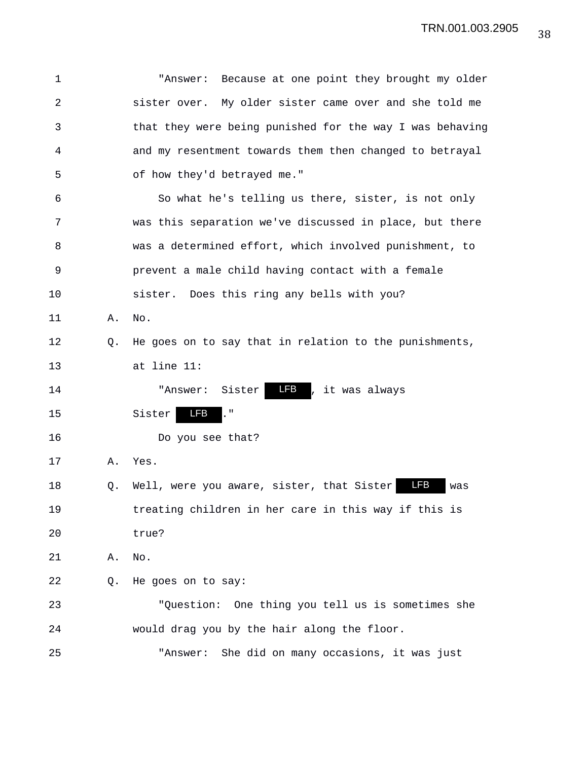| 1  |    | Because at one point they brought my older<br>"Answer:         |
|----|----|----------------------------------------------------------------|
| 2  |    | sister over. My older sister came over and she told me         |
| 3  |    | that they were being punished for the way I was behaving       |
| 4  |    | and my resentment towards them then changed to betrayal        |
| 5  |    | of how they'd betrayed me."                                    |
| 6  |    | So what he's telling us there, sister, is not only             |
| 7  |    | was this separation we've discussed in place, but there        |
| 8  |    | was a determined effort, which involved punishment, to         |
| 9  |    | prevent a male child having contact with a female              |
| 10 |    | sister. Does this ring any bells with you?                     |
| 11 | Α. | No.                                                            |
| 12 | Q. | He goes on to say that in relation to the punishments,         |
| 13 |    | at line 11:                                                    |
| 14 |    | <b>LFB</b><br>, it was always<br>Sister<br>"Answer:            |
| 15 |    | <b>LFB</b><br>$\mathsf{L}^{\mathsf{u}}$<br>Sister              |
| 16 |    | Do you see that?                                               |
| 17 | Α. | Yes.                                                           |
| 18 | Q. | <b>LFB</b><br>Well, were you aware, sister, that Sister<br>was |
| 19 |    | treating children in her care in this way if this is           |
| 20 |    | true?                                                          |
| 21 | Α. | No.                                                            |
| 22 | Q. | He goes on to say:                                             |
| 23 |    | "Question: One thing you tell us is sometimes she              |
| 24 |    | would drag you by the hair along the floor.                    |
| 25 |    | She did on many occasions, it was just<br>"Answer:             |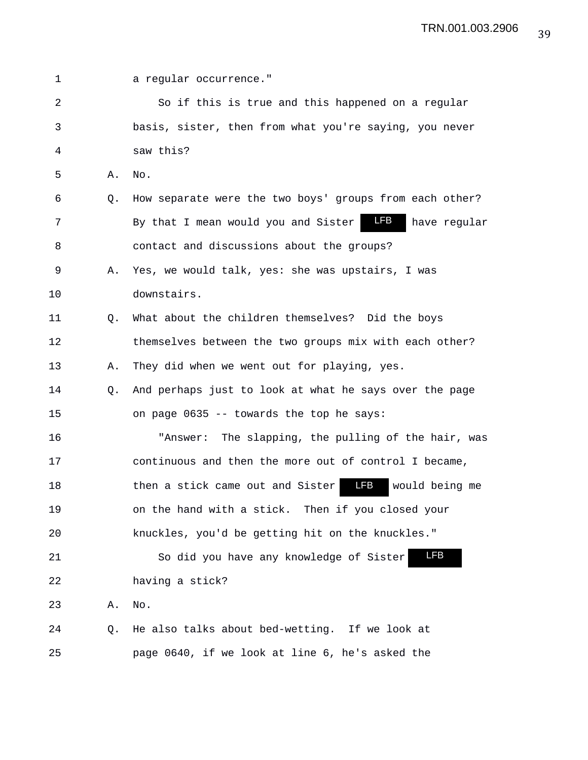| 1  |    | a regular occurrence."                                            |
|----|----|-------------------------------------------------------------------|
| 2  |    | So if this is true and this happened on a regular                 |
| 3  |    | basis, sister, then from what you're saying, you never            |
| 4  |    | saw this?                                                         |
| 5  | Α. | No.                                                               |
| 6  | Q. | How separate were the two boys' groups from each other?           |
| 7  |    | <b>LFB</b><br>By that I mean would you and Sister<br>have regular |
| 8  |    | contact and discussions about the groups?                         |
| 9  | Α. | Yes, we would talk, yes: she was upstairs, I was                  |
| 10 |    | downstairs.                                                       |
| 11 | Q. | What about the children themselves? Did the boys                  |
| 12 |    | themselves between the two groups mix with each other?            |
| 13 | Α. | They did when we went out for playing, yes.                       |
| 14 | Q. | And perhaps just to look at what he says over the page            |
| 15 |    | on page 0635 -- towards the top he says:                          |
| 16 |    | The slapping, the pulling of the hair, was<br>"Answer:            |
| 17 |    | continuous and then the more out of control I became,             |
| 18 |    | LFB<br>then a stick came out and Sister<br>would being me         |
| 19 |    | on the hand with a stick. Then if you closed your                 |
| 20 |    | knuckles, you'd be getting hit on the knuckles."                  |
| 21 |    | <b>LFB</b><br>So did you have any knowledge of Sister             |
| 22 |    | having a stick?                                                   |
| 23 | Α. | No.                                                               |
| 24 | Q. | He also talks about bed-wetting. If we look at                    |
| 25 |    | page 0640, if we look at line 6, he's asked the                   |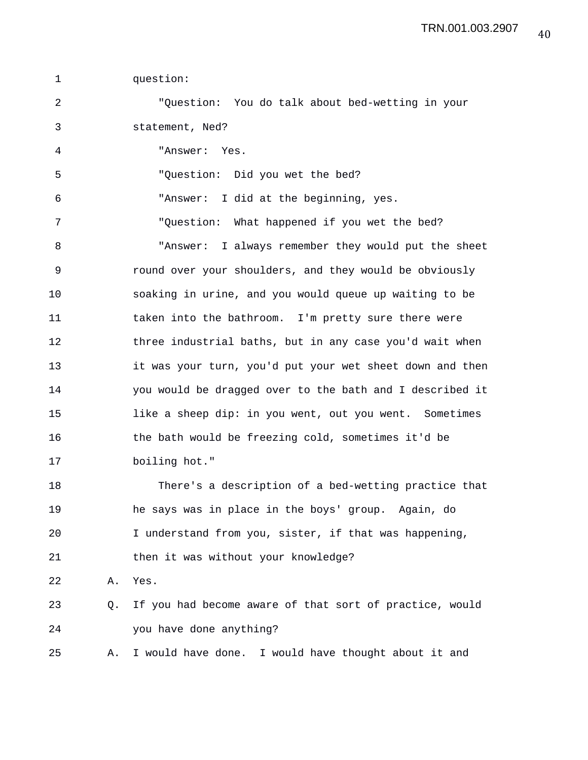1 question: 2 "Question: You do talk about bed-wetting in your 3 statement, Ned? 4 "Answer: Yes. 5 "Question: Did you wet the bed? 6 "Answer: I did at the beginning, yes. 7 "Question: What happened if you wet the bed? 8 "Answer: I always remember they would put the sheet 9 round over your shoulders, and they would be obviously 10 soaking in urine, and you would queue up waiting to be 11 taken into the bathroom. I'm pretty sure there were 12 three industrial baths, but in any case you'd wait when 13 it was your turn, you'd put your wet sheet down and then 14 you would be dragged over to the bath and I described it 15 like a sheep dip: in you went, out you went. Sometimes 16 the bath would be freezing cold, sometimes it'd be 17 boiling hot." 18 There's a description of a bed-wetting practice that 19 he says was in place in the boys' group. Again, do 20 I understand from you, sister, if that was happening, 21 then it was without your knowledge? 22 A. Yes. 23 Q. If you had become aware of that sort of practice, would 24 you have done anything? 25 A. I would have done. I would have thought about it and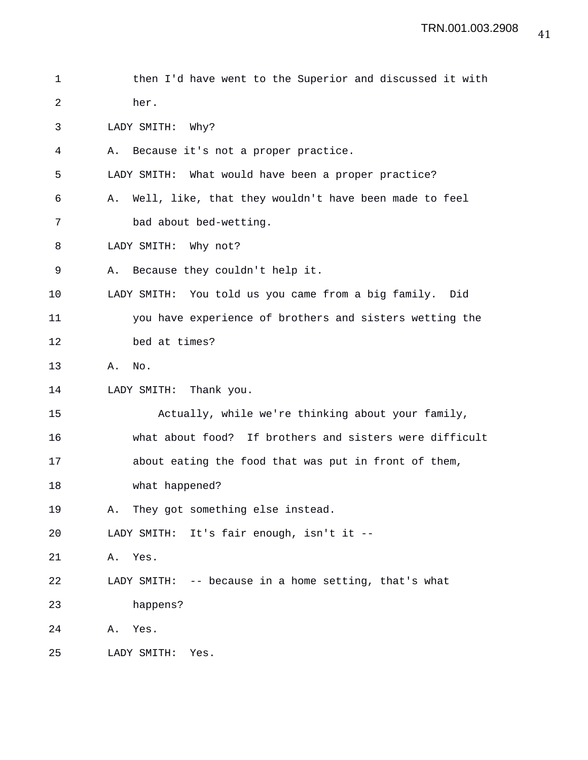```
1 then I'd have went to the Superior and discussed it with
2 her.
3 LADY SMITH: Why?
4 A. Because it's not a proper practice.
5 LADY SMITH: What would have been a proper practice?
6 A. Well, like, that they wouldn't have been made to feel
7 bad about bed-wetting.
8 LADY SMITH: Why not?
9 A. Because they couldn't help it.
10 LADY SMITH: You told us you came from a big family. Did
11 you have experience of brothers and sisters wetting the
12 bed at times?
13 A. No.
14 LADY SMITH: Thank you.
15 Actually, while we're thinking about your family,
16 what about food? If brothers and sisters were difficult
17 about eating the food that was put in front of them,
18 what happened?
19 A. They got something else instead.
20 LADY SMITH: It's fair enough, isn't it --
21 A. Yes.
22 LADY SMITH: -- because in a home setting, that's what
23 happens?
24 A. Yes.
25 LADY SMITH: Yes.
```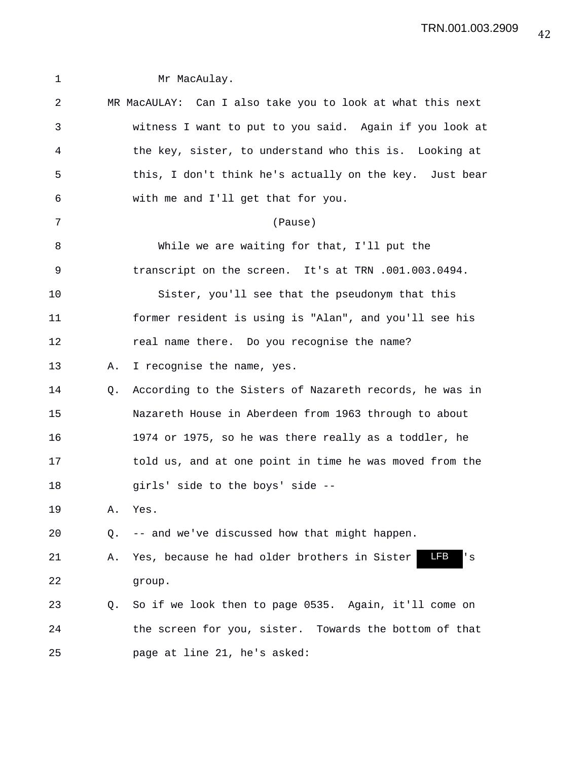| $\mathbf 1$ |    | Mr MacAulay.                                                      |
|-------------|----|-------------------------------------------------------------------|
| 2           |    | MR MacAULAY: Can I also take you to look at what this next        |
| 3           |    | witness I want to put to you said. Again if you look at           |
| 4           |    | the key, sister, to understand who this is. Looking at            |
| 5           |    | this, I don't think he's actually on the key. Just bear           |
| 6           |    | with me and I'll get that for you.                                |
| 7           |    | (Pause)                                                           |
| 8           |    | While we are waiting for that, I'll put the                       |
| 9           |    | transcript on the screen. It's at TRN .001.003.0494.              |
| 10          |    | Sister, you'll see that the pseudonym that this                   |
| 11          |    | former resident is using is "Alan", and you'll see his            |
| 12          |    | real name there. Do you recognise the name?                       |
| 13          | Α. | I recognise the name, yes.                                        |
| 14          | Q. | According to the Sisters of Nazareth records, he was in           |
| 15          |    | Nazareth House in Aberdeen from 1963 through to about             |
| 16          |    | 1974 or 1975, so he was there really as a toddler, he             |
| 17          |    | told us, and at one point in time he was moved from the           |
| 18          |    | girls' side to the boys' side --                                  |
| 19          | Α. | Yes.                                                              |
| 20          | Q. | -- and we've discussed how that might happen.                     |
| 21          | Α. | <b>LFB</b><br>Yes, because he had older brothers in Sister<br>' s |
| 22          |    | group.                                                            |
| 23          | Q. | So if we look then to page 0535. Again, it'll come on             |
| 24          |    | the screen for you, sister. Towards the bottom of that            |
| 25          |    | page at line 21, he's asked:                                      |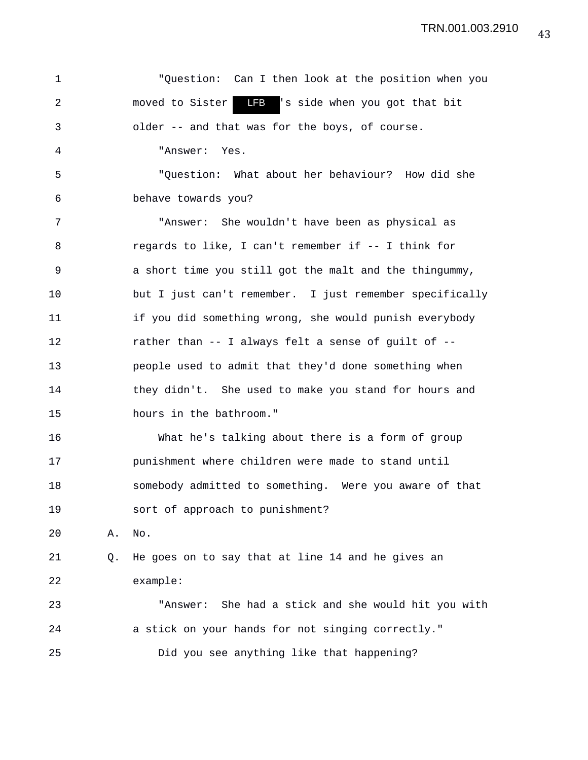1 "Question: Can I then look at the position when you 2 moved to Sister LFB 's side when you got that bit 3 older -- and that was for the boys, of course. 4 "Answer: Yes. 5 "Question: What about her behaviour? How did she 6 behave towards you? 7 "Answer: She wouldn't have been as physical as 8 regards to like, I can't remember if -- I think for 9 a short time you still got the malt and the thingummy, 10 but I just can't remember. I just remember specifically 11 if you did something wrong, she would punish everybody 12 rather than -- I always felt a sense of guilt of -- 13 people used to admit that they'd done something when 14 they didn't. She used to make you stand for hours and 15 hours in the bathroom." 16 What he's talking about there is a form of group 17 punishment where children were made to stand until 18 somebody admitted to something. Were you aware of that 19 sort of approach to punishment? 20 A. No. 21 Q. He goes on to say that at line 14 and he gives an 22 example: 23 "Answer: She had a stick and she would hit you with 24 a stick on your hands for not singing correctly." 25 Did you see anything like that happening? LFB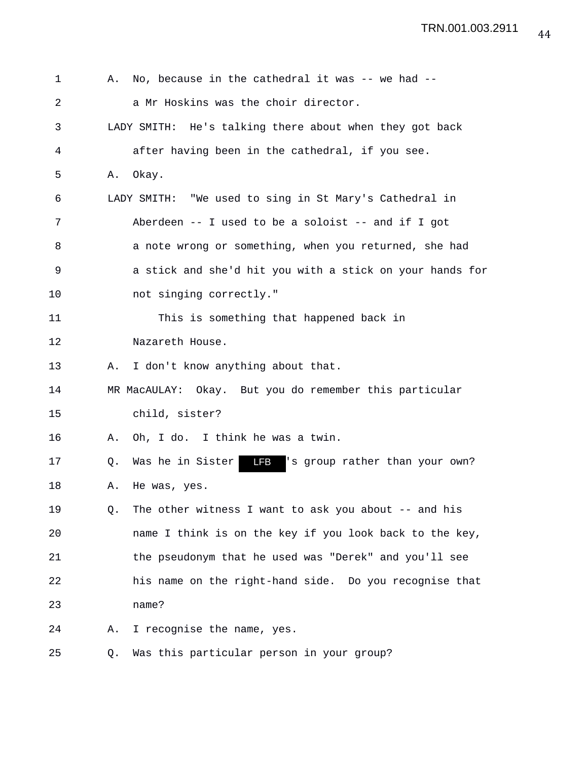| 1  | Α. | No, because in the cathedral it was -- we had --                 |
|----|----|------------------------------------------------------------------|
| 2  |    | a Mr Hoskins was the choir director.                             |
| 3  |    | LADY SMITH: He's talking there about when they got back          |
| 4  |    | after having been in the cathedral, if you see.                  |
| 5  | Α. | Okay.                                                            |
| 6  |    | LADY SMITH: "We used to sing in St Mary's Cathedral in           |
| 7  |    | Aberdeen -- I used to be a soloist -- and if I got               |
| 8  |    | a note wrong or something, when you returned, she had            |
| 9  |    | a stick and she'd hit you with a stick on your hands for         |
| 10 |    | not singing correctly."                                          |
| 11 |    | This is something that happened back in                          |
| 12 |    | Nazareth House.                                                  |
| 13 | Α. | I don't know anything about that.                                |
| 14 |    | MR MacAULAY: Okay. But you do remember this particular           |
| 15 |    | child, sister?                                                   |
| 16 | Α. | Oh, I do. I think he was a twin.                                 |
| 17 | Q. | Was he in Sister<br><b>LFB</b><br>'s group rather than your own? |
| 18 | Α. | He was, yes.                                                     |
| 19 | Q. | The other witness I want to ask you about -- and his             |
| 20 |    | name I think is on the key if you look back to the key,          |
| 21 |    | the pseudonym that he used was "Derek" and you'll see            |
| 22 |    | his name on the right-hand side. Do you recognise that           |
| 23 |    | name?                                                            |
| 24 | Α. | I recognise the name, yes.                                       |
| 25 | Q. | Was this particular person in your group?                        |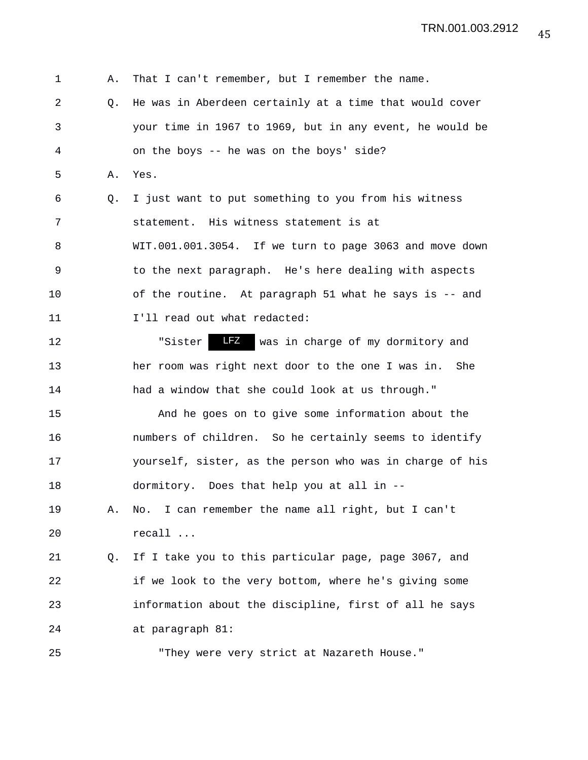1 A. That I can't remember, but I remember the name. 2 Q. He was in Aberdeen certainly at a time that would cover 3 your time in 1967 to 1969, but in any event, he would be 4 on the boys -- he was on the boys' side? 5 A. Yes. 6 Q. I just want to put something to you from his witness 7 statement. His witness statement is at 8 WIT.001.001.3054. If we turn to page 3063 and move down 9 to the next paragraph. He's here dealing with aspects 10 of the routine. At paragraph 51 what he says is -- and 11 I'll read out what redacted: 12 The state of my dormitory and state of my dormitory and 13 her room was right next door to the one I was in. She 14 had a window that she could look at us through." 15 And he goes on to give some information about the 16 numbers of children. So he certainly seems to identify 17 yourself, sister, as the person who was in charge of his 18 dormitory. Does that help you at all in -- 19 A. No. I can remember the name all right, but I can't 20 recall ... 21 Q. If I take you to this particular page, page 3067, and 22 if we look to the very bottom, where he's giving some 23 information about the discipline, first of all he says 24 at paragraph 81: 25 "They were very strict at Nazareth House."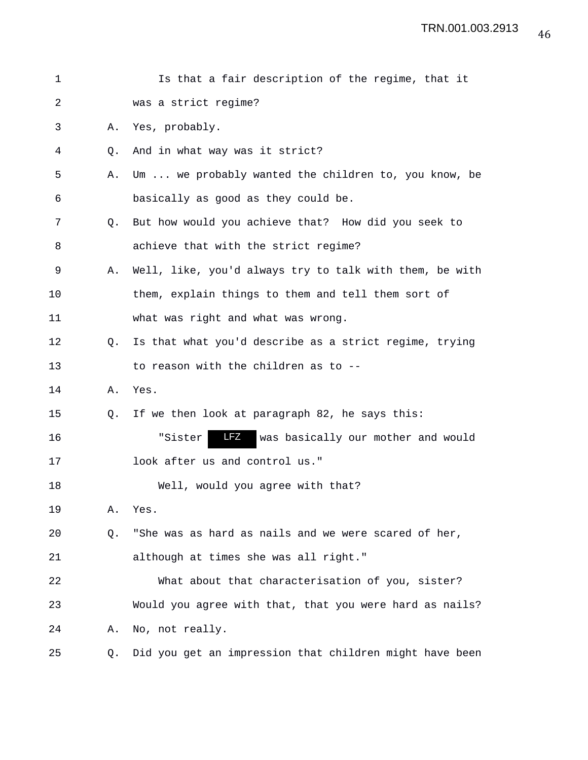| 1  |           | Is that a fair description of the regime, that it       |
|----|-----------|---------------------------------------------------------|
| 2  |           | was a strict regime?                                    |
| 3  | Α.        | Yes, probably.                                          |
| 4  | $\circ$ . | And in what way was it strict?                          |
| 5  | Α.        | Um  we probably wanted the children to, you know, be    |
| 6  |           | basically as good as they could be.                     |
| 7  | $\circ$ . | But how would you achieve that? How did you seek to     |
| 8  |           | achieve that with the strict regime?                    |
| 9  | Α.        | Well, like, you'd always try to talk with them, be with |
| 10 |           | them, explain things to them and tell them sort of      |
| 11 |           | what was right and what was wrong.                      |
| 12 | Q.        | Is that what you'd describe as a strict regime, trying  |
| 13 |           | to reason with the children as to --                    |
| 14 | Α.        | Yes.                                                    |
| 15 | Q.        | If we then look at paragraph 82, he says this:          |
| 16 |           | LFZ<br>"Sister<br>was basically our mother and would    |
| 17 |           | look after us and control us."                          |
| 18 |           | Well, would you agree with that?                        |
| 19 | Α.        | Yes.                                                    |
| 20 | Q.        | "She was as hard as nails and we were scared of her,    |
| 21 |           | although at times she was all right."                   |
| 22 |           | What about that characterisation of you, sister?        |
| 23 |           | Would you agree with that, that you were hard as nails? |
| 24 | Α.        | No, not really.                                         |
| 25 | Q.        | Did you get an impression that children might have been |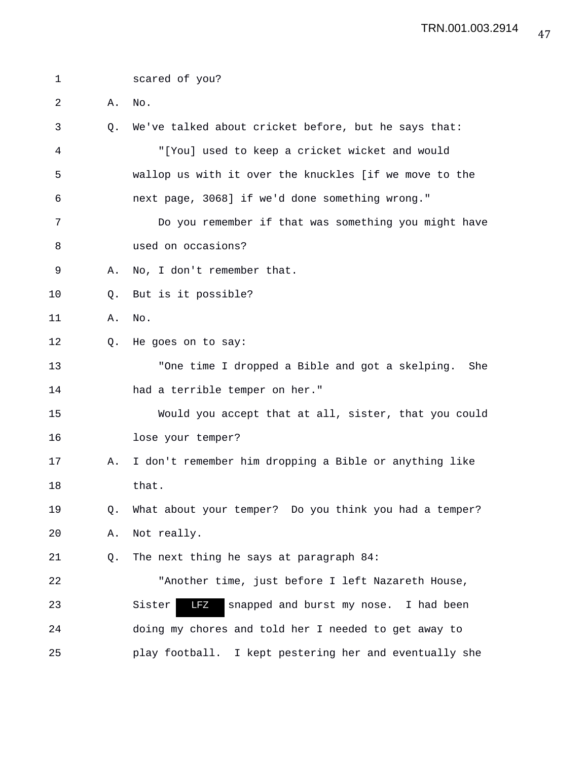1 scared of you? 2 A. No. 3 Q. We've talked about cricket before, but he says that: 4 "[You] used to keep a cricket wicket and would 5 wallop us with it over the knuckles [if we move to the 6 next page, 3068] if we'd done something wrong." 7 Do you remember if that was something you might have 8 used on occasions? 9 A. No, I don't remember that. 10 Q. But is it possible? 11 A. No. 12 Q. He goes on to say: 13 "One time I dropped a Bible and got a skelping. She 14 had a terrible temper on her." 15 Would you accept that at all, sister, that you could 16 lose your temper? 17 A. I don't remember him dropping a Bible or anything like 18 that. 19 Q. What about your temper? Do you think you had a temper? 20 A. Not really. 21 Q. The next thing he says at paragraph 84: 22 "Another time, just before I left Nazareth House, 23 Sister **17** snapped and burst my nose. I had been 24 doing my chores and told her I needed to get away to 25 play football. I kept pestering her and eventually she LFZ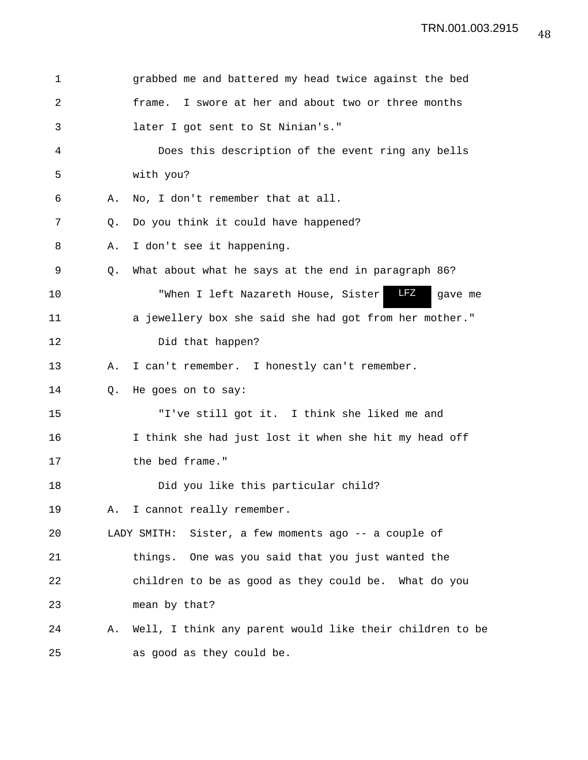| 1  |    | grabbed me and battered my head twice against the bed    |
|----|----|----------------------------------------------------------|
| 2  |    | I swore at her and about two or three months<br>frame.   |
| 3  |    | later I got sent to St Ninian's."                        |
| 4  |    | Does this description of the event ring any bells        |
| 5  |    | with you?                                                |
| 6  | Α. | No, I don't remember that at all.                        |
| 7  | O. | Do you think it could have happened?                     |
| 8  | Α. | I don't see it happening.                                |
| 9  | Q. | What about what he says at the end in paragraph 86?      |
| 10 |    | LFZ<br>"When I left Nazareth House, Sister<br>gave me    |
| 11 |    | a jewellery box she said she had got from her mother."   |
| 12 |    | Did that happen?                                         |
| 13 | Α. | I can't remember. I honestly can't remember.             |
| 14 | Q. | He goes on to say:                                       |
| 15 |    | "I've still got it. I think she liked me and             |
| 16 |    | I think she had just lost it when she hit my head off    |
| 17 |    | the bed frame."                                          |
| 18 |    | Did you like this particular child?                      |
| 19 |    | A. I cannot really remember.                             |
| 20 |    | LADY SMITH: Sister, a few moments ago -- a couple of     |
| 21 |    | things. One was you said that you just wanted the        |
| 22 |    | children to be as good as they could be. What do you     |
| 23 |    | mean by that?                                            |
| 24 | Α. | Well, I think any parent would like their children to be |
| 25 |    | as good as they could be.                                |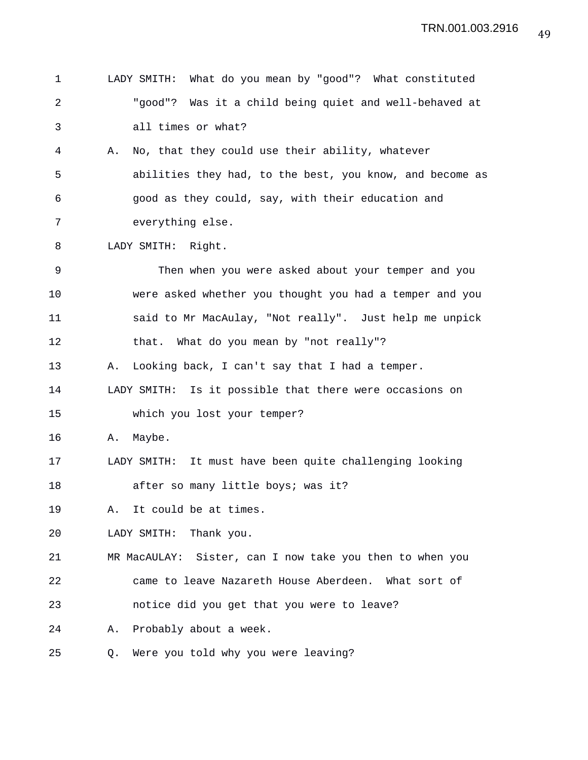| 1           |    | LADY SMITH: What do you mean by "good"? What constituted |
|-------------|----|----------------------------------------------------------|
| 2           |    | "good"? Was it a child being quiet and well-behaved at   |
| 3           |    | all times or what?                                       |
| 4           | Α. | No, that they could use their ability, whatever          |
| 5           |    | abilities they had, to the best, you know, and become as |
| 6           |    | good as they could, say, with their education and        |
| 7           |    | everything else.                                         |
| 8           |    | LADY SMITH: Right.                                       |
| $\mathsf 9$ |    | Then when you were asked about your temper and you       |
| 10          |    | were asked whether you thought you had a temper and you  |
| 11          |    | said to Mr MacAulay, "Not really". Just help me unpick   |
| 12          |    | that. What do you mean by "not really"?                  |
| 13          | Α. | Looking back, I can't say that I had a temper.           |
| 14          |    | LADY SMITH: Is it possible that there were occasions on  |
| 15          |    | which you lost your temper?                              |
| 16          | Α. | Maybe.                                                   |
| 17          |    | LADY SMITH: It must have been quite challenging looking  |
| 18          |    | after so many little boys; was it?                       |
| 19          | Α. | It could be at times.                                    |
| 20          |    | LADY SMITH:<br>Thank you.                                |
| 21          |    | MR MacAULAY: Sister, can I now take you then to when you |
| 22          |    | came to leave Nazareth House Aberdeen. What sort of      |
| 23          |    | notice did you get that you were to leave?               |
| 24          | Α. | Probably about a week.                                   |
| 25          | Q. | Were you told why you were leaving?                      |
|             |    |                                                          |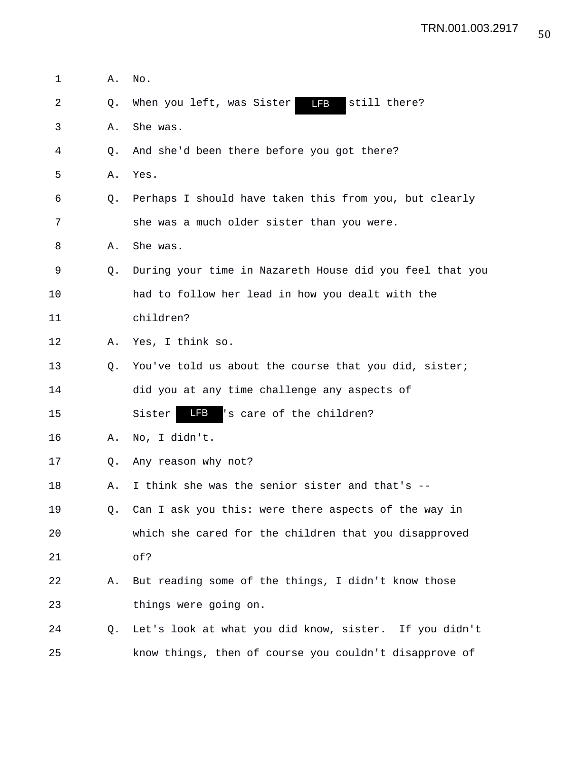| 1  | Α. | No.                                                      |
|----|----|----------------------------------------------------------|
| 2  | Q. | When you left, was Sister<br><b>LFB</b><br>still there?  |
| 3  | Α. | She was.                                                 |
| 4  | O. | And she'd been there before you got there?               |
| 5  | Α. | Yes.                                                     |
| 6  | О. | Perhaps I should have taken this from you, but clearly   |
| 7  |    | she was a much older sister than you were.               |
| 8  | Α. | She was.                                                 |
| 9  | O. | During your time in Nazareth House did you feel that you |
| 10 |    | had to follow her lead in how you dealt with the         |
| 11 |    | children?                                                |
| 12 | Α. | Yes, I think so.                                         |
| 13 | O. | You've told us about the course that you did, sister;    |
| 14 |    | did you at any time challenge any aspects of             |
| 15 |    | LFB<br>'s care of the children?<br>Sister                |
| 16 | Α. | No, I didn't.                                            |
| 17 | O. | Any reason why not?                                      |
| 18 | Α. | I think she was the senior sister and that's --          |
| 19 | 0. | Can I ask you this: were there aspects of the way in     |
| 20 |    | which she cared for the children that you disapproved    |
| 21 |    | of?                                                      |
| 22 | Α. | But reading some of the things, I didn't know those      |
| 23 |    | things were going on.                                    |
| 24 | Q. | Let's look at what you did know, sister. If you didn't   |
| 25 |    | know things, then of course you couldn't disapprove of   |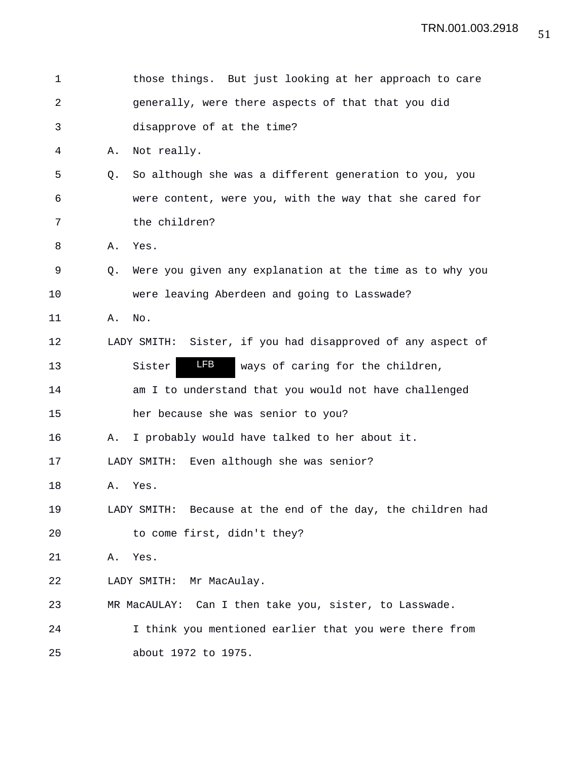| $\mathbf 1$ |    | those things. But just looking at her approach to care         |
|-------------|----|----------------------------------------------------------------|
| $\sqrt{2}$  |    | generally, were there aspects of that that you did             |
| 3           |    | disapprove of at the time?                                     |
| 4           | Α. | Not really.                                                    |
| 5           | O. | So although she was a different generation to you, you         |
| 6           |    | were content, were you, with the way that she cared for        |
| 7           |    | the children?                                                  |
| 8           | Α. | Yes.                                                           |
| 9           | O. | Were you given any explanation at the time as to why you       |
| 10          |    | were leaving Aberdeen and going to Lasswade?                   |
| 11          | Α. | No.                                                            |
| 12          |    | Sister, if you had disapproved of any aspect of<br>LADY SMITH: |
| 13          |    | <b>LFB</b><br>ways of caring for the children,<br>Sister       |
| 14          |    | am I to understand that you would not have challenged          |
| 15          |    | her because she was senior to you?                             |
| 16          | Α. | I probably would have talked to her about it.                  |
| 17          |    | LADY SMITH: Even although she was senior?                      |
| 18          | Α. | Yes.                                                           |
| 19          |    | LADY SMITH: Because at the end of the day, the children had    |
| 20          |    | to come first, didn't they?                                    |
| 21          | Α. | Yes.                                                           |
| 22          |    | LADY SMITH: Mr MacAulay.                                       |
| 23          |    | MR MacAULAY: Can I then take you, sister, to Lasswade.         |
| 24          |    | I think you mentioned earlier that you were there from         |
| 25          |    | about 1972 to 1975.                                            |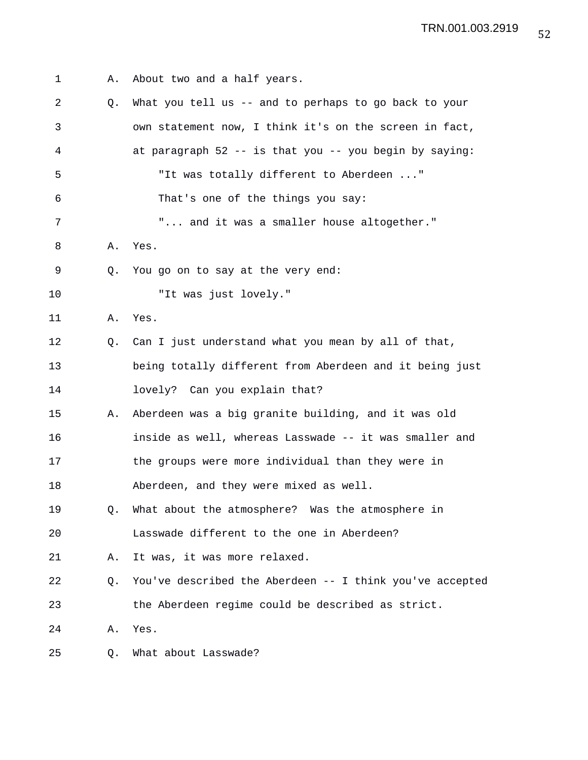| 1  | Α. | About two and a half years.                              |
|----|----|----------------------------------------------------------|
| 2  | Q. | What you tell us -- and to perhaps to go back to your    |
| 3  |    | own statement now, I think it's on the screen in fact,   |
| 4  |    | at paragraph 52 -- is that you -- you begin by saying:   |
| 5  |    | "It was totally different to Aberdeen "                  |
| 6  |    | That's one of the things you say:                        |
| 7  |    | " and it was a smaller house altogether."                |
| 8  | Α. | Yes.                                                     |
| 9  | Q. | You go on to say at the very end:                        |
| 10 |    | "It was just lovely."                                    |
| 11 | Α. | Yes.                                                     |
| 12 | Q. | Can I just understand what you mean by all of that,      |
| 13 |    | being totally different from Aberdeen and it being just  |
| 14 |    | lovely? Can you explain that?                            |
| 15 | Α. | Aberdeen was a big granite building, and it was old      |
| 16 |    | inside as well, whereas Lasswade -- it was smaller and   |
| 17 |    | the groups were more individual than they were in        |
| 18 |    | Aberdeen, and they were mixed as well.                   |
| 19 | Q. | What about the atmosphere? Was the atmosphere in         |
| 20 |    | Lasswade different to the one in Aberdeen?               |
| 21 | Α. | It was, it was more relaxed.                             |
| 22 | Q. | You've described the Aberdeen -- I think you've accepted |
| 23 |    | the Aberdeen regime could be described as strict.        |
| 24 | Α. | Yes.                                                     |
| 25 | Q. | What about Lasswade?                                     |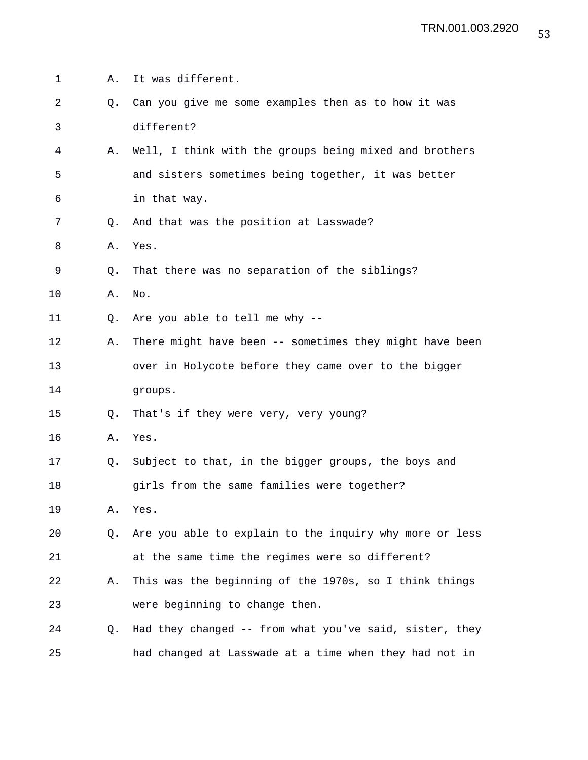| 1  | Α. | It was different.                                       |
|----|----|---------------------------------------------------------|
| 2  | Q. | Can you give me some examples then as to how it was     |
| 3  |    | different?                                              |
| 4  | Α. | Well, I think with the groups being mixed and brothers  |
| 5  |    | and sisters sometimes being together, it was better     |
| 6  |    | in that way.                                            |
| 7  | O. | And that was the position at Lasswade?                  |
| 8  | Α. | Yes.                                                    |
| 9  | Q. | That there was no separation of the siblings?           |
| 10 | Α. | No.                                                     |
| 11 | Q. | Are you able to tell me why --                          |
| 12 | Α. | There might have been -- sometimes they might have been |
| 13 |    | over in Holycote before they came over to the bigger    |
| 14 |    | groups.                                                 |
| 15 | O. | That's if they were very, very young?                   |
| 16 | Α. | Yes.                                                    |
| 17 | Q. | Subject to that, in the bigger groups, the boys and     |
| 18 |    | girls from the same families were together?             |
| 19 | Α. | Yes.                                                    |
| 20 | Q. | Are you able to explain to the inquiry why more or less |
| 21 |    | at the same time the regimes were so different?         |
| 22 | Α. | This was the beginning of the 1970s, so I think things  |
| 23 |    | were beginning to change then.                          |
| 24 | Q. | Had they changed -- from what you've said, sister, they |
| 25 |    | had changed at Lasswade at a time when they had not in  |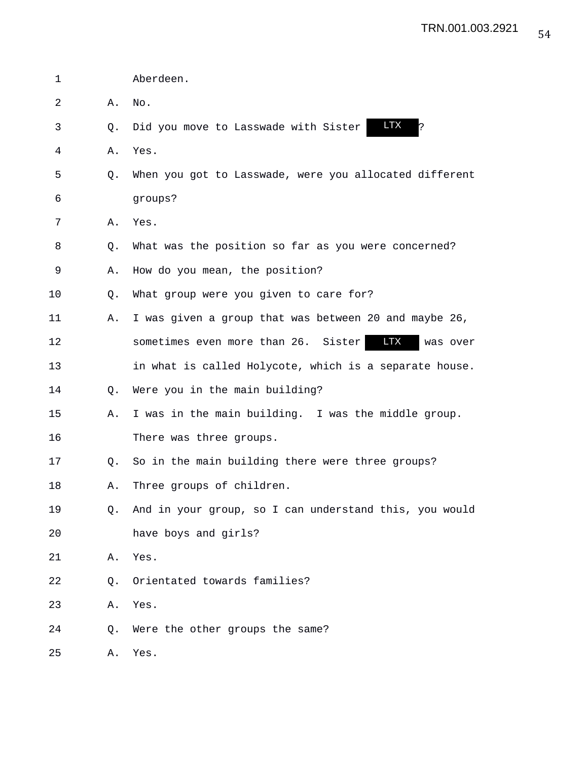| 1  |           | Aberdeen.                                                     |
|----|-----------|---------------------------------------------------------------|
| 2  | Α.        | No.                                                           |
| 3  | Q.        | <b>LTX</b><br>l?<br>Did you move to Lasswade with Sister      |
| 4  | Α.        | Yes.                                                          |
| 5  | Q.        | When you got to Lasswade, were you allocated different        |
| 6  |           | groups?                                                       |
| 7  | Α.        | Yes.                                                          |
| 8  | Q.        | What was the position so far as you were concerned?           |
| 9  | Α.        | How do you mean, the position?                                |
| 10 | Q.        | What group were you given to care for?                        |
| 11 | Α.        | I was given a group that was between 20 and maybe 26,         |
| 12 |           | <b>LTX</b><br>sometimes even more than 26. Sister<br>was over |
| 13 |           | in what is called Holycote, which is a separate house.        |
| 14 | Q.        | Were you in the main building?                                |
| 15 | Α.        | I was in the main building. I was the middle group.           |
| 16 |           | There was three groups.                                       |
| 17 | $\circ$ . | So in the main building there were three groups?              |
| 18 | Α.        | Three groups of children.                                     |
| 19 | Q.        | And in your group, so I can understand this, you would        |
| 20 |           | have boys and girls?                                          |
| 21 | Α.        | Yes.                                                          |
| 22 | Q.        | Orientated towards families?                                  |
| 23 | Α.        | Yes.                                                          |
| 24 | Q.        | Were the other groups the same?                               |
| 25 | Α.        | Yes.                                                          |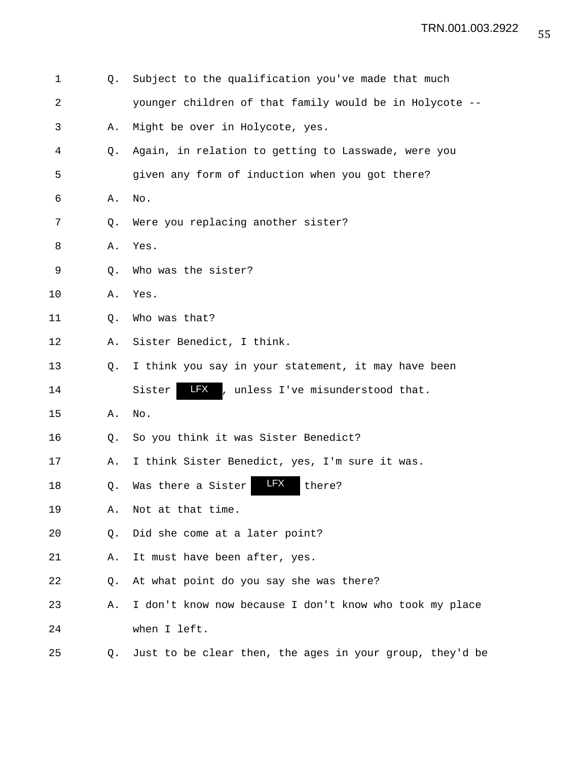| 1              | Q.          | Subject to the qualification you've made that much        |
|----------------|-------------|-----------------------------------------------------------|
| $\overline{a}$ |             | younger children of that family would be in Holycote --   |
| 3              | Α.          | Might be over in Holycote, yes.                           |
| 4              | Q.          | Again, in relation to getting to Lasswade, were you       |
| 5              |             | given any form of induction when you got there?           |
| 6              | Α.          | No.                                                       |
| 7              | Q.          | Were you replacing another sister?                        |
| 8              | Α.          | Yes.                                                      |
| 9              | Q.          | Who was the sister?                                       |
| 10             | Α.          | Yes.                                                      |
| 11             | Q.          | Who was that?                                             |
| 12             | Α.          | Sister Benedict, I think.                                 |
| 13             | $Q_{\star}$ | I think you say in your statement, it may have been       |
| 14             |             | <b>LFX</b><br>Sister<br>, unless I've misunderstood that. |
| 15             | Α.          | No.                                                       |
| 16             | Q.          | So you think it was Sister Benedict?                      |
| 17             | Α.          | I think Sister Benedict, yes, I'm sure it was.            |
| 18             | Q.          | <b>LFX</b><br>Was there a Sister<br>there?                |
| 19             | Α.          | Not at that time.                                         |
| 20             | Q.          | Did she come at a later point?                            |
| 21             | Α.          | It must have been after, yes.                             |
| 22             | Q.          | At what point do you say she was there?                   |
| 23             | Α.          | I don't know now because I don't know who took my place   |
| 24             |             | when I left.                                              |
| 25             | Q.          | Just to be clear then, the ages in your group, they'd be  |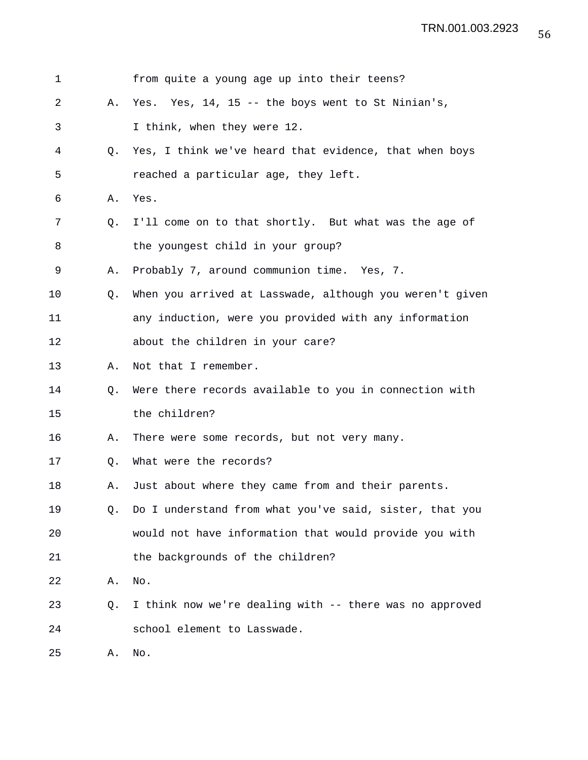| $\mathbf 1$ |    | from quite a young age up into their teens?              |
|-------------|----|----------------------------------------------------------|
| 2           | Α. | Yes. Yes, 14, 15 -- the boys went to St Ninian's,        |
| 3           |    | I think, when they were 12.                              |
| 4           | Q. | Yes, I think we've heard that evidence, that when boys   |
| 5           |    | reached a particular age, they left.                     |
| 6           | Α. | Yes.                                                     |
| 7           | Q. | I'll come on to that shortly. But what was the age of    |
| 8           |    | the youngest child in your group?                        |
| 9           | Α. | Probably 7, around communion time. Yes, 7.               |
| 10          | Q. | When you arrived at Lasswade, although you weren't given |
| 11          |    | any induction, were you provided with any information    |
| 12          |    | about the children in your care?                         |
| 13          | Α. | Not that I remember.                                     |
| 14          | Q. | Were there records available to you in connection with   |
| 15          |    | the children?                                            |
| 16          | Α. | There were some records, but not very many.              |
| 17          | Q. | What were the records?                                   |
| 18          | Α. | Just about where they came from and their parents.       |
| 19          | Q. | Do I understand from what you've said, sister, that you  |
| 20          |    | would not have information that would provide you with   |
| 21          |    | the backgrounds of the children?                         |
| 22          | Α. | No.                                                      |
| 23          | Q. | I think now we're dealing with -- there was no approved  |
| 24          |    | school element to Lasswade.                              |
| 25          | Α. | No.                                                      |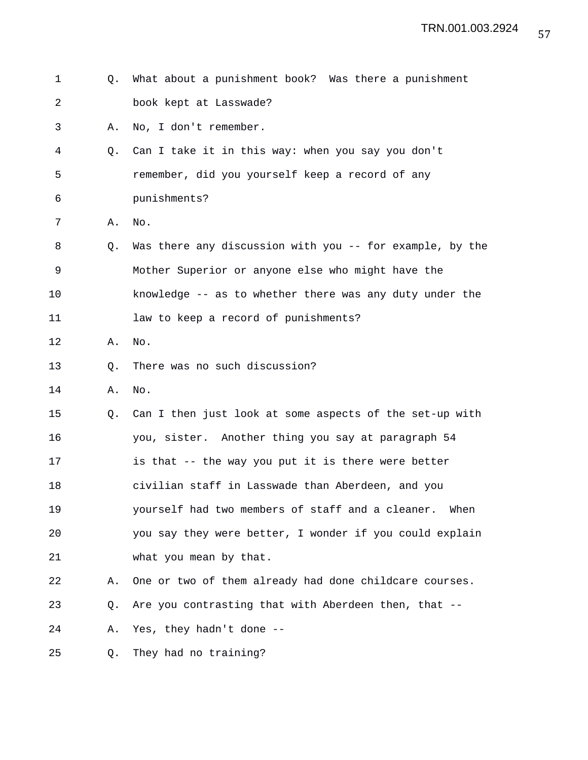| 1  | O. | What about a punishment book? Was there a punishment     |
|----|----|----------------------------------------------------------|
| 2  |    | book kept at Lasswade?                                   |
| 3  | Α. | No, I don't remember.                                    |
| 4  | Q. | Can I take it in this way: when you say you don't        |
| 5  |    | remember, did you yourself keep a record of any          |
| 6  |    | punishments?                                             |
| 7  | Α. | No.                                                      |
| 8  | Q. | Was there any discussion with you -- for example, by the |
| 9  |    | Mother Superior or anyone else who might have the        |
| 10 |    | knowledge -- as to whether there was any duty under the  |
| 11 |    | law to keep a record of punishments?                     |
| 12 | Α. | No.                                                      |
| 13 | Q. | There was no such discussion?                            |
| 14 | Α. | No.                                                      |
| 15 | Q. | Can I then just look at some aspects of the set-up with  |
| 16 |    | you, sister. Another thing you say at paragraph 54       |
| 17 |    | is that -- the way you put it is there were better       |
| 18 |    | civilian staff in Lasswade than Aberdeen, and you        |
| 19 |    | yourself had two members of staff and a cleaner.<br>When |
| 20 |    | you say they were better, I wonder if you could explain  |
| 21 |    | what you mean by that.                                   |
| 22 | Α. | One or two of them already had done childcare courses.   |
| 23 | Q. | Are you contrasting that with Aberdeen then, that --     |
| 24 | Α. | Yes, they hadn't done --                                 |
| 25 | Q. | They had no training?                                    |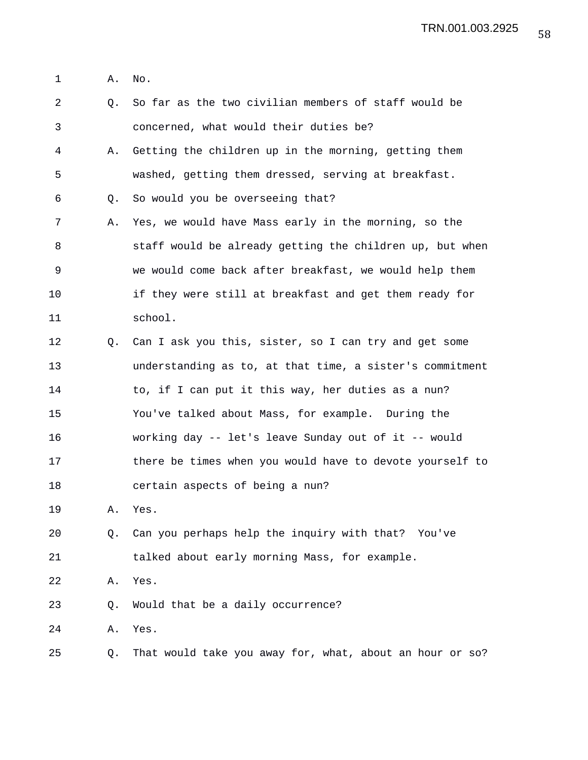1 A. No.

| $\overline{a}$ | Q. | So far as the two civilian members of staff would be     |
|----------------|----|----------------------------------------------------------|
| 3              |    | concerned, what would their duties be?                   |
| 4              | Α. | Getting the children up in the morning, getting them     |
| 5              |    | washed, getting them dressed, serving at breakfast.      |
| 6              | Q. | So would you be overseeing that?                         |
| 7              | Α. | Yes, we would have Mass early in the morning, so the     |
| 8              |    | staff would be already getting the children up, but when |
| 9              |    | we would come back after breakfast, we would help them   |
| 10             |    | if they were still at breakfast and get them ready for   |
| 11             |    | school.                                                  |
| 12             | Q. | Can I ask you this, sister, so I can try and get some    |
| 13             |    | understanding as to, at that time, a sister's commitment |
| 14             |    | to, if I can put it this way, her duties as a nun?       |
| 15             |    | You've talked about Mass, for example. During the        |
| 16             |    | working day -- let's leave Sunday out of it -- would     |
| 17             |    | there be times when you would have to devote yourself to |
| 18             |    | certain aspects of being a nun?                          |
| 19             | Α. | Yes.                                                     |
| 20             | Q. | Can you perhaps help the inquiry with that? You've       |
| 21             |    | talked about early morning Mass, for example.            |
| 22             | Α. | Yes.                                                     |
| 23             | Q. | Would that be a daily occurrence?                        |
| 24             | Α. | Yes.                                                     |
| 25             | Q. | That would take you away for, what, about an hour or so? |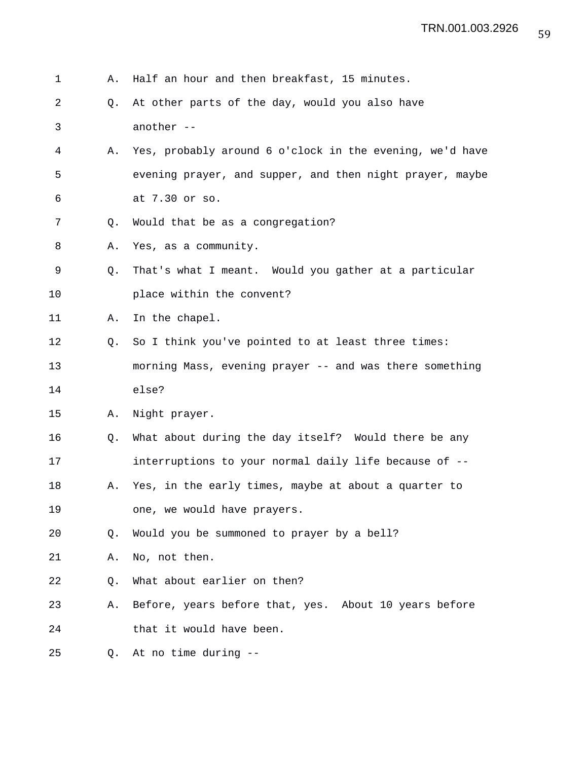| $\mathbf 1$ | Α. | Half an hour and then breakfast, 15 minutes.             |
|-------------|----|----------------------------------------------------------|
| 2           | Q. | At other parts of the day, would you also have           |
| 3           |    | another --                                               |
| 4           | Α. | Yes, probably around 6 o'clock in the evening, we'd have |
| 5           |    | evening prayer, and supper, and then night prayer, maybe |
| 6           |    | at 7.30 or so.                                           |
| 7           | Q. | Would that be as a congregation?                         |
| 8           | Α. | Yes, as a community.                                     |
| 9           | Q. | That's what I meant. Would you gather at a particular    |
| 10          |    | place within the convent?                                |
| 11          | Α. | In the chapel.                                           |
| 12          | Q. | So I think you've pointed to at least three times:       |
| 13          |    | morning Mass, evening prayer -- and was there something  |
| 14          |    | else?                                                    |
| 15          | Α. | Night prayer.                                            |
| 16          | Q. | What about during the day itself? Would there be any     |
| 17          |    | interruptions to your normal daily life because of --    |
| 18          | Α. | Yes, in the early times, maybe at about a quarter to     |
| 19          |    | one, we would have prayers.                              |
| 20          | Q. | Would you be summoned to prayer by a bell?               |
| 21          | Α. | No, not then.                                            |
| 22          | O. | What about earlier on then?                              |
| 23          | Α. | Before, years before that, yes. About 10 years before    |
| 24          |    | that it would have been.                                 |
| 25          | Q. | At no time during --                                     |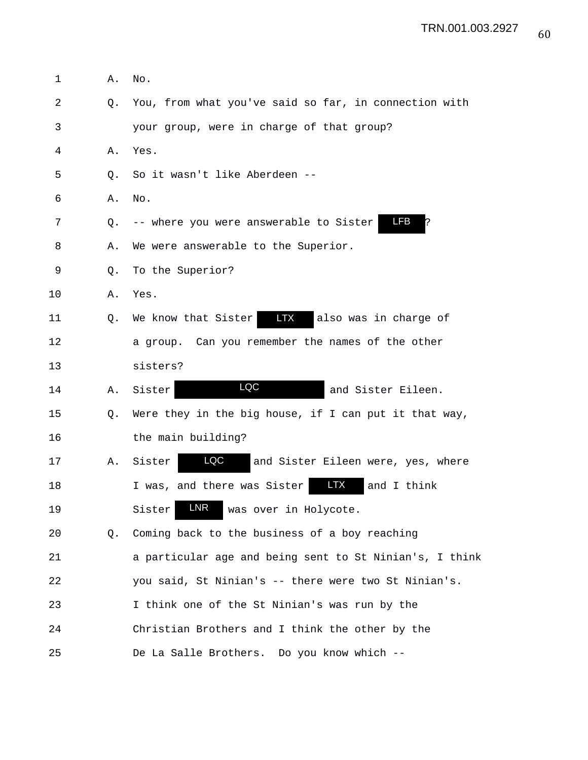| 1  | Α.             | No.                                                      |
|----|----------------|----------------------------------------------------------|
| 2  | Q <sub>z</sub> | You, from what you've said so far, in connection with    |
| 3  |                | your group, were in charge of that group?                |
| 4  | Α.             | Yes.                                                     |
| 5  | 0.             | So it wasn't like Aberdeen --                            |
| 6  | Α.             | No.                                                      |
| 7  | Q.             | LFB<br>-- where you were answerable to Sister<br>P       |
| 8  | Α.             | We were answerable to the Superior.                      |
| 9  | Q.             | To the Superior?                                         |
| 10 | Α.             | Yes.                                                     |
| 11 | Q.             | LTX<br>We know that Sister<br>also was in charge of      |
| 12 |                | a group. Can you remember the names of the other         |
| 13 |                | sisters?                                                 |
| 14 | Α.             | LQC<br>Sister<br>and Sister Eileen.                      |
| 15 | Q.             | Were they in the big house, if I can put it that way,    |
| 16 |                | the main building?                                       |
| 17 | Α.             | LQC<br>Sister<br>and Sister Eileen were, yes, where      |
| 18 |                | <b>LTX</b><br>I was, and there was Sister<br>and I think |
| 19 |                | LNR<br>Sister<br>was over in Holycote.                   |
| 20 | Q.             | Coming back to the business of a boy reaching            |
| 21 |                | a particular age and being sent to St Ninian's, I think  |
| 22 |                | you said, St Ninian's -- there were two St Ninian's.     |
| 23 |                | I think one of the St Ninian's was run by the            |
| 24 |                | Christian Brothers and I think the other by the          |
| 25 |                | De La Salle Brothers. Do you know which --               |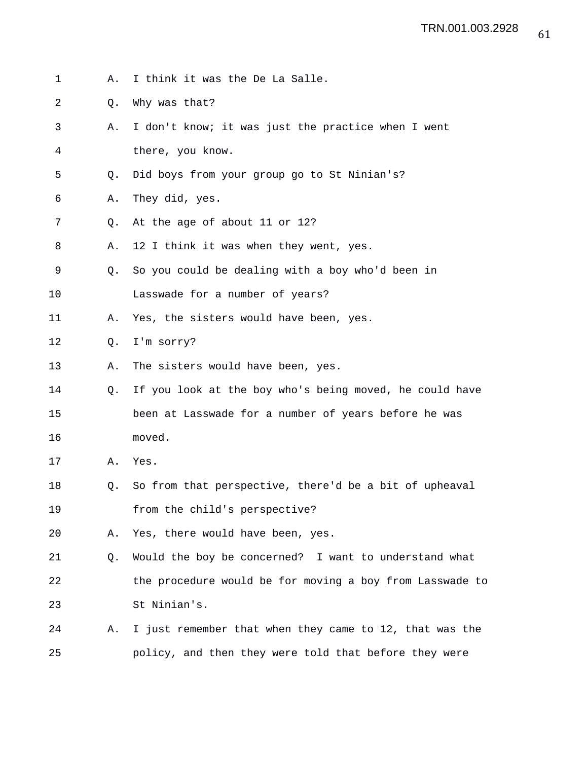- 1 A. I think it was the De La Salle.
- 2 Q. Why was that?
- 3 A. I don't know; it was just the practice when I went 4 there, you know.
- 5 Q. Did boys from your group go to St Ninian's?
- 6 A. They did, yes.
- 7 Q. At the age of about 11 or 12?
- 8 A. 12 I think it was when they went, yes.
- 9 Q. So you could be dealing with a boy who'd been in
- 10 Lasswade for a number of years?
- 11 A. Yes, the sisters would have been, yes.
- 12 Q. I'm sorry?
- 13 A. The sisters would have been, yes.
- 14 Q. If you look at the boy who's being moved, he could have 15 been at Lasswade for a number of years before he was 16 moved.
- 17 A. Yes.
- 18 Q. So from that perspective, there'd be a bit of upheaval 19 from the child's perspective?
- 20 A. Yes, there would have been, yes.
- 21 Q. Would the boy be concerned? I want to understand what 22 the procedure would be for moving a boy from Lasswade to 23 St Ninian's.
- 24 A. I just remember that when they came to 12, that was the 25 policy, and then they were told that before they were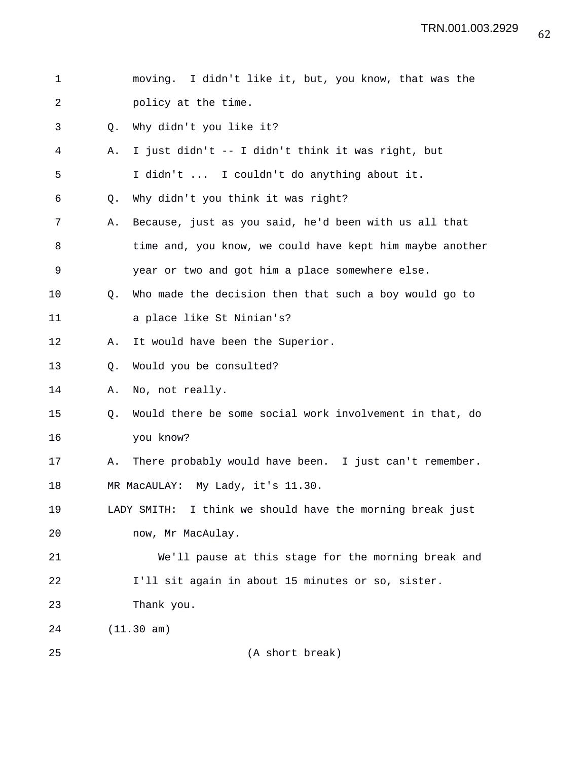| 1  |                | moving. I didn't like it, but, you know, that was the        |
|----|----------------|--------------------------------------------------------------|
| 2  |                | policy at the time.                                          |
| 3  | O.             | Why didn't you like it?                                      |
| 4  | Α.             | I just didn't -- I didn't think it was right, but            |
| 5  |                | I didn't  I couldn't do anything about it.                   |
| 6  | Q <sub>z</sub> | Why didn't you think it was right?                           |
| 7  | Α.             | Because, just as you said, he'd been with us all that        |
| 8  |                | time and, you know, we could have kept him maybe another     |
| 9  |                | year or two and got him a place somewhere else.              |
| 10 | Q <sub>z</sub> | Who made the decision then that such a boy would go to       |
| 11 |                | a place like St Ninian's?                                    |
| 12 | Α.             | It would have been the Superior.                             |
| 13 | Q.             | Would you be consulted?                                      |
| 14 | Α.             | No, not really.                                              |
| 15 | Q.             | Would there be some social work involvement in that, do      |
| 16 |                | you know?                                                    |
| 17 | Α.             | There probably would have been. I just can't remember.       |
| 18 |                | MR MacAULAY: My Lady, it's 11.30.                            |
| 19 |                | I think we should have the morning break just<br>LADY SMITH: |
| 20 |                | now, Mr MacAulay.                                            |
| 21 |                | We'll pause at this stage for the morning break and          |
| 22 |                | I'll sit again in about 15 minutes or so, sister.            |
| 23 |                | Thank you.                                                   |
| 24 |                | (11.30 am)                                                   |
| 25 |                | (A short break)                                              |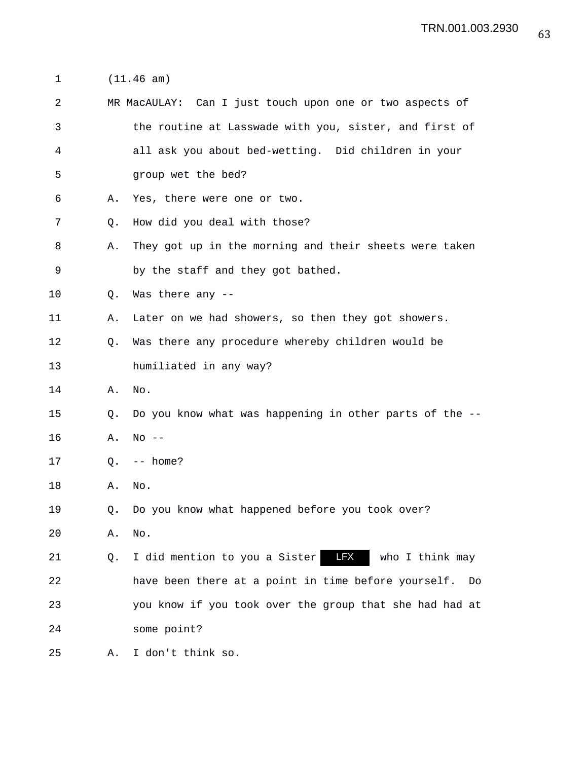1 (11.46 am)

| 2  |                | MR MacAULAY: Can I just touch upon one or two aspects of       |
|----|----------------|----------------------------------------------------------------|
| 3  |                | the routine at Lasswade with you, sister, and first of         |
| 4  |                | all ask you about bed-wetting. Did children in your            |
| 5  |                | group wet the bed?                                             |
| 6  | Α.             | Yes, there were one or two.                                    |
| 7  | Q.             | How did you deal with those?                                   |
| 8  | Α.             | They got up in the morning and their sheets were taken         |
| 9  |                | by the staff and they got bathed.                              |
| 10 | Q <sub>z</sub> | Was there any --                                               |
| 11 | Α.             | Later on we had showers, so then they got showers.             |
| 12 | Q.             | Was there any procedure whereby children would be              |
| 13 |                | humiliated in any way?                                         |
| 14 | Α.             | No.                                                            |
| 15 | Q.             | Do you know what was happening in other parts of the --        |
| 16 | Α.             | $No$ --                                                        |
| 17 | Q.             | -- home?                                                       |
| 18 | Α.             | No.                                                            |
| 19 | O.             | Do you know what happened before you took over?                |
| 20 | Α.             | No.                                                            |
| 21 | Q.             | <b>LFX</b><br>I did mention to you a Sister<br>who I think may |
| 22 |                | have been there at a point in time before yourself.<br>Do      |
| 23 |                | you know if you took over the group that she had had at        |
| 24 |                | some point?                                                    |
|    |                |                                                                |

25 A. I don't think so.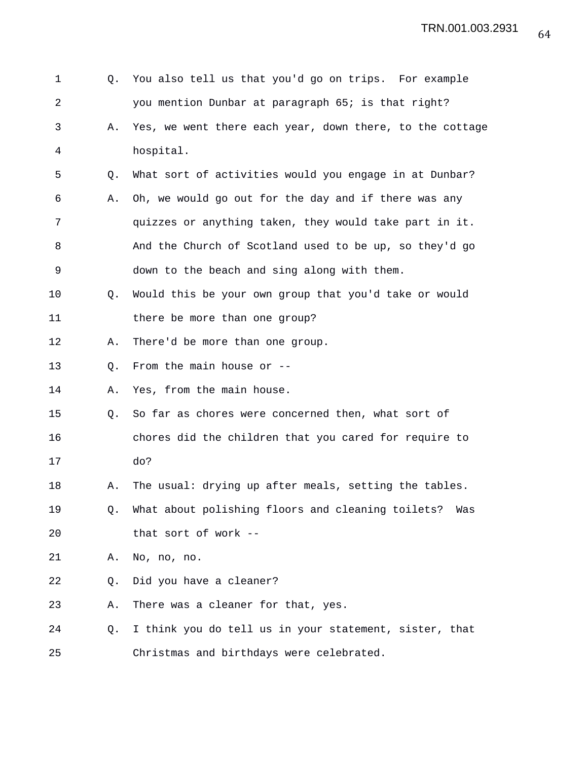| 1  | Q. | You also tell us that you'd go on trips. For example     |
|----|----|----------------------------------------------------------|
| 2  |    | you mention Dunbar at paragraph 65; is that right?       |
| 3  | Α. | Yes, we went there each year, down there, to the cottage |
| 4  |    | hospital.                                                |
| 5  | Q. | What sort of activities would you engage in at Dunbar?   |
| 6  | Α. | Oh, we would go out for the day and if there was any     |
| 7  |    | quizzes or anything taken, they would take part in it.   |
| 8  |    | And the Church of Scotland used to be up, so they'd go   |
| 9  |    | down to the beach and sing along with them.              |
| 10 | Q. | Would this be your own group that you'd take or would    |
| 11 |    | there be more than one group?                            |
| 12 | Α. | There'd be more than one group.                          |
| 13 | Q. | From the main house or --                                |
| 14 | Α. | Yes, from the main house.                                |
| 15 | Q. | So far as chores were concerned then, what sort of       |
| 16 |    | chores did the children that you cared for require to    |
| 17 |    | do?                                                      |
| 18 | Α. | The usual: drying up after meals, setting the tables.    |
| 19 | Q. | What about polishing floors and cleaning toilets?<br>Was |
| 20 |    | that sort of work --                                     |
| 21 | Α. | No, no, no.                                              |
| 22 | Q. | Did you have a cleaner?                                  |
| 23 | Α. | There was a cleaner for that, yes.                       |
| 24 | Q. | I think you do tell us in your statement, sister, that   |
| 25 |    | Christmas and birthdays were celebrated.                 |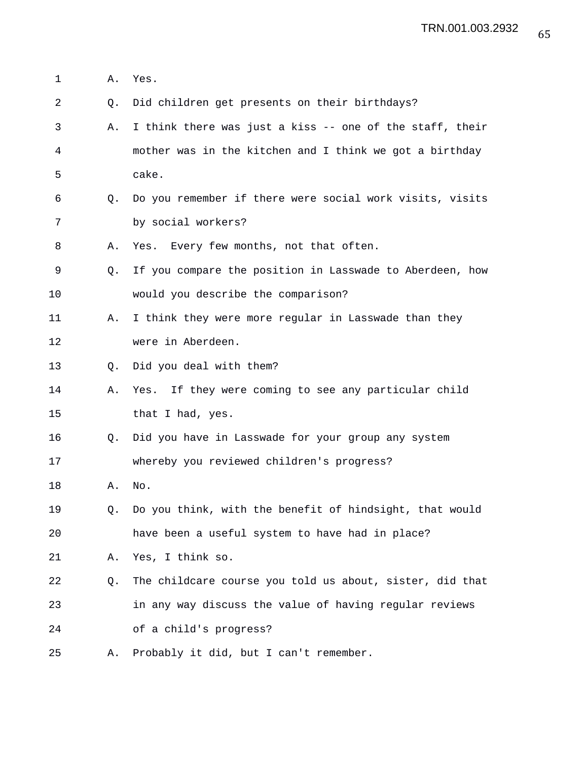1 A. Yes. 2 Q. Did children get presents on their birthdays? 3 A. I think there was just a kiss -- one of the staff, their 4 mother was in the kitchen and I think we got a birthday 5 cake. 6 Q. Do you remember if there were social work visits, visits 7 by social workers? 8 A. Yes. Every few months, not that often. 9 Q. If you compare the position in Lasswade to Aberdeen, how 10 would you describe the comparison? 11 A. I think they were more regular in Lasswade than they 12 were in Aberdeen. 13 Q. Did you deal with them? 14 A. Yes. If they were coming to see any particular child 15 that I had, yes. 16 Q. Did you have in Lasswade for your group any system 17 whereby you reviewed children's progress? 18 A. No. 19 Q. Do you think, with the benefit of hindsight, that would 20 have been a useful system to have had in place? 21 A. Yes, I think so. 22 Q. The childcare course you told us about, sister, did that 23 in any way discuss the value of having regular reviews 24 of a child's progress? 25 A. Probably it did, but I can't remember.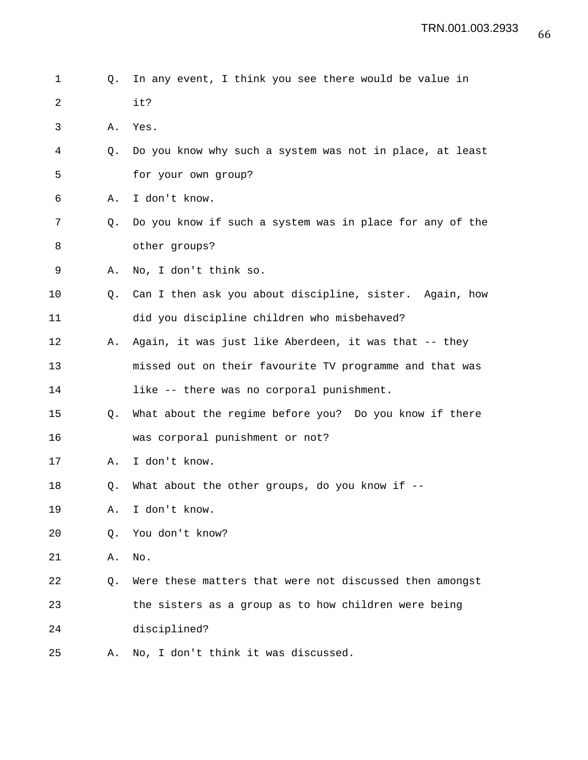## 1 Q. In any event, I think you see there would be value in 2 it?

- 3 A. Yes.
- 4 Q. Do you know why such a system was not in place, at least 5 for your own group?
- 6 A. I don't know.
- 7 Q. Do you know if such a system was in place for any of the 8 other groups?
- 9 A. No, I don't think so.
- 10 Q. Can I then ask you about discipline, sister. Again, how 11 did you discipline children who misbehaved?
- 12 A. Again, it was just like Aberdeen, it was that -- they 13 missed out on their favourite TV programme and that was
- 14 like -- there was no corporal punishment.
- 15 Q. What about the regime before you? Do you know if there 16 was corporal punishment or not?
- 17 A. I don't know.
- 18 Q. What about the other groups, do you know if --
- 19 A. I don't know.
- 20 Q. You don't know?
- 21 A. No.

22 Q. Were these matters that were not discussed then amongst 23 the sisters as a group as to how children were being 24 disciplined?

25 A. No, I don't think it was discussed.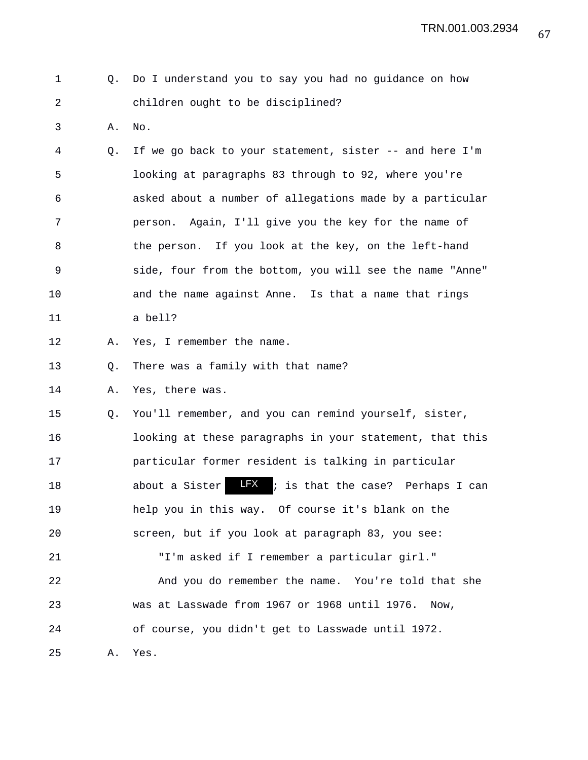67 TRN.001.003.2934

| $\pm$ . The set of $\pm$ | Q. Do I understand you to say you had no guidance on how |
|--------------------------|----------------------------------------------------------|
|                          | children ought to be disciplined?                        |

3 A. No.

4 Q. If we go back to your statement, sister -- and here I'm 5 looking at paragraphs 83 through to 92, where you're 6 asked about a number of allegations made by a particular 7 person. Again, I'll give you the key for the name of 8 the person. If you look at the key, on the left-hand 9 side, four from the bottom, you will see the name "Anne" 10 and the name against Anne. Is that a name that rings 11 a bell?

12 A. Yes, I remember the name.

13 O. There was a family with that name?

14 A. Yes, there was.

15 Q. You'll remember, and you can remind yourself, sister, 16 looking at these paragraphs in your statement, that this 17 particular former resident is talking in particular 18 about a Sister **LFX** ; is that the case? Perhaps I can 19 help you in this way. Of course it's blank on the 20 screen, but if you look at paragraph 83, you see: 21 "I'm asked if I remember a particular girl." 22 And you do remember the name. You're told that she 23 was at Lasswade from 1967 or 1968 until 1976. Now, 24 of course, you didn't get to Lasswade until 1972.

25 A. Yes.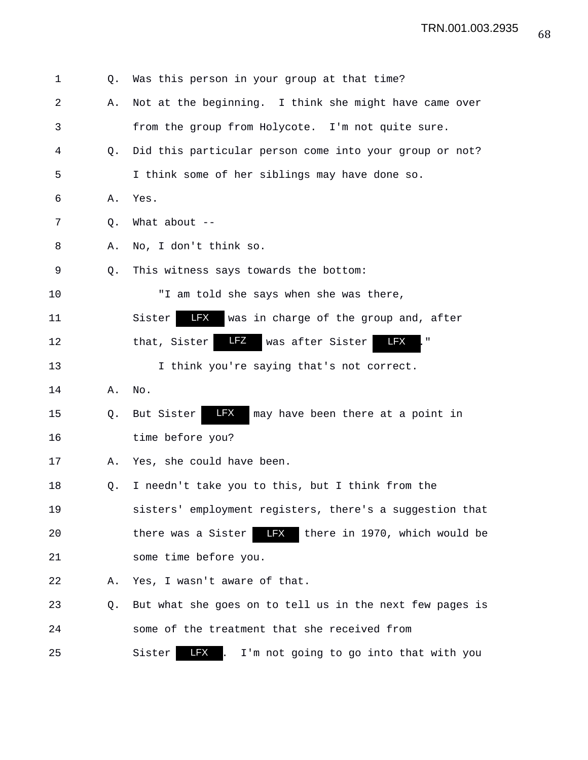| 1  | Q.             | Was this person in your group at that time?                      |
|----|----------------|------------------------------------------------------------------|
| 2  | Α.             | Not at the beginning. I think she might have came over           |
| 3  |                | from the group from Holycote. I'm not quite sure.                |
| 4  | Q <sub>z</sub> | Did this particular person come into your group or not?          |
| 5  |                | I think some of her siblings may have done so.                   |
| 6  | Α.             | Yes.                                                             |
| 7  | Q.             | What about $--$                                                  |
| 8  | Α.             | No, I don't think so.                                            |
| 9  | Q.             | This witness says towards the bottom:                            |
| 10 |                | "I am told she says when she was there,                          |
| 11 |                | LFX<br>was in charge of the group and, after<br>Sister           |
| 12 |                | LFZ<br>LFX<br>was after Sister<br>that, Sister<br>$\blacksquare$ |
| 13 |                | I think you're saying that's not correct.                        |
| 14 | Α.             | No.                                                              |
| 15 | Q.             | LFX<br>may have been there at a point in<br>But Sister           |
| 16 |                | time before you?                                                 |
| 17 | Α.             | Yes, she could have been.                                        |
| 18 | Q.             | I needn't take you to this, but I think from the                 |
| 19 |                | sisters' employment registers, there's a suggestion that         |
| 20 |                | there was a Sister<br>LFX there in 1970, which would be          |
| 21 |                | some time before you.                                            |
| 22 | Α.             | Yes, I wasn't aware of that.                                     |
| 23 | Q.             | But what she goes on to tell us in the next few pages is         |
| 24 |                | some of the treatment that she received from                     |
| 25 |                | <b>LFX</b><br>Sister<br>I'm not going to go into that with you   |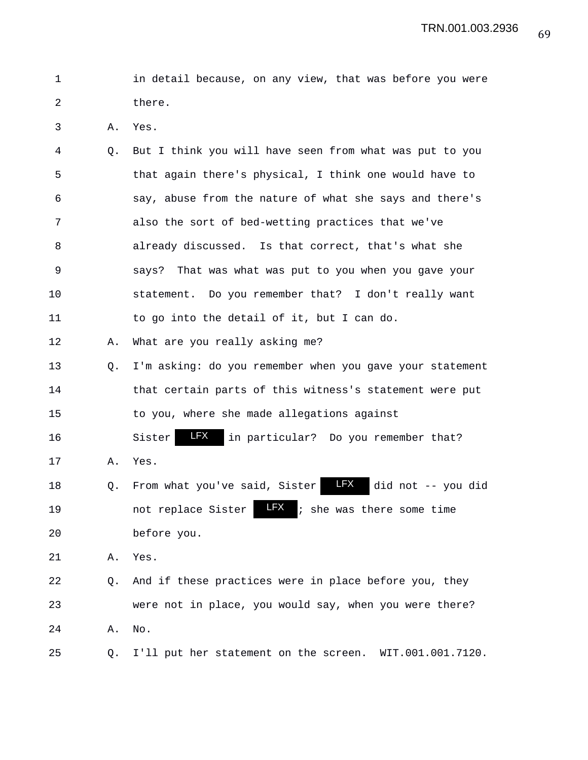| in detail because, on any view, that was before you were |  |  |  |  |  |
|----------------------------------------------------------|--|--|--|--|--|
| there.                                                   |  |  |  |  |  |

3 A. Yes.

| 4  | Q. | But I think you will have seen from what was put to you           |
|----|----|-------------------------------------------------------------------|
| 5  |    | that again there's physical, I think one would have to            |
| 6  |    | say, abuse from the nature of what she says and there's           |
| 7  |    | also the sort of bed-wetting practices that we've                 |
| 8  |    | already discussed. Is that correct, that's what she               |
| 9  |    | says? That was what was put to you when you gave your             |
| 10 |    | statement. Do you remember that? I don't really want              |
| 11 |    | to go into the detail of it, but I can do.                        |
| 12 | Α. | What are you really asking me?                                    |
| 13 | Q. | I'm asking: do you remember when you gave your statement          |
| 14 |    | that certain parts of this witness's statement were put           |
| 15 |    | to you, where she made allegations against                        |
| 16 |    | LFX<br>Sister<br>in particular? Do you remember that?             |
| 17 | Α. | Yes.                                                              |
| 18 | Q. | <b>LFX</b><br>did not -- you did<br>From what you've said, Sister |
| 19 |    | LFX<br>; she was there some time<br>not replace Sister            |
| 20 |    | before you.                                                       |
| 21 | Α. | Yes.                                                              |
| 22 | Q. | And if these practices were in place before you, they             |
| 23 |    | were not in place, you would say, when you were there?            |
| 24 | Α. | No.                                                               |
| 25 | Q. | I'll put her statement on the screen. WIT.001.001.7120.           |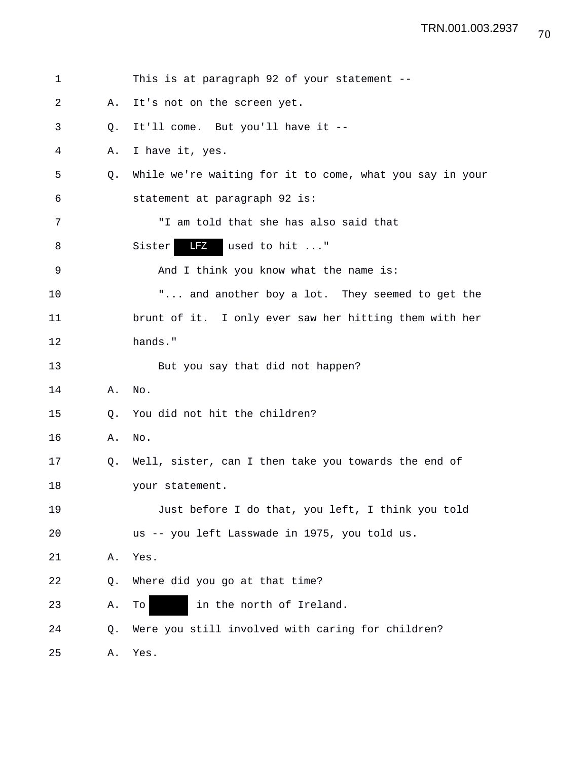| 1  |    | This is at paragraph 92 of your statement --             |
|----|----|----------------------------------------------------------|
| 2  | Α. | It's not on the screen yet.                              |
| 3  | Q. | It'll come. But you'll have it --                        |
| 4  | Α. | I have it, yes.                                          |
| 5  | Q. | While we're waiting for it to come, what you say in your |
| 6  |    | statement at paragraph 92 is:                            |
| 7  |    | "I am told that she has also said that                   |
| 8  |    | <b>LFZ</b><br>used to hit "<br>Sister                    |
| 9  |    | And I think you know what the name is:                   |
| 10 |    | " and another boy a lot. They seemed to get the          |
| 11 |    | brunt of it. I only ever saw her hitting them with her   |
| 12 |    | hands."                                                  |
| 13 |    | But you say that did not happen?                         |
| 14 | Α. | No.                                                      |
| 15 | Q. | You did not hit the children?                            |
| 16 | Α. | $\rm No$ .                                               |
| 17 | Q. | Well, sister, can I then take you towards the end of     |
| 18 |    | your statement.                                          |
| 19 |    | Just before I do that, you left, I think you told        |
| 20 |    | us -- you left Lasswade in 1975, you told us.            |
| 21 | Α. | Yes.                                                     |
| 22 | Q. | Where did you go at that time?                           |
| 23 | Α. | in the north of Ireland.<br>To                           |
| 24 | Q. | Were you still involved with caring for children?        |
| 25 | Α. | Yes.                                                     |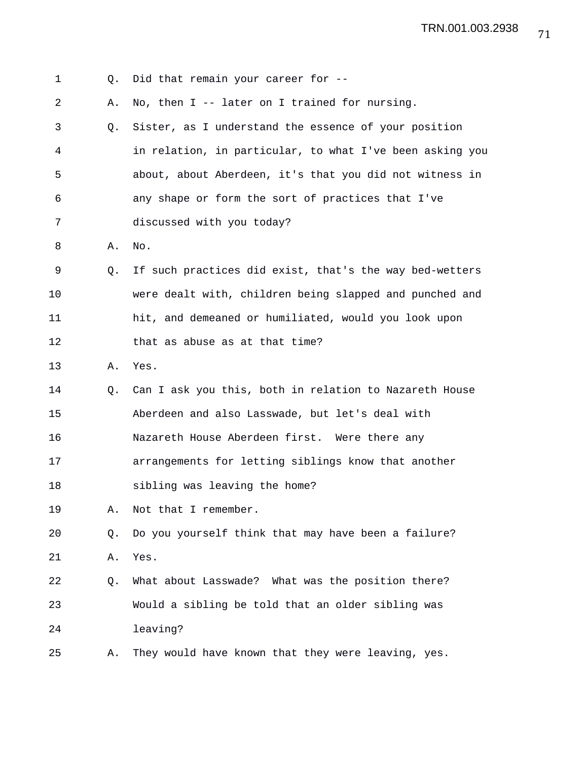| 1  | Q.          | Did that remain your career for --                       |
|----|-------------|----------------------------------------------------------|
| 2  | Α.          | No, then $I$ -- later on I trained for nursing.          |
| 3  | Q.          | Sister, as I understand the essence of your position     |
| 4  |             | in relation, in particular, to what I've been asking you |
| 5  |             | about, about Aberdeen, it's that you did not witness in  |
| 6  |             | any shape or form the sort of practices that I've        |
| 7  |             | discussed with you today?                                |
| 8  | Α.          | No.                                                      |
| 9  | $Q_{\star}$ | If such practices did exist, that's the way bed-wetters  |
| 10 |             | were dealt with, children being slapped and punched and  |
| 11 |             | hit, and demeaned or humiliated, would you look upon     |
| 12 |             | that as abuse as at that time?                           |
| 13 | Α.          | Yes.                                                     |
| 14 | O.          | Can I ask you this, both in relation to Nazareth House   |
| 15 |             | Aberdeen and also Lasswade, but let's deal with          |
| 16 |             | Nazareth House Aberdeen first. Were there any            |
| 17 |             | arrangements for letting siblings know that another      |
| 18 |             | sibling was leaving the home?                            |
| 19 | Α.          | Not that I remember.                                     |
| 20 | Q.          | Do you yourself think that may have been a failure?      |
| 21 | Α.          | Yes.                                                     |
| 22 | Q.          | What about Lasswade? What was the position there?        |
| 23 |             | Would a sibling be told that an older sibling was        |
| 24 |             | leaving?                                                 |
| 25 | Α.          | They would have known that they were leaving, yes.       |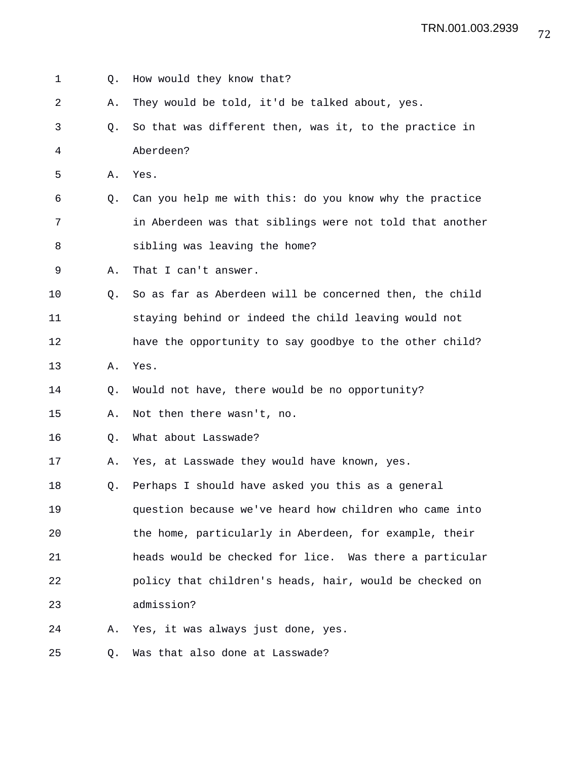1 Q. How would they know that? 2 A. They would be told, it'd be talked about, yes. 3 Q. So that was different then, was it, to the practice in 4 Aberdeen? 5 A. Yes. 6 Q. Can you help me with this: do you know why the practice 7 in Aberdeen was that siblings were not told that another 8 sibling was leaving the home? 9 A. That I can't answer. 10 Q. So as far as Aberdeen will be concerned then, the child 11 staying behind or indeed the child leaving would not 12 have the opportunity to say goodbye to the other child? 13 A. Yes. 14 Q. Would not have, there would be no opportunity? 15 A. Not then there wasn't, no. 16 Q. What about Lasswade? 17 A. Yes, at Lasswade they would have known, yes. 18 Q. Perhaps I should have asked you this as a general 19 question because we've heard how children who came into 20 the home, particularly in Aberdeen, for example, their 21 heads would be checked for lice. Was there a particular 22 policy that children's heads, hair, would be checked on 23 admission? 24 A. Yes, it was always just done, yes. 25 Q. Was that also done at Lasswade?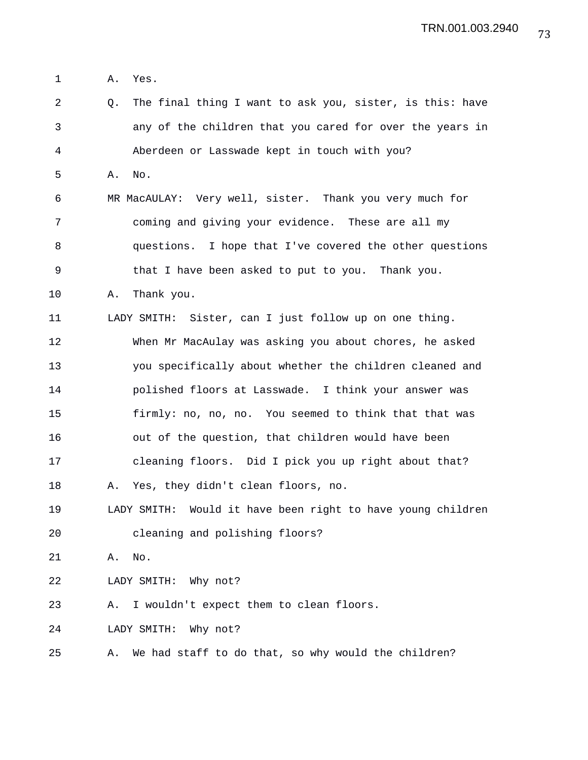1 A. Yes.

2 Q. The final thing I want to ask you, sister, is this: have 3 any of the children that you cared for over the years in 4 Aberdeen or Lasswade kept in touch with you? 5 A. No. 6 MR MacAULAY: Very well, sister. Thank you very much for 7 coming and giving your evidence. These are all my 8 questions. I hope that I've covered the other questions 9 that I have been asked to put to you. Thank you. 10 A. Thank you. 11 LADY SMITH: Sister, can I just follow up on one thing. 12 When Mr MacAulay was asking you about chores, he asked 13 you specifically about whether the children cleaned and 14 polished floors at Lasswade. I think your answer was 15 firmly: no, no, no. You seemed to think that that was 16 out of the question, that children would have been 17 cleaning floors. Did I pick you up right about that? 18 A. Yes, they didn't clean floors, no. 19 LADY SMITH: Would it have been right to have young children 20 cleaning and polishing floors? 21 A. No. 22 LADY SMITH: Why not? 23 A. I wouldn't expect them to clean floors. 24 LADY SMITH: Why not? 25 A. We had staff to do that, so why would the children?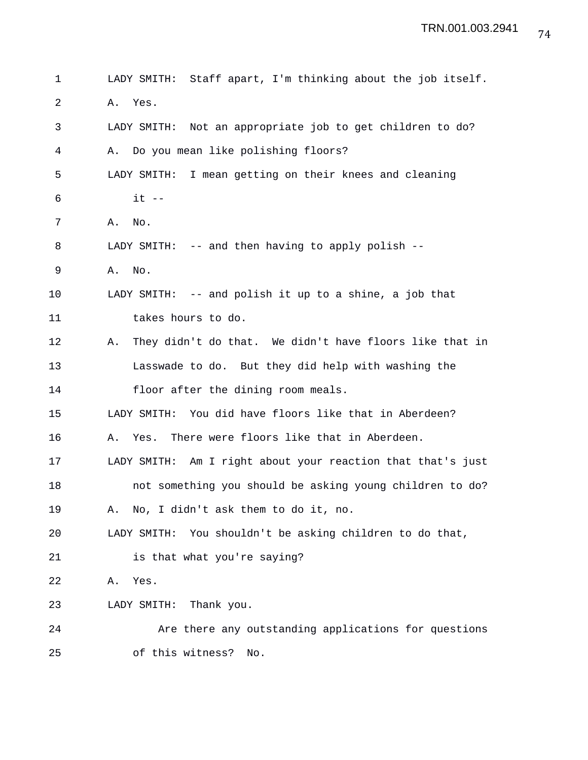```
1 LADY SMITH: Staff apart, I'm thinking about the job itself.
2 A. Yes.
3 LADY SMITH: Not an appropriate job to get children to do?
4 A. Do you mean like polishing floors?
5 LADY SMITH: I mean getting on their knees and cleaning
6 it -7 A. No.
8 LADY SMITH: -- and then having to apply polish --
9 A. No.
10 LADY SMITH: -- and polish it up to a shine, a job that
11 takes hours to do.
12 A. They didn't do that. We didn't have floors like that in
13 Lasswade to do. But they did help with washing the
14 floor after the dining room meals.
15 LADY SMITH: You did have floors like that in Aberdeen?
16 A. Yes. There were floors like that in Aberdeen.
17 LADY SMITH: Am I right about your reaction that that's just
18 not something you should be asking young children to do?
19 A. No, I didn't ask them to do it, no.
20 LADY SMITH: You shouldn't be asking children to do that,
21 is that what you're saying?
22 A. Yes.
23 LADY SMITH: Thank you.
24 Are there any outstanding applications for questions
25 of this witness? No.
```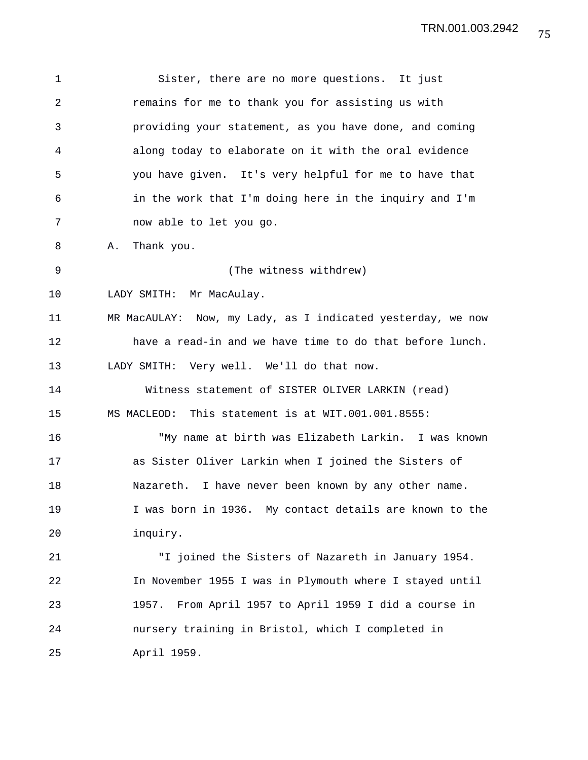1 Sister, there are no more questions. It just 2 remains for me to thank you for assisting us with 3 providing your statement, as you have done, and coming 4 along today to elaborate on it with the oral evidence 5 you have given. It's very helpful for me to have that 6 in the work that I'm doing here in the inquiry and I'm 7 now able to let you go. 8 A. Thank you. 9 (The witness withdrew) 10 LADY SMITH: Mr MacAulay. 11 MR MacAULAY: Now, my Lady, as I indicated yesterday, we now 12 have a read-in and we have time to do that before lunch. 13 LADY SMITH: Very well. We'll do that now. 14 Witness statement of SISTER OLIVER LARKIN (read) 15 MS MACLEOD: This statement is at WIT.001.001.8555: 16 "My name at birth was Elizabeth Larkin. I was known 17 as Sister Oliver Larkin when I joined the Sisters of 18 Nazareth. I have never been known by any other name. 19 I was born in 1936. My contact details are known to the 20 inquiry. 21 "I joined the Sisters of Nazareth in January 1954. 22 In November 1955 I was in Plymouth where I stayed until 23 1957. From April 1957 to April 1959 I did a course in 24 nursery training in Bristol, which I completed in 25 April 1959.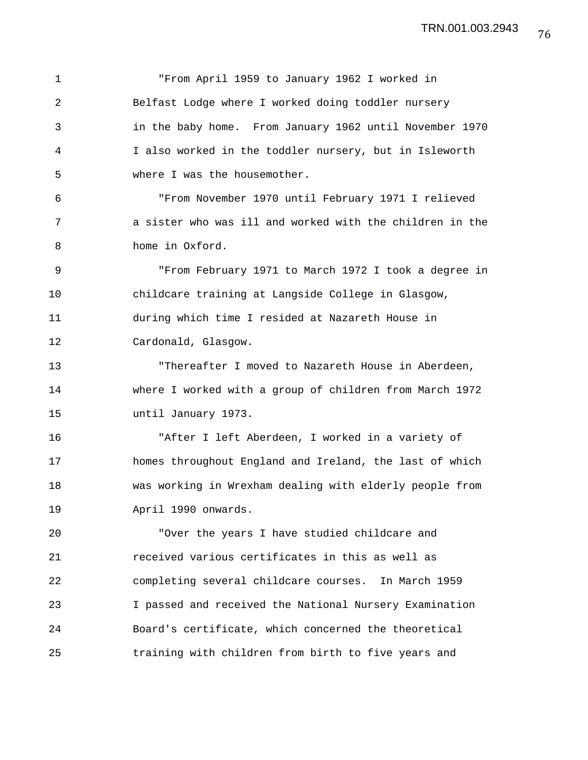1 "From April 1959 to January 1962 I worked in 2 Belfast Lodge where I worked doing toddler nursery 3 in the baby home. From January 1962 until November 1970 4 I also worked in the toddler nursery, but in Isleworth 5 where I was the housemother. 6 "From November 1970 until February 1971 I relieved 7 a sister who was ill and worked with the children in the 8 home in Oxford. 9 "From February 1971 to March 1972 I took a degree in 10 childcare training at Langside College in Glasgow, 11 during which time I resided at Nazareth House in 12 Cardonald, Glasgow. 13 "Thereafter I moved to Nazareth House in Aberdeen, 14 where I worked with a group of children from March 1972 15 until January 1973. 16 "After I left Aberdeen, I worked in a variety of 17 homes throughout England and Ireland, the last of which 18 was working in Wrexham dealing with elderly people from 19 April 1990 onwards. 20 "Over the years I have studied childcare and 21 received various certificates in this as well as 22 completing several childcare courses. In March 1959 23 I passed and received the National Nursery Examination 24 Board's certificate, which concerned the theoretical 25 training with children from birth to five years and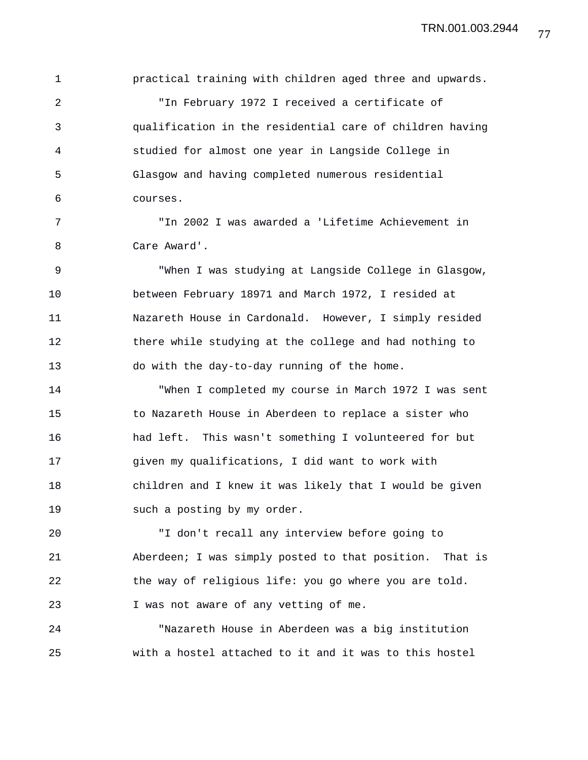1 practical training with children aged three and upwards.

2 "In February 1972 I received a certificate of 3 qualification in the residential care of children having 4 studied for almost one year in Langside College in 5 Glasgow and having completed numerous residential 6 courses.

7 "In 2002 I was awarded a 'Lifetime Achievement in 8 Care Award'.

9 "When I was studying at Langside College in Glasgow, 10 between February 18971 and March 1972, I resided at 11 Nazareth House in Cardonald. However, I simply resided 12 there while studying at the college and had nothing to 13 do with the day-to-day running of the home.

14 "When I completed my course in March 1972 I was sent 15 to Nazareth House in Aberdeen to replace a sister who 16 had left. This wasn't something I volunteered for but 17 given my qualifications, I did want to work with 18 children and I knew it was likely that I would be given 19 such a posting by my order.

20 "I don't recall any interview before going to 21 Aberdeen; I was simply posted to that position. That is 22 the way of religious life: you go where you are told. 23 I was not aware of any vetting of me.

24 "Nazareth House in Aberdeen was a big institution 25 with a hostel attached to it and it was to this hostel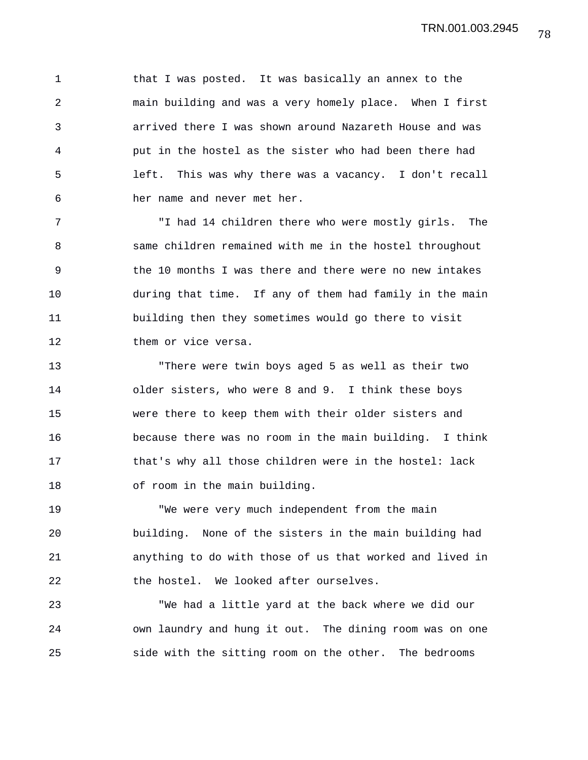1 that I was posted. It was basically an annex to the 2 main building and was a very homely place. When I first 3 arrived there I was shown around Nazareth House and was 4 put in the hostel as the sister who had been there had 5 left. This was why there was a vacancy. I don't recall 6 her name and never met her.

7 "I had 14 children there who were mostly girls. The 8 same children remained with me in the hostel throughout 9 the 10 months I was there and there were no new intakes 10 during that time. If any of them had family in the main 11 building then they sometimes would go there to visit 12 them or vice versa.

13 "There were twin boys aged 5 as well as their two 14 older sisters, who were 8 and 9. I think these boys 15 were there to keep them with their older sisters and 16 because there was no room in the main building. I think 17 that's why all those children were in the hostel: lack 18 of room in the main building.

19 "We were very much independent from the main 20 building. None of the sisters in the main building had 21 anything to do with those of us that worked and lived in 22 the hostel. We looked after ourselves.

23 "We had a little yard at the back where we did our 24 own laundry and hung it out. The dining room was on one 25 side with the sitting room on the other. The bedrooms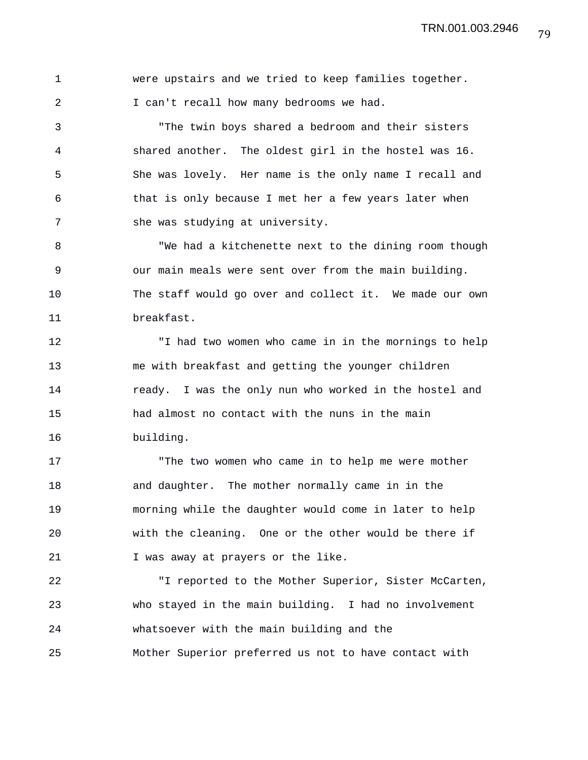1 were upstairs and we tried to keep families together. 2 I can't recall how many bedrooms we had.

3 "The twin boys shared a bedroom and their sisters 4 shared another. The oldest girl in the hostel was 16. 5 She was lovely. Her name is the only name I recall and 6 that is only because I met her a few years later when 7 she was studying at university.

8 "We had a kitchenette next to the dining room though 9 our main meals were sent over from the main building. 10 The staff would go over and collect it. We made our own 11 breakfast.

12 "I had two women who came in in the mornings to help 13 me with breakfast and getting the younger children 14 **ready.** I was the only nun who worked in the hostel and 15 had almost no contact with the nuns in the main 16 building.

17 The two women who came in to help me were mother 18 and daughter. The mother normally came in in the 19 morning while the daughter would come in later to help 20 with the cleaning. One or the other would be there if 21 I was away at prayers or the like.

22 "I reported to the Mother Superior, Sister McCarten, 23 who stayed in the main building. I had no involvement 24 whatsoever with the main building and the 25 Mother Superior preferred us not to have contact with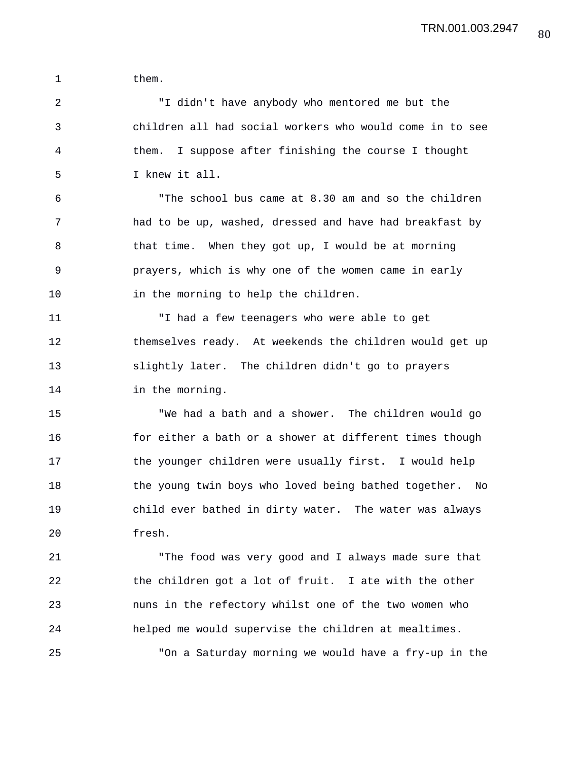1 them.

2 "I didn't have anybody who mentored me but the 3 children all had social workers who would come in to see 4 them. I suppose after finishing the course I thought 5 I knew it all.

6 "The school bus came at 8.30 am and so the children 7 had to be up, washed, dressed and have had breakfast by 8 that time. When they got up, I would be at morning 9 prayers, which is why one of the women came in early 10 in the morning to help the children.

11 "I had a few teenagers who were able to get 12 themselves ready. At weekends the children would get up 13 slightly later. The children didn't go to prayers 14 in the morning.

15 "We had a bath and a shower. The children would go 16 for either a bath or a shower at different times though 17 the younger children were usually first. I would help 18 the young twin boys who loved being bathed together. No 19 child ever bathed in dirty water. The water was always 20 fresh.

21 "The food was very good and I always made sure that 22 the children got a lot of fruit. I ate with the other 23 nuns in the refectory whilst one of the two women who 24 helped me would supervise the children at mealtimes. 25 "On a Saturday morning we would have a fry-up in the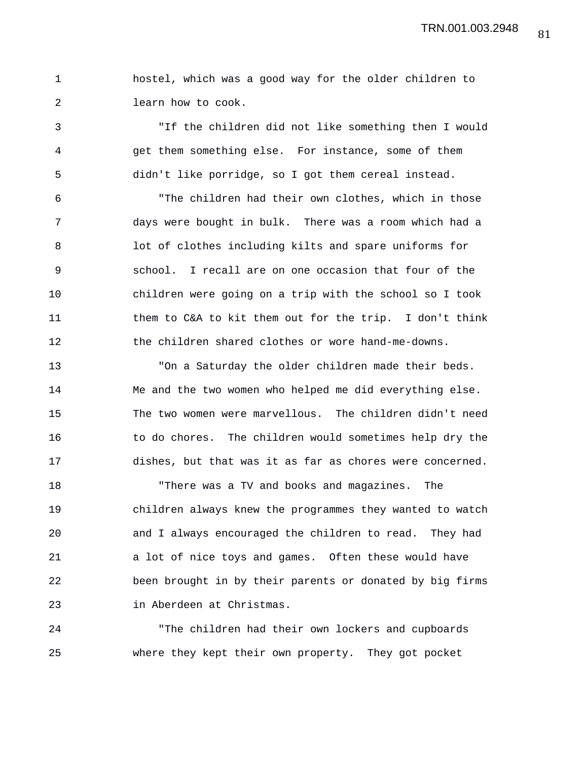1 hostel, which was a good way for the older children to 2 learn how to cook.

3 "If the children did not like something then I would 4 get them something else. For instance, some of them 5 didn't like porridge, so I got them cereal instead.

6 "The children had their own clothes, which in those 7 days were bought in bulk. There was a room which had a 8 lot of clothes including kilts and spare uniforms for 9 school. I recall are on one occasion that four of the 10 children were going on a trip with the school so I took 11 them to C&A to kit them out for the trip. I don't think 12 the children shared clothes or wore hand-me-downs.

13 "On a Saturday the older children made their beds. 14 Me and the two women who helped me did everything else. 15 The two women were marvellous. The children didn't need 16 to do chores. The children would sometimes help dry the 17 dishes, but that was it as far as chores were concerned.

18 "There was a TV and books and magazines. The 19 children always knew the programmes they wanted to watch 20 and I always encouraged the children to read. They had 21 a lot of nice toys and games. Often these would have 22 been brought in by their parents or donated by big firms 23 in Aberdeen at Christmas.

24 "The children had their own lockers and cupboards 25 where they kept their own property. They got pocket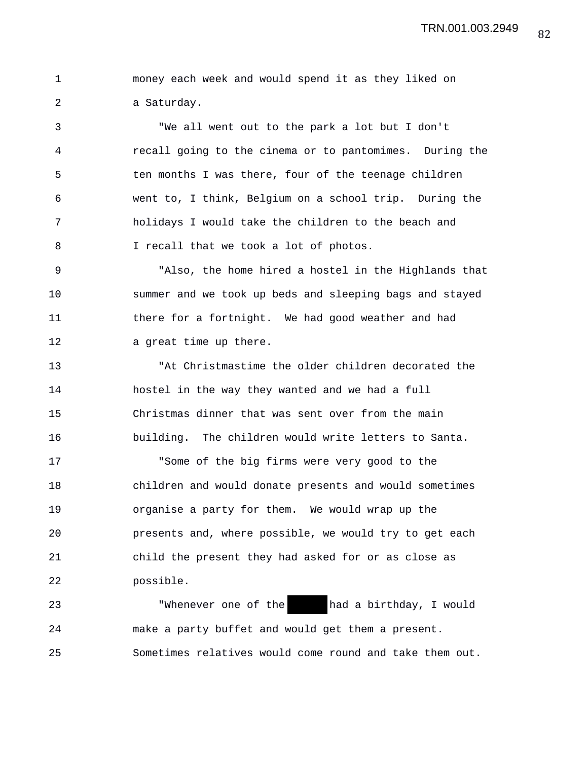1 money each week and would spend it as they liked on 2 a Saturday.

3 "We all went out to the park a lot but I don't 4 recall going to the cinema or to pantomimes. During the 5 ten months I was there, four of the teenage children 6 went to, I think, Belgium on a school trip. During the 7 holidays I would take the children to the beach and 8 I recall that we took a lot of photos.

9 "Also, the home hired a hostel in the Highlands that 10 summer and we took up beds and sleeping bags and stayed 11 there for a fortnight. We had good weather and had 12 a great time up there.

13 "At Christmastime the older children decorated the 14 hostel in the way they wanted and we had a full 15 Christmas dinner that was sent over from the main 16 building. The children would write letters to Santa.

17 "Some of the big firms were very good to the 18 children and would donate presents and would sometimes 19 organise a party for them. We would wrap up the 20 presents and, where possible, we would try to get each 21 child the present they had asked for or as close as 22 possible.

23 "Whenever one of the had a birthday, I would 24 make a party buffet and would get them a present. 25 Sometimes relatives would come round and take them out.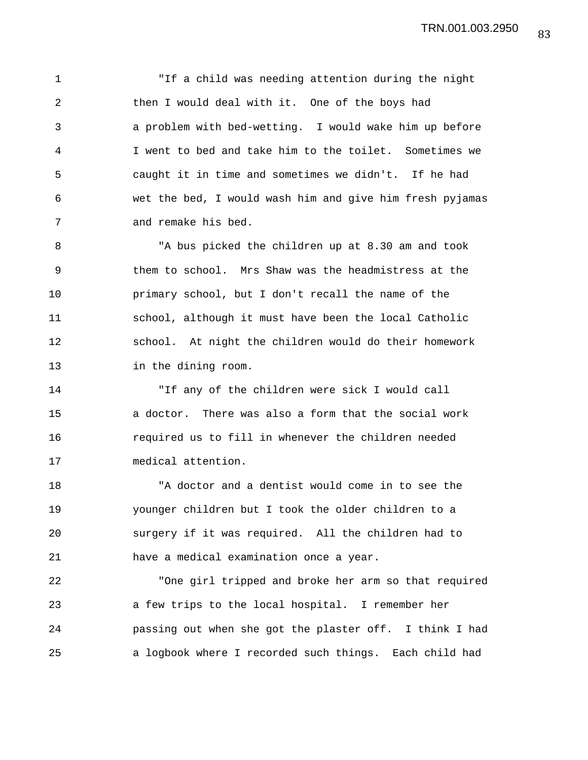1 "If a child was needing attention during the night 2 then I would deal with it. One of the boys had 3 a problem with bed-wetting. I would wake him up before 4 I went to bed and take him to the toilet. Sometimes we 5 caught it in time and sometimes we didn't. If he had 6 wet the bed, I would wash him and give him fresh pyjamas 7 and remake his bed.

8 "A bus picked the children up at 8.30 am and took 9 them to school. Mrs Shaw was the headmistress at the 10 primary school, but I don't recall the name of the 11 school, although it must have been the local Catholic 12 school. At night the children would do their homework 13 in the dining room.

14 "If any of the children were sick I would call 15 a doctor. There was also a form that the social work 16 required us to fill in whenever the children needed 17 medical attention.

18 "A doctor and a dentist would come in to see the 19 younger children but I took the older children to a 20 surgery if it was required. All the children had to 21 have a medical examination once a year.

22 "One girl tripped and broke her arm so that required 23 a few trips to the local hospital. I remember her 24 passing out when she got the plaster off. I think I had 25 a logbook where I recorded such things. Each child had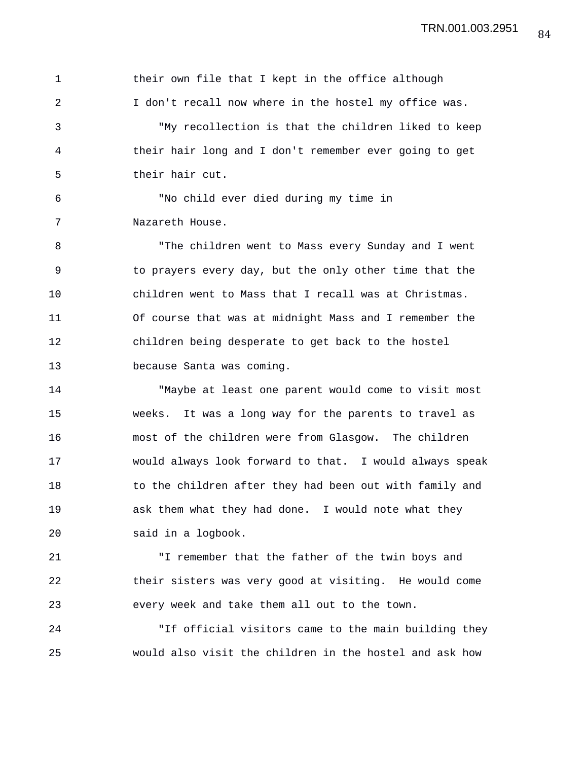1 their own file that I kept in the office although 2 I don't recall now where in the hostel my office was. 3 "My recollection is that the children liked to keep 4 their hair long and I don't remember ever going to get 5 their hair cut. 6 "No child ever died during my time in 7 Nazareth House. 8 "The children went to Mass every Sunday and I went 9 to prayers every day, but the only other time that the 10 children went to Mass that I recall was at Christmas. 11 Of course that was at midnight Mass and I remember the 12 children being desperate to get back to the hostel 13 because Santa was coming. 14 "Maybe at least one parent would come to visit most 15 weeks. It was a long way for the parents to travel as 16 most of the children were from Glasgow. The children

17 would always look forward to that. I would always speak 18 to the children after they had been out with family and 19 ask them what they had done. I would note what they 20 said in a logbook.

21 "I remember that the father of the twin boys and 22 their sisters was very good at visiting. He would come 23 every week and take them all out to the town.

24 "If official visitors came to the main building they 25 would also visit the children in the hostel and ask how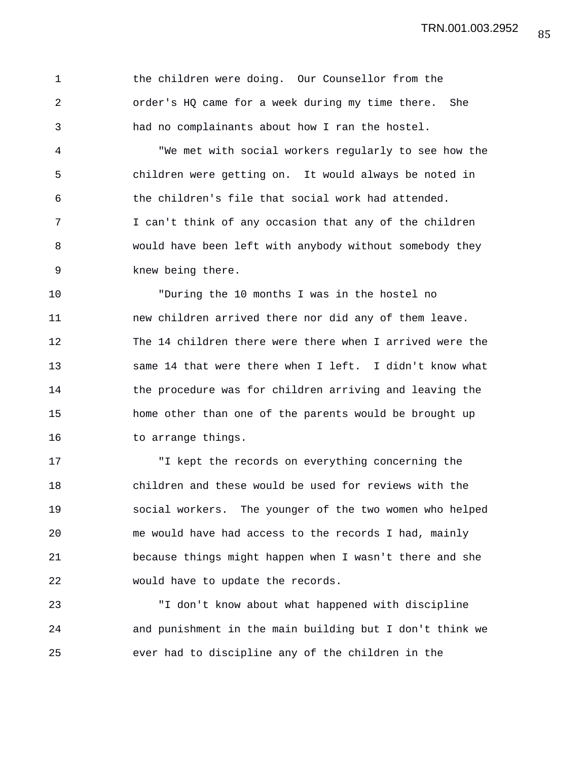85 TRN.001.003.2952

1 the children were doing. Our Counsellor from the 2 order's HQ came for a week during my time there. She 3 had no complainants about how I ran the hostel. 4 "We met with social workers regularly to see how the

5 children were getting on. It would always be noted in 6 the children's file that social work had attended. 7 I can't think of any occasion that any of the children 8 would have been left with anybody without somebody they 9 knew being there.

10 "During the 10 months I was in the hostel no 11 new children arrived there nor did any of them leave. 12 The 14 children there were there when I arrived were the 13 same 14 that were there when I left. I didn't know what 14 the procedure was for children arriving and leaving the 15 home other than one of the parents would be brought up 16 to arrange things.

17 "I kept the records on everything concerning the 18 children and these would be used for reviews with the 19 social workers. The younger of the two women who helped 20 me would have had access to the records I had, mainly 21 because things might happen when I wasn't there and she 22 would have to update the records.

23 "I don't know about what happened with discipline 24 and punishment in the main building but I don't think we 25 ever had to discipline any of the children in the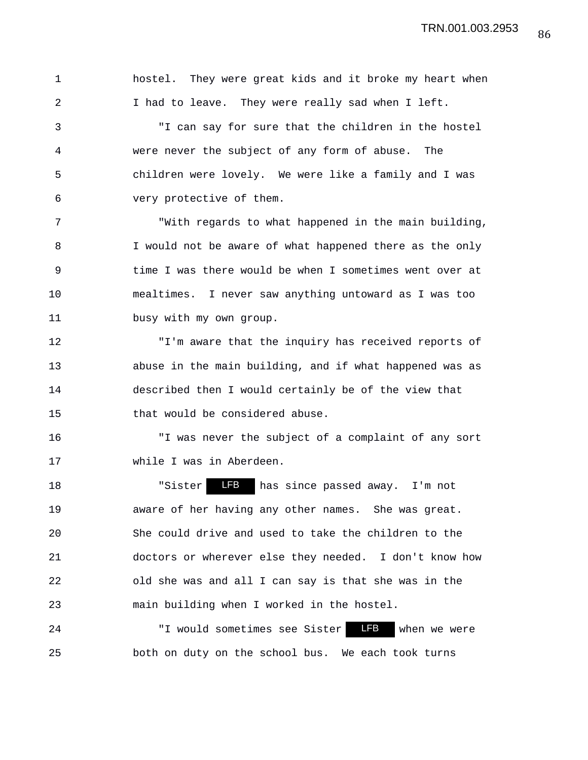1 hostel. They were great kids and it broke my heart when 2 I had to leave. They were really sad when I left.

3 "I can say for sure that the children in the hostel 4 were never the subject of any form of abuse. The 5 children were lovely. We were like a family and I was 6 very protective of them.

7 "With regards to what happened in the main building, 8 I would not be aware of what happened there as the only 9 time I was there would be when I sometimes went over at 10 mealtimes. I never saw anything untoward as I was too 11 busy with my own group.

12 "I'm aware that the inquiry has received reports of 13 abuse in the main building, and if what happened was as 14 described then I would certainly be of the view that 15 that would be considered abuse.

16 "I was never the subject of a complaint of any sort 17 while I was in Aberdeen.

18 The Solution of the Sole of the Sole of the Sole of the Sole of the Sole of the Sole of the Sole of the Sole of T 19 aware of her having any other names. She was great. 20 She could drive and used to take the children to the 21 doctors or wherever else they needed. I don't know how 22 old she was and all I can say is that she was in the 23 main building when I worked in the hostel.

24 TI would sometimes see Sister TEB when we were 25 both on duty on the school bus. We each took turns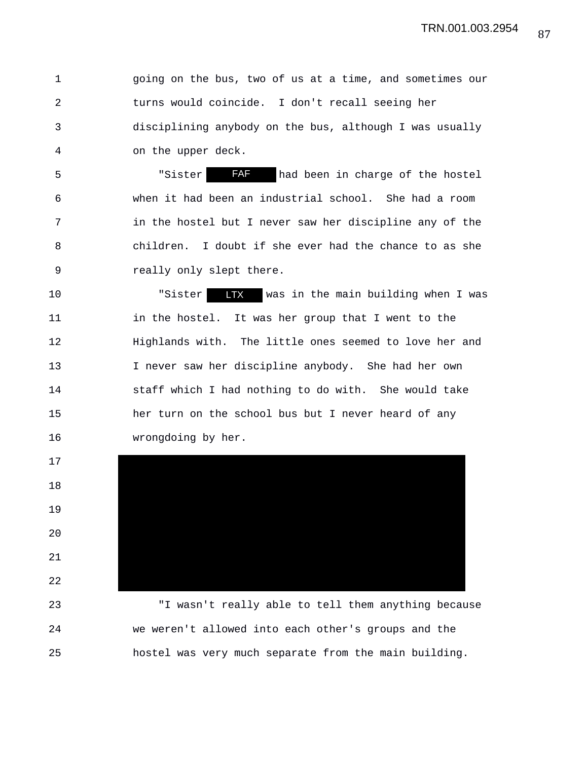1 going on the bus, two of us at a time, and sometimes our 2 turns would coincide. I don't recall seeing her 3 disciplining anybody on the bus, although I was usually 4 on the upper deck.

5 Subsetsman Subset Contract TAF had been in charge of the hostel 6 when it had been an industrial school. She had a room 7 in the hostel but I never saw her discipline any of the 8 children. I doubt if she ever had the chance to as she 9 really only slept there.

10 "Sister LTX was in the main building when I was 11 in the hostel. It was her group that I went to the 12 Highlands with. The little ones seemed to love her and 13 I never saw her discipline anybody. She had her own 14 staff which I had nothing to do with. She would take 15 her turn on the school bus but I never heard of any 16 wrongdoing by her.

17 18 19 20 21 22 23 "I wasn't really able to tell them anything because

24 we weren't allowed into each other's groups and the 25 hostel was very much separate from the main building.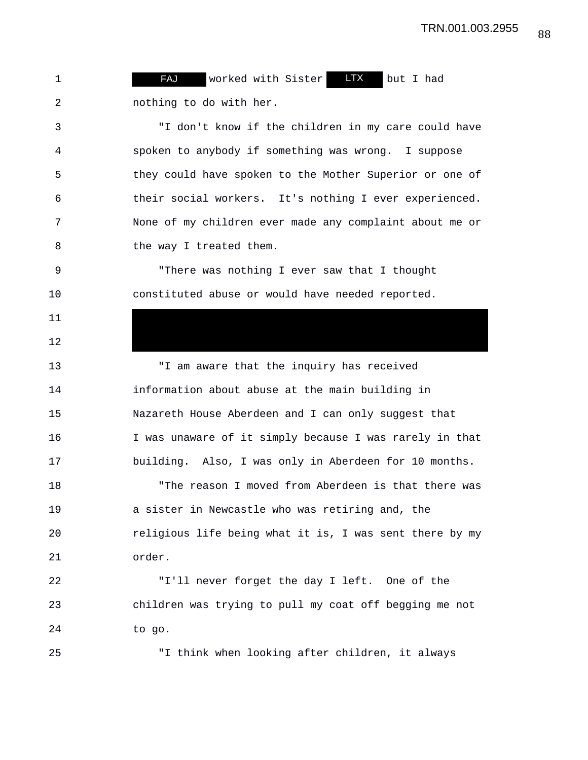1 **FAJ** worked with Sister **LTX** but I had 2 nothing to do with her.

3 "I don't know if the children in my care could have 4 spoken to anybody if something was wrong. I suppose 5 they could have spoken to the Mother Superior or one of 6 their social workers. It's nothing I ever experienced. 7 None of my children ever made any complaint about me or 8 the way I treated them.

9 "There was nothing I ever saw that I thought 10 constituted abuse or would have needed reported.

13 "I am aware that the inquiry has received 14 information about abuse at the main building in 15 Nazareth House Aberdeen and I can only suggest that 16 I was unaware of it simply because I was rarely in that 17 building. Also, I was only in Aberdeen for 10 months. 18 "The reason I moved from Aberdeen is that there was 19 a sister in Newcastle who was retiring and, the 20 religious life being what it is, I was sent there by my 21 order.

22 "I'll never forget the day I left. One of the 23 children was trying to pull my coat off begging me not 24 to go.

11

12

25 "I think when looking after children, it always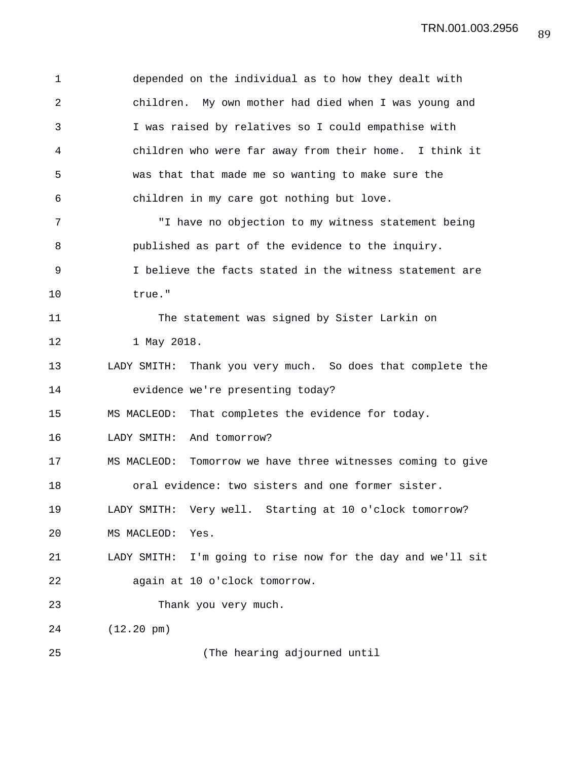1 depended on the individual as to how they dealt with 2 children. My own mother had died when I was young and 3 I was raised by relatives so I could empathise with 4 children who were far away from their home. I think it 5 was that that made me so wanting to make sure the 6 children in my care got nothing but love. 7 "I have no objection to my witness statement being 8 published as part of the evidence to the inquiry. 9 I believe the facts stated in the witness statement are 10 true." 11 The statement was signed by Sister Larkin on 12 1 May 2018. 13 LADY SMITH: Thank you very much. So does that complete the 14 evidence we're presenting today? 15 MS MACLEOD: That completes the evidence for today. 16 LADY SMITH: And tomorrow? 17 MS MACLEOD: Tomorrow we have three witnesses coming to give 18 oral evidence: two sisters and one former sister. 19 LADY SMITH: Very well. Starting at 10 o'clock tomorrow? 20 MS MACLEOD: Yes. 21 LADY SMITH: I'm going to rise now for the day and we'll sit 22 again at 10 o'clock tomorrow. 23 Thank you very much. 24 (12.20 pm) 25 (The hearing adjourned until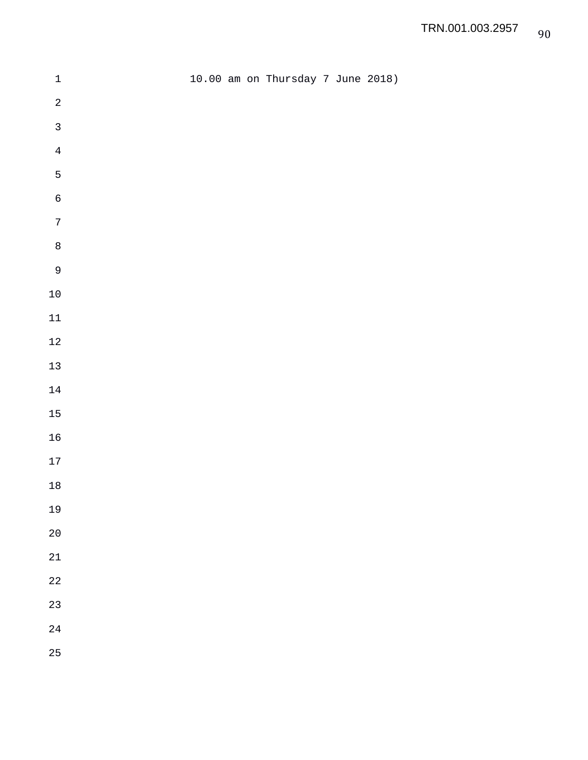| $\ensuremath{\mathbbm{1}}$ |  | 10.00 am on Thursday 7 June 2018) |  |  |
|----------------------------|--|-----------------------------------|--|--|
| $\sqrt{2}$                 |  |                                   |  |  |
| $\mathfrak{Z}$             |  |                                   |  |  |
| $\bf 4$                    |  |                                   |  |  |
| 5                          |  |                                   |  |  |
| $\epsilon$                 |  |                                   |  |  |
| $\boldsymbol{7}$           |  |                                   |  |  |
| $\,8\,$                    |  |                                   |  |  |
| $\mathsf{9}$               |  |                                   |  |  |
| $10\,$                     |  |                                   |  |  |
| $11\,$                     |  |                                   |  |  |
| $1\sqrt{2}$                |  |                                   |  |  |
| $13\,$                     |  |                                   |  |  |
| $14\,$                     |  |                                   |  |  |
| $15\,$                     |  |                                   |  |  |
| $16\,$                     |  |                                   |  |  |
| $17\,$                     |  |                                   |  |  |
| $18\,$                     |  |                                   |  |  |
| 19                         |  |                                   |  |  |
| $20\,$                     |  |                                   |  |  |
| $21\,$                     |  |                                   |  |  |
| $2\sqrt{2}$                |  |                                   |  |  |
| 23                         |  |                                   |  |  |
| $2\sqrt{4}$                |  |                                   |  |  |
| 25                         |  |                                   |  |  |